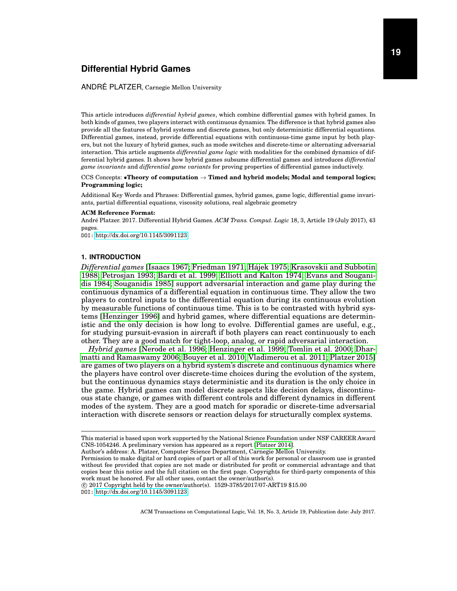# ANDRÉ PLATZER, Carnegie Mellon University

This article introduces *differential hybrid games*, which combine differential games with hybrid games. In both kinds of games, two players interact with continuous dynamics. The difference is that hybrid games also provide all the features of hybrid systems and discrete games, but only deterministic differential equations. Differential games, instead, provide differential equations with continuous-time game input by both players, but not the luxury of hybrid games, such as mode switches and discrete-time or alternating adversarial interaction. This article augments *differential game logic* with modalities for the combined dynamics of differential hybrid games. It shows how hybrid games subsume differential games and introduces *differential game invariants* and *differential game variants* for proving properties of differential games inductively.

# CCS Concepts: •**Theory of computation** → **Timed and hybrid models; Modal and temporal logics; Programming logic;**

Additional Key Words and Phrases: Differential games, hybrid games, game logic, differential game invariants, partial differential equations, viscosity solutions, real algebraic geometry

#### **ACM Reference Format:**

André Platzer. 2017. Differential Hybrid Games. ACM Trans. Comput. Logic 18, 3, Article 19 (July 2017), 43 pages.

DOI: <http://dx.doi.org/10.1145/3091123>

### **1. INTRODUCTION**

<span id="page-0-0"></span>*Differential games* [\[Isaacs 1967;](#page-41-0) [Friedman 1971;](#page-41-1) [Hajek 1975;](#page-41-2) [Krasovskii and Subbotin](#page-41-3) ´ [1988;](#page-41-3) [Petrosjan 1993;](#page-42-0) [Bardi et al. 1999;](#page-40-0) [Elliott and Kalton 1974;](#page-41-4) [Evans and Sougani](#page-41-5)[dis 1984;](#page-41-5) [Souganidis 1985\]](#page-42-1) support adversarial interaction and game play during the continuous dynamics of a differential equation in continuous time. They allow the two players to control inputs to the differential equation during its continuous evolution by measurable functions of continuous time. This is to be contrasted with hybrid systems [\[Henzinger 1996\]](#page-41-6) and hybrid games, where differential equations are deterministic and the only decision is how long to evolve. Differential games are useful, e.g., for studying pursuit-evasion in aircraft if both players can react continuously to each other. They are a good match for tight-loop, analog, or rapid adversarial interaction.

*Hybrid games* [\[Nerode et al. 1996;](#page-42-2) [Henzinger et al. 1999;](#page-41-7) [Tomlin et al. 2000;](#page-42-3) [Dhar](#page-41-8)[matti and Ramaswamy 2006;](#page-41-8) [Bouyer et al. 2010;](#page-41-9) [Vladimerou et al. 2011;](#page-42-4) [Platzer 2015\]](#page-42-5) are games of two players on a hybrid system's discrete and continuous dynamics where the players have control over discrete-time choices during the evolution of the system, but the continuous dynamics stays deterministic and its duration is the only choice in the game. Hybrid games can model discrete aspects like decision delays, discontinuous state change, or games with different controls and different dynamics in different modes of the system. They are a good match for sporadic or discrete-time adversarial interaction with discrete sensors or reaction delays for structurally complex systems.

 c 2017 Copyright held by the owner/author(s). 1529-3785/2017/07-ART19 \$15.00 DOI: <http://dx.doi.org/10.1145/3091123>

This material is based upon work supported by the National Science Foundation under NSF CAREER Award CNS-1054246. A preliminary version has appeared as a report [\[Platzer 2014\]](#page-42-6).

Author's address: A. Platzer, Computer Science Department, Carnegie Mellon University.

Permission to make digital or hard copies of part or all of this work for personal or classroom use is granted without fee provided that copies are not made or distributed for profit or commercial advantage and that copies bear this notice and the full citation on the first page. Copyrights for third-party components of this work must be honored. For all other uses, contact the owner/author(s).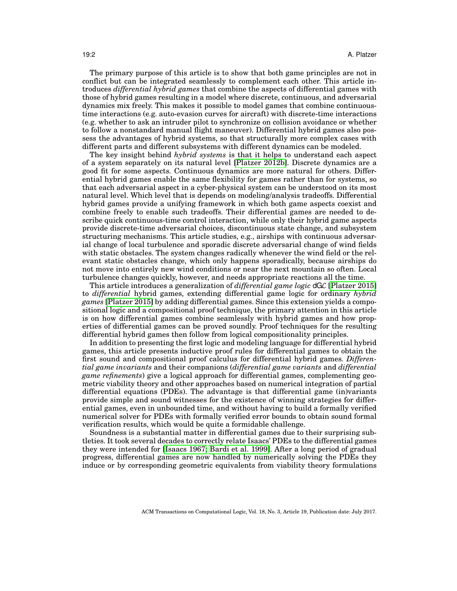The primary purpose of this article is to show that both game principles are not in conflict but can be integrated seamlessly to complement each other. This article introduces *differential hybrid games* that combine the aspects of differential games with those of hybrid games resulting in a model where discrete, continuous, and adversarial dynamics mix freely. This makes it possible to model games that combine continuoustime interactions (e.g. auto-evasion curves for aircraft) with discrete-time interactions (e.g. whether to ask an intruder pilot to synchronize on collision avoidance or whether to follow a nonstandard manual flight maneuver). Differential hybrid games also possess the advantages of hybrid systems, so that structurally more complex cases with different parts and different subsystems with different dynamics can be modeled.

The key insight behind *hybrid systems* is that it helps to understand each aspect of a system separately on its natural level [\[Platzer 2012b\]](#page-42-7). Discrete dynamics are a good fit for some aspects. Continuous dynamics are more natural for others. Differential hybrid games enable the same flexibility for games rather than for systems, so that each adversarial aspect in a cyber-physical system can be understood on its most natural level. Which level that is depends on modeling/analysis tradeoffs. Differential hybrid games provide a unifying framework in which both game aspects coexist and combine freely to enable such tradeoffs. Their differential games are needed to describe quick continuous-time control interaction, while only their hybrid game aspects provide discrete-time adversarial choices, discontinuous state change, and subsystem structuring mechanisms. This article studies, e.g., airships with continuous adversarial change of local turbulence and sporadic discrete adversarial change of wind fields with static obstacles. The system changes radically whenever the wind field or the relevant static obstacles change, which only happens sporadically, because airships do not move into entirely new wind conditions or near the next mountain so often. Local turbulence changes quickly, however, and needs appropriate reactions all the time.

This article introduces a generalization of *differential game logic* dGL [\[Platzer 2015\]](#page-42-5) to *differential* hybrid games, extending differential game logic for ordinary *hybrid games* [\[Platzer 2015\]](#page-42-5) by adding differential games. Since this extension yields a compositional logic and a compositional proof technique, the primary attention in this article is on how differential games combine seamlessly with hybrid games and how properties of differential games can be proved soundly. Proof techniques for the resulting differential hybrid games then follow from logical compositionality principles.

In addition to presenting the first logic and modeling language for differential hybrid games, this article presents inductive proof rules for differential games to obtain the first sound and compositional proof calculus for differential hybrid games. *Differential game invariants* and their companions (*differential game variants* and *differential game refinements*) give a logical approach for differential games, complementing geometric viability theory and other approaches based on numerical integration of partial differential equations (PDEs). The advantage is that differential game (in)variants provide simple and sound witnesses for the existence of winning strategies for differential games, even in unbounded time, and without having to build a formally verified numerical solver for PDEs with formally verified error bounds to obtain sound formal verification results, which would be quite a formidable challenge.

Soundness is a substantial matter in differential games due to their surprising subtleties. It took several decades to correctly relate Isaacs' PDEs to the differential games they were intended for [\[Isaacs 1967;](#page-41-0) [Bardi et al. 1999\]](#page-40-0). After a long period of gradual progress, differential games are now handled by numerically solving the PDEs they induce or by corresponding geometric equivalents from viability theory formulations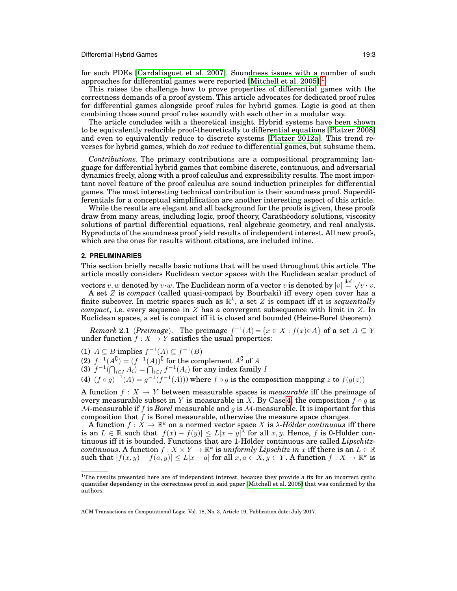for such PDEs [\[Cardaliaguet et al. 2007\]](#page-41-10). Soundness issues with a number of such approaches for differential games were reported [\[Mitchell et al. 2005\]](#page-42-8).<sup>[1](#page-2-0)</sup>

This raises the challenge how to prove properties of differential games with the correctness demands of a proof system. This article advocates for dedicated proof rules for differential games alongside proof rules for hybrid games. Logic is good at then combining those sound proof rules soundly with each other in a modular way.

The article concludes with a theoretical insight. Hybrid systems have been shown to be equivalently reducible proof-theoretically to differential equations [\[Platzer 2008\]](#page-42-9) and even to equivalently reduce to discrete systems [\[Platzer 2012a\]](#page-42-10). This trend reverses for hybrid games, which do *not* reduce to differential games, but subsume them.

*Contributions.* The primary contributions are a compositional programming language for differential hybrid games that combine discrete, continuous, and adversarial dynamics freely, along with a proof calculus and expressibility results. The most important novel feature of the proof calculus are sound induction principles for differential games. The most interesting technical contribution is their soundness proof. Superdifferentials for a conceptual simplification are another interesting aspect of this article.

While the results are elegant and all background for the proofs is given, these proofs draw from many areas, including logic, proof theory, Caratheodory solutions, viscosity ´ solutions of partial differential equations, real algebraic geometry, and real analysis. Byproducts of the soundness proof yield results of independent interest. All new proofs, which are the ones for results without citations, are included inline.

# <span id="page-2-2"></span>**2. PRELIMINARIES**

This section briefly recalls basic notions that will be used throughout this article. The article mostly considers Euclidean vector spaces with the Euclidean scalar product of

vectors  $v, w$  denoted by  $v \cdot w$ . The Euclidean norm of a vector  $v$  is denoted by  $|v| \stackrel{\text{def}}{=} \sqrt{v \cdot v}$ . A set Z is *compact* (called quasi-compact by Bourbaki) iff every open cover has a finite subcover. In metric spaces such as  $\mathbb{R}^k$ , a set Z is compact iff it is *sequentially compact*, i.e. every sequence in Z has a convergent subsequence with limit in Z. In Euclidean spaces, a set is compact iff it is closed and bounded (Heine-Borel theorem).

<span id="page-2-3"></span>*Remark* 2.1 (*Preimage*). The preimage  $f^{-1}(A) = \{x \in X : f(x) \in A\}$  of a set  $A \subseteq Y$ under function  $f: X \to Y$  satisfies the usual properties:

(1)  $A \subseteq B$  implies  $f^{-1}(A) \subseteq f^{-1}(B)$ 

(2)  $f^{-1}(A^{\complement}) = (f^{-1}(A))^{\complement}$  for the complement  $A^{\complement}$  of A

(3)  $f^{-1}(\bigcap_{i\in I} A_i) = \bigcap_{i\in I} f^{-1}(A_i)$  for any index family  $I$ 

<span id="page-2-1"></span>(4)  $(f \circ g)^{-1}(A) = g^{-1}(f^{-1}(A))$  where  $f \circ g$  is the composition mapping z to  $f(g(z))$ 

A function  $f : X \to Y$  between measurable spaces is *measurable* iff the preimage of every measurable subset in Y is measurable in X. By Case [4,](#page-2-1) the composition  $f \circ g$  is *M*-measurable if f is *Borel* measurable and g is M-measurable. It is important for this composition that  $f$  is Borel measurable, otherwise the measure space changes.

A function  $f : X \to \mathbb{R}^k$  on a normed vector space X is  $\lambda$ -Hölder continuous iff there is an  $L \in \mathbb{R}$  such that  $|f(x) - f(y)| \le L|x - y|$  for all  $x, y$ . Hence, f is 0-Holder continuous iff it is bounded. Functions that are 1-Hölder continuous are called *Lipschitz* $continuous$ . A function  $f: X \times Y \to \mathbb{R}^k$  is *uniformly Lipschitz in* x iff there is an  $L \in \mathbb{R}$ such that  $|f(x,y) - f(a,y)| \le L|x-a|$  for all  $x, a \in X, y \in Y$ . A function  $f: X \to \mathbb{R}^k$  is

<span id="page-2-0"></span> $1$ The results presented here are of independent interest, because they provide a fix for an incorrect cyclic quantifier dependency in the correctness proof in said paper [\[Mitchell et al. 2005\]](#page-42-8) that was confirmed by the authors.

ACM Transactions on Computational Logic, Vol. 18, No. 3, Article 19, Publication date: July 2017.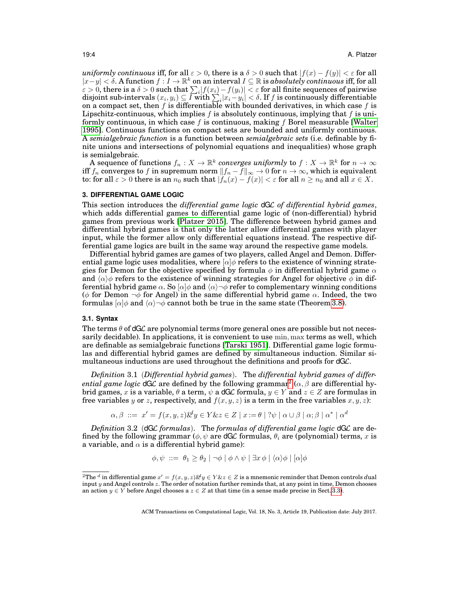*uniformly continuous* iff, for all  $\varepsilon > 0$ , there is a  $\delta > 0$  such that  $|f(x) - f(y)| < \varepsilon$  for all  $|x-y| < \delta$ . A function  $f: I \to \mathbb{R}^k$  on an interval  $I \subseteq \mathbb{R}$  is *absolutely continuous* iff, for all  $\varepsilon > 0$ , there is a  $\delta > 0$  such that  $\sum_i |f(x_i) - f(y_i)| < \varepsilon$  for all finite sequences of pairwise disjoint sub-intervals  $(x_i, y_i) \subseteq I$  with  $\sum_i |x_i - y_i| < \delta$ . If  $f$  is continuously differentiable on a compact set, then  $f$  is differentiable with bounded derivatives, in which case  $f$  is Lipschitz-continuous, which implies f is absolutely continuous, implying that f is uniformly continuous, in which case  $f$  is continuous, making  $f$  Borel measurable [\[Walter](#page-42-11) [1995\]](#page-42-11). Continuous functions on compact sets are bounded and uniformly continuous. A *semialgebraic function* is a function between *semialgebraic sets* (i.e. definable by finite unions and intersections of polynomial equations and inequalities) whose graph is semialgebraic.

A sequence of functions  $f_n: X \to \mathbb{R}^k$  converges uniformly to  $f: X \to \mathbb{R}^k$  for  $n \to \infty$ iff  $f_n$  converges to f in supremum norm  $||f_n - f||_{\infty} \to 0$  for  $n \to \infty$ , which is equivalent to: for all  $\varepsilon > 0$  there is an  $n_0$  such that  $|f_n(x) - f(x)| < \varepsilon$  for all  $n \ge n_0$  and all  $x \in X$ .

## <span id="page-3-2"></span>**3. DIFFERENTIAL GAME LOGIC**

This section introduces the *differential game logic* dGL *of differential hybrid games*, which adds differential games to differential game logic of (non-differential) hybrid games from previous work [\[Platzer 2015\]](#page-42-5). The difference between hybrid games and differential hybrid games is that only the latter allow differential games with player input, while the former allow only differential equations instead. The respective differential game logics are built in the same way around the respective game models.

Differential hybrid games are games of two players, called Angel and Demon. Differential game logic uses modalities, where  $\alpha$  *e* refers to the existence of winning strategies for Demon for the objective specified by formula  $\phi$  in differential hybrid game  $\alpha$ and  $\langle \alpha \rangle \phi$  refers to the existence of winning strategies for Angel for objective  $\phi$  in differential hybrid game  $\alpha$ . So  $\alpha \phi \rightarrow \alpha$  refer to complementary winning conditions (φ for Demon  $\neg \phi$  for Angel) in the same differential hybrid game  $\alpha$ . Indeed, the two formulas  $\alpha\phi$  and  $\langle \alpha \rangle \neg \phi$  cannot both be true in the same state (Theorem [3.8\)](#page-9-0).

# **3.1. Syntax**

The terms  $\theta$  of dGL are polynomial terms (more general ones are possible but not necessarily decidable). In applications, it is convenient to use min, max terms as well, which are definable as semialgebraic functions [\[Tarski 1951\]](#page-42-12). Differential game logic formulas and differential hybrid games are defined by simultaneous induction. Similar simultaneous inductions are used throughout the definitions and proofs for  $dG\mathcal{L}$ .

<span id="page-3-1"></span>*Definition* 3.1 (*Differential hybrid games*). The *differential hybrid games of differential game logic* dGL are defined by the following grammar<sup>[2](#page-3-0)</sup> ( $\alpha$ ,  $\beta$  are differential hybrid games, x is a variable,  $\theta$  a term,  $\psi$  a dGC formula,  $y \in Y$  and  $z \in Z$  are formulas in free variables y or z, respectively, and  $f(x, y, z)$  is a term in the free variables  $x, y, z$ :

$$
\alpha, \beta \ ::= \ x' = f(x, y, z) \& y \in Y \& z \in Z \mid x := \theta \mid ?\psi \mid \alpha \cup \beta \mid \alpha; \beta \mid \alpha^* \mid \alpha^d
$$

*Definition* 3.2 (dGL *formulas*). The *formulas of differential game logic* dGL are defined by the following grammar ( $\phi, \psi$  are dGC formulas,  $\theta_i$  are (polynomial) terms, x is a variable, and  $\alpha$  is a differential hybrid game):

$$
\phi, \psi \ ::= \ \theta_1 \ge \theta_2 \mid \neg \phi \mid \phi \land \psi \mid \exists x \, \phi \mid \langle \alpha \rangle \phi \mid [\alpha] \phi
$$

<span id="page-3-0"></span><sup>&</sup>lt;sup>2</sup>The <sup>d</sup> in differential game  $x' = f(x, y, z)$ & $y \in Y$ & $z \in Z$  is a mnemonic reminder that Demon controls *d*ual input  $y$  and Angel controls  $z$ . The order of notation further reminds that, at any point in time, Demon chooses an action  $y \in Y$  before Angel chooses a  $z \in Z$  at that time (in a sense made precise in Sect. [3.3\)](#page-7-0).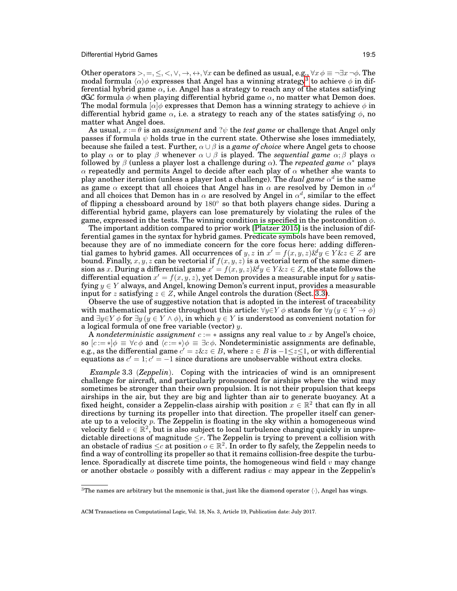Other operators >, =,  $\leq$ ,  $\lt$ ,  $\lor$ ,  $\to$ ,  $\leftrightarrow$ ,  $\forall x$  can be defined as usual, e.g.,  $\forall x \phi \equiv \neg \exists x \neg \phi$ . The modal formula  $\langle \alpha \rangle \phi$  expresses that Angel has a winning strategy<sup>[3](#page-4-0)</sup> to achieve  $\phi$  in differential hybrid game  $\alpha$ , i.e. Angel has a strategy to reach any of the states satisfying dGL formula  $\phi$  when playing differential hybrid game  $\alpha$ , no matter what Demon does. The modal formula  $\lbrack \alpha \rbrack \phi$  expresses that Demon has a winning strategy to achieve  $\phi$  in differential hybrid game  $\alpha$ , i.e. a strategy to reach any of the states satisfying  $\phi$ , no matter what Angel does.

As usual,  $x := \theta$  is an *assignment* and ? $\psi$  the *test game* or challenge that Angel only passes if formula  $\psi$  holds true in the current state. Otherwise she loses immediately, because she failed a test. Further,  $\alpha \cup \beta$  is a *game of choice* where Angel gets to choose to play  $\alpha$  or to play  $\beta$  whenever  $\alpha \cup \beta$  is played. The *sequential game*  $\alpha$ ;  $\beta$  plays  $\alpha$ followed by  $\beta$  (unless a player lost a challenge during  $\alpha$ ). The *repeated game*  $\alpha^*$  plays α repeatedly and permits Angel to decide after each play of α whether she wants to play another iteration (unless a player lost a challenge). The  $dual$  game  $\alpha^d$  is the same as game  $\alpha$  except that all choices that Angel has in  $\alpha$  are resolved by Demon in  $\alpha^d$ and all choices that Demon has in  $\alpha$  are resolved by Angel in  $\alpha^d$ , similar to the effect of flipping a chessboard around by  $180^{\circ}$  so that both players change sides. During a differential hybrid game, players can lose prematurely by violating the rules of the game, expressed in the tests. The winning condition is specified in the postcondition  $\phi$ .

The important addition compared to prior work [\[Platzer 2015\]](#page-42-5) is the inclusion of differential games in the syntax for hybrid games. Predicate symbols have been removed, because they are of no immediate concern for the core focus here: adding differential games to hybrid games. All occurrences of  $y, z$  in  $x' = f(x, y, z) \&g y \in Y \&z \in Z$  are bound. Finally, x, y, z can be vectorial if  $f(x, y, z)$  is a vectorial term of the same dimension as x. During a differential game  $x' = f(x, y, z) \& y \in Y \& z \in Z$ , the state follows the differential equation  $x' = f(x, y, z)$ , yet Demon provides a measurable input for  $y$  satisfying  $y \in Y$  always, and Angel, knowing Demon's current input, provides a measurable input for z satisfying  $z \in Z$ , while Angel controls the duration (Sect. [3.3\)](#page-7-0).

Observe the use of suggestive notation that is adopted in the interest of traceability with mathematical practice throughout this article:  $\forall y \in Y \phi$  stands for  $\forall y \ (y \in Y \rightarrow \phi)$ and  $\exists y \in Y \phi$  for  $\exists y \ (y \in Y \land \phi)$ , in which  $y \in Y$  is understood as convenient notation for a logical formula of one free variable (vector)  $y$ .

A *nondeterministic assignment* c := ∗ assigns any real value to x by Angel's choice, so  $[c := *]\phi \equiv \forall c \phi$  and  $\langle c := * \rangle \phi \equiv \exists c \phi$ . Nondeterministic assignments are definable, e.g., as the differential game  $c' = z\&z \in B$ , where  $z \in B$  is  $-1 \le z \le 1$ , or with differential equations as  $c' = 1$ ;  $c' = -1$  since durations are unobservable without extra clocks.

<span id="page-4-1"></span>*Example* 3.3 (*Zeppelin*). Coping with the intricacies of wind is an omnipresent challenge for aircraft, and particularly pronounced for airships where the wind may sometimes be stronger than their own propulsion. It is not their propulsion that keeps airships in the air, but they are big and lighter than air to generate buoyancy. At a fixed height, consider a Zeppelin-class airship with position  $x \in \mathbb{R}^2$  that can fly in all directions by turning its propeller into that direction. The propeller itself can generate up to a velocity  $p$ . The Zeppelin is floating in the sky within a homogeneous wind velocity field  $v \in \mathbb{R}^2$ , but is also subject to local turbulence changing quickly in unpredictable directions of magnitude  $\leq r$ . The Zeppelin is trying to prevent a collision with an obstacle of radius  $\leq c$  at position  $o \in \mathbb{R}^2$ . In order to fly safely, the Zeppelin needs to find a way of controlling its propeller so that it remains collision-free despite the turbulence. Sporadically at discrete time points, the homogeneous wind field  $v$  may change or another obstacle  $\sigma$  possibly with a different radius  $\sigma$  may appear in the Zeppelin's

<span id="page-4-0"></span><sup>&</sup>lt;sup>3</sup>The names are arbitrary but the mnemonic is that, just like the diamond operator  $\langle \cdot \rangle$ , Angel has wings.

ACM Transactions on Computational Logic, Vol. 18, No. 3, Article 19, Publication date: July 2017.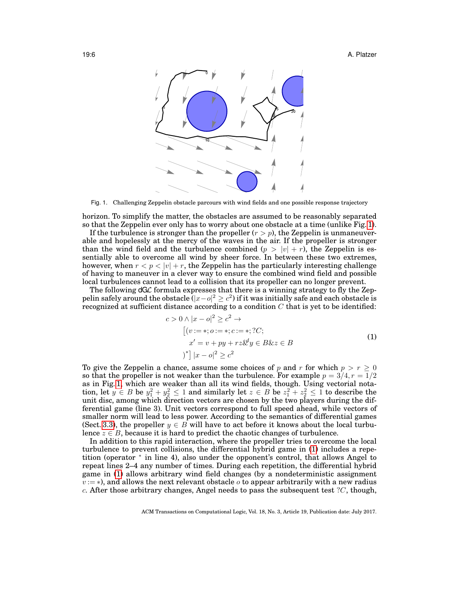19:6 A. Platzer



<span id="page-5-0"></span>Fig. 1. Challenging Zeppelin obstacle parcours with wind fields and one possible response trajectory

horizon. To simplify the matter, the obstacles are assumed to be reasonably separated so that the Zeppelin ever only has to worry about one obstacle at a time (unlike Fig. [1\)](#page-5-0).

If the turbulence is stronger than the propeller  $(r > p)$ , the Zeppelin is unmaneuverable and hopelessly at the mercy of the waves in the air. If the propeller is stronger than the wind field and the turbulence combined  $(p > |v| + r)$ , the Zeppelin is essentially able to overcome all wind by sheer force. In between these two extremes, however, when  $r < p < |v| + r$ , the Zeppelin has the particularly interesting challenge of having to maneuver in a clever way to ensure the combined wind field and possible local turbulences cannot lead to a collision that its propeller can no longer prevent.

The following dGL formula expresses that there is a winning strategy to fly the Zeppelin safely around the obstacle ( $|x-o|^2 \ge c^2$ ) if it was initially safe and each obstacle is recognized at sufficient distance according to a condition  $C$  that is yet to be identified:

<span id="page-5-1"></span>
$$
c > 0 \land |x - o|^2 \ge c^2 \rightarrow
$$
  
\n
$$
[(v := *; o := *; c := *; ?C;
$$
  
\n
$$
x' = v + py + rz\mathcal{L}y \in B\&z \in B
$$
  
\n
$$
[x - o]^2 \ge c^2
$$
  
\n(1)

To give the Zeppelin a chance, assume some choices of p and r for which  $p > r \geq 0$ so that the propeller is not weaker than the turbulence. For example  $p = 3/4, r = 1/2$ as in Fig. [1,](#page-5-0) which are weaker than all its wind fields, though. Using vectorial notation, let  $y \in B$  be  $y_1^2 + y_2^2 \le 1$  and similarly let  $z \in B$  be  $z_1^2 + z_2^2 \le 1$  to describe the unit disc, among which direction vectors are chosen by the two players during the differential game (line 3). Unit vectors correspond to full speed ahead, while vectors of smaller norm will lead to less power. According to the semantics of differential games (Sect. [3.3\)](#page-7-0), the propeller  $y \in B$  will have to act before it knows about the local turbulence  $z \in B$ , because it is hard to predict the chaotic changes of turbulence.

In addition to this rapid interaction, where the propeller tries to overcome the local turbulence to prevent collisions, the differential hybrid game in [\(1\)](#page-5-1) includes a repetition (operator <sup>∗</sup> in line 4), also under the opponent's control, that allows Angel to repeat lines 2–4 any number of times. During each repetition, the differential hybrid game in [\(1\)](#page-5-1) allows arbitrary wind field changes (by a nondeterministic assignment  $v := *$ ), and allows the next relevant obstacle  $\sigma$  to appear arbitrarily with a new radius c. After those arbitrary changes, Angel needs to pass the subsequent test  $\mathcal{C}$ , though,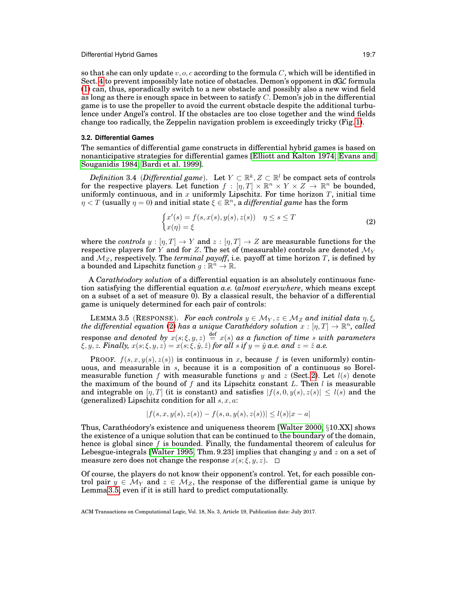so that she can only update  $v, o, c$  according to the formula C, which will be identified in Sect. [4](#page-11-0) to prevent impossibly late notice of obstacles. Demon's opponent in dGL formula [\(1\)](#page-5-1) can, thus, sporadically switch to a new obstacle and possibly also a new wind field as long as there is enough space in between to satisfy  $C$ . Demon's job in the differential game is to use the propeller to avoid the current obstacle despite the additional turbulence under Angel's control. If the obstacles are too close together and the wind fields change too radically, the Zeppelin navigation problem is exceedingly tricky (Fig. [1\)](#page-5-0).

# **3.2. Differential Games**

The semantics of differential game constructs in differential hybrid games is based on nonanticipative strategies for differential games [\[Elliott and Kalton 1974;](#page-41-4) [Evans and](#page-41-5) [Souganidis 1984;](#page-41-5) [Bardi et al. 1999\]](#page-40-0).

<span id="page-6-2"></span> $Definition 3.4$  (*Differential game*). Let  $Y \subset \mathbb{R}^k$ ,  $Z \subset \mathbb{R}^l$  be compact sets of controls for the respective players. Let function  $f : [\eta, T] \times \mathbb{R}^n \times Y \times Z \to \mathbb{R}^n$  be bounded, uniformly continuous, and in  $x$  uniformly Lipschitz. For time horizon  $T$ , initial time  $\eta < T$  (usually  $\eta = 0$ ) and initial state  $\xi \in \mathbb{R}^n$ , a *differential game* has the form

<span id="page-6-0"></span>
$$
\begin{cases} x'(s) = f(s, x(s), y(s), z(s)) & \eta \le s \le T \\ x(\eta) = \xi \end{cases} \tag{2}
$$

where the *controls*  $y : [\eta, T] \to Y$  and  $z : [\eta, T] \to Z$  are measurable functions for the respective players for Y and for Z. The set of (measurable) controls are denoted  $\mathcal{M}_Y$ and  $M_Z$ , respectively. The *terminal payoff*, i.e. payoff at time horizon T, is defined by a bounded and Lipschitz function  $g: \mathbb{R}^n \to \mathbb{R}$ .

A *Carath´eodory solution* of a differential equation is an absolutely continuous function satisfying the differential equation *a.e.* (*almost everywhere*, which means except on a subset of a set of measure 0). By a classical result, the behavior of a differential game is uniquely determined for each pair of controls:

<span id="page-6-1"></span>LEMMA 3.5 (RESPONSE). *For each controls*  $y \in M_Y, z \in M_Z$  *and initial data*  $\eta, \xi$ *,*  $t$ he differential equation [\(2\)](#page-6-0) has a unique Carathédory solution  $x:[\eta,T]\rightarrow \mathbb{R}^n,$  called response and denoted by  $x(s;\xi,y,z) \stackrel{\text{def}}{=} x(s)$  as a function of time s with parameters  $\xi, y, z$ *. Finally,*  $x(s; \xi, y, z) = x(s; \xi, \hat{y}, \hat{z})$  *for all*  $s$  *if*  $y = \hat{y}$  *a.e. and*  $z = \hat{z}$  *a.e.* 

**PROOF.**  $f(s, x, y(s), z(s))$  is continuous in x, because f is (even uniformly) continuous, and measurable in s, because it is a composition of a continuous so Borel-measurable function f with measurable functions y and z (Sect. [2\)](#page-2-2). Let  $l(s)$  denote the maximum of the bound of f and its Lipschitz constant L. Then l is measurable and integrable on  $[\eta, T]$  (it is constant) and satisfies  $|f(s, 0, y(s), z(s)| \leq l(s)$  and the (generalized) Lipschitz condition for all  $s, x, a$ :

$$
|f(s, x, y(s), z(s)) - f(s, a, y(s), z(s))| \le l(s)|x - a|
$$

Thus, Carathéodory's existence and uniqueness theorem [\[Walter 2000,](#page-42-13)  $\S 10.XX$ ] shows the existence of a unique solution that can be continued to the boundary of the domain, hence is global since  $f$  is bounded. Finally, the fundamental theorem of calculus for Lebesgue-integrals [\[Walter 1995,](#page-42-11) Thm. 9.23] implies that changing y and z on a set of measure zero does not change the response  $x(s; \xi, y, z)$ .  $\Box$ 

Of course, the players do not know their opponent's control. Yet, for each possible control pair  $y \in \mathcal{M}_Y$  and  $z \in \mathcal{M}_Z$ , the response of the differential game is unique by Lemma [3.5,](#page-6-1) even if it is still hard to predict computationally.

ACM Transactions on Computational Logic, Vol. 18, No. 3, Article 19, Publication date: July 2017.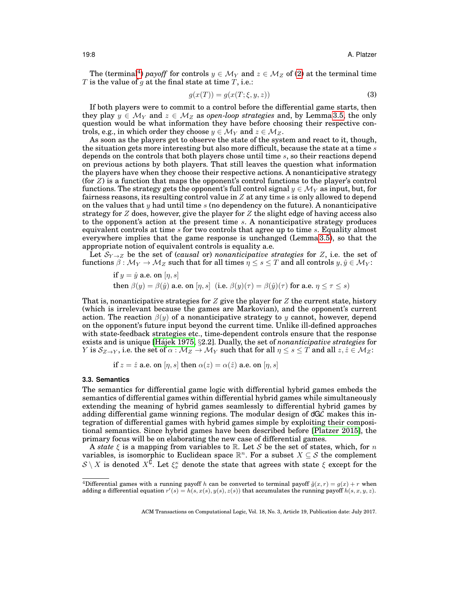The (terminal<sup>[4](#page-7-1)</sup>) *payoff* for controls  $y \in M_Y$  and  $z \in M_Z$  of [\(2\)](#page-6-0) at the terminal time T is the value of g at the final state at time  $T$ , i.e.:

<span id="page-7-2"></span>
$$
g(x(T)) = g(x(T; \xi, y, z))
$$
\n(3)

If both players were to commit to a control before the differential game starts, then they play  $y \in \mathcal{M}_Y$  and  $z \in \mathcal{M}_Z$  as *open-loop strategies* and, by Lemma [3.5,](#page-6-1) the only question would be what information they have before choosing their respective controls, e.g., in which order they choose  $y \in \mathcal{M}_Y$  and  $z \in \mathcal{M}_Z$ .

As soon as the players get to observe the state of the system and react to it, though, the situation gets more interesting but also more difficult, because the state at a time  $s$ depends on the controls that both players chose until time s, so their reactions depend on previous actions by both players. That still leaves the question what information the players have when they choose their respective actions. A nonanticipative strategy (for  $Z$ ) is a function that maps the opponent's control functions to the player's control functions. The strategy gets the opponent's full control signal  $y \in \mathcal{M}_Y$  as input, but, for fairness reasons, its resulting control value in  $Z$  at any time  $s$  is only allowed to depend on the values that  $y$  had until time  $s$  (no dependency on the future). A nonanticipative strategy for  $Z$  does, however, give the player for  $Z$  the slight edge of having access also to the opponent's action at the present time s. A nonanticipative strategy produces equivalent controls at time s for two controls that agree up to time s. Equality almost everywhere implies that the game response is unchanged (Lemma [3.5\)](#page-6-1), so that the appropriate notion of equivalent controls is equality a.e.

Let  $\mathcal{S}_{Y\rightarrow Z}$  be the set of *(causal or) nonanticipative strategies* for Z, i.e. the set of functions  $\beta : \mathcal{M}_Y \to \mathcal{M}_Z$  such that for all times  $\eta \leq s \leq T$  and all controls  $y, \hat{y} \in \mathcal{M}_Y$ :

if 
$$
y = \hat{y}
$$
 a.e. on  $[\eta, s]$   
then  $\beta(y) = \beta(\hat{y})$  a.e. on  $[\eta, s]$  (i.e.  $\beta(y)(\tau) = \beta(\hat{y})(\tau)$  for a.e.  $\eta \le \tau \le s$ )

That is, nonanticipative strategies for  $Z$  give the player for  $Z$  the current state, history (which is irrelevant because the games are Markovian), and the opponent's current action. The reaction  $\beta(y)$  of a nonanticipative strategy to y cannot, however, depend on the opponent's future input beyond the current time. Unlike ill-defined approaches with state-feedback strategies etc., time-dependent controls ensure that the response exists and is unique [Hájek 1975, §2.2]. Dually, the set of *nonanticipative strategies* for Y is  $S_{Z\to Y}$ , i.e. the set of  $\alpha : \mathcal{M}_Z \to \mathcal{M}_Y$  such that for all  $\eta \leq s \leq T$  and all  $z, \hat{z} \in \mathcal{M}_Z$ :

if 
$$
z = \hat{z}
$$
 a.e. on  $[\eta, s]$  then  $\alpha(z) = \alpha(\hat{z})$  a.e. on  $[\eta, s]$ 

#### <span id="page-7-0"></span>**3.3. Semantics**

The semantics for differential game logic with differential hybrid games embeds the semantics of differential games within differential hybrid games while simultaneously extending the meaning of hybrid games seamlessly to differential hybrid games by adding differential game winning regions. The modular design of  $dG\mathcal{L}$  makes this integration of differential games with hybrid games simple by exploiting their compositional semantics. Since hybrid games have been described before [\[Platzer 2015\]](#page-42-5), the primary focus will be on elaborating the new case of differential games.

A *state* ξ is a mapping from variables to R. Let S be the set of states, which, for n variables, is isomorphic to Euclidean space  $\mathbb{R}^n$ . For a subset  $X \subseteq \mathcal{S}$  the complement  $\mathcal{S} \setminus X$  is denoted  $X^{\bar{\mathbb{C}}}$ . Let  $\xi_x^{\kappa}$  denote the state that agrees with state  $\xi$  except for the

<span id="page-7-1"></span><sup>&</sup>lt;sup>4</sup>Differential games with a running payoff h can be converted to terminal payoff  $\tilde{g}(x, r) = g(x) + r$  when adding a differential equation  $r'(s) = h(s, x(s), y(s), z(s))$  that accumulates the running payoff  $h(s, x, y, z)$ .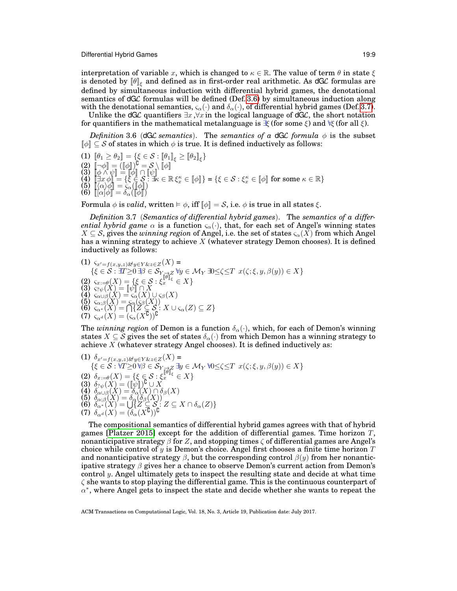interpretation of variable x, which is changed to  $\kappa \in \mathbb{R}$ . The value of term  $\theta$  in state  $\xi$ is denoted by  $\llbracket \theta \rrbracket_\xi$  and defined as in first-order real arithmetic. As dGL formulas are defined by simultaneous induction with differential hybrid games, the denotational semantics of dGL formulas will be defined (Def. [3.6\)](#page-8-0) by simultaneous induction along with the denotational semantics,  $\varsigma_{\alpha}(\cdot)$  and  $\delta_{\alpha}(\cdot)$ , of differential hybrid games (Def. [3.7\)](#page-8-1).

Unlike the dGL quantifiers  $\exists x, \forall x$  in the logical language of dGL, the short notation for quantifiers in the mathematical metalanguage is  $\mathcal{F}$  (for some  $\xi$ ) and  $\mathcal{F}$  (for all  $\xi$ ).

<span id="page-8-0"></span>*Definition* 3.6 (dGL *semantics*). The *semantics of a* dGL *formula*  $\phi$  is the subset

 $[\![\phi]\!] \subseteq S$  of states in which  $\phi$  is true. It is defined inductively as follows:<br>(1)  $[\![\theta_1 \geq \theta_2]\!] = {\{\xi \in S : [\![\theta_1]\!]_{\xi} \geq [\![\theta_2]\!]_{\xi}\}}$ (1)  $\begin{bmatrix} \theta_1 \geq \theta_2 \end{bmatrix} = \{ \xi \in \mathcal{S} : [\![\theta_1]\!]_{\xi} \geq [\![\theta_2]\!]_{\xi} \}$ <br>
(2)  $\begin{bmatrix} \neg \phi \end{bmatrix} = (\begin{bmatrix} \phi \end{bmatrix})^{\complement} = \mathcal{S} \setminus \mathbb{N}$  $(3)$   $[\phi \wedge \psi] = [\phi] \cap [\psi]$  $\widetilde{\mathcal{A}}\left(\begin{array}{c}\n\vdots \\
\hline\n\vdots \\
\hline\n\vdots \\
\hline\n\end{array}\right)$  =  $\{\xi \in \mathcal{S} : \xi_{\xi}^{\kappa} \in [\![\phi]\!] \} = \{\xi \in \mathcal{S} : \xi_{x}^{\kappa} \in [\![\phi]\!] \text{ for some } \kappa \in \mathbb{R}\}$ (5) [[hαiφ]] = ςα([[φ]]) (6) [[[α]φ]] = δα([[φ]])

Formula  $\phi$  is *valid*, written  $\models \phi$ , iff  $\llbracket \phi \rrbracket = S$ , i.e.  $\phi$  is true in all states  $\xi$ .

<span id="page-8-1"></span>*Definition* 3.7 (*Semantics of differential hybrid games*). The *semantics of a differential hybrid game*  $\alpha$  is a function  $\varsigma_{\alpha}(\cdot)$ , that, for each set of Angel's winning states  $X \subseteq S$ , gives the *winning region* of Angel, i.e. the set of states  $\varsigma_{\alpha}(X)$  from which Angel has a winning strategy to achieve X (whatever strategy Demon chooses). It is defined inductively as follows:

(1) 
$$
\begin{array}{l}\n\zeta_{x'=f(x,y,z)\&y\in Y&\&z\in Z}(X) = \\
\{\xi \in \mathcal{S} : \exists T \geq 0 \ \exists \beta \in \mathcal{S}_{Y \to Z} \ \forall y \in \mathcal{M}_Y \ \exists 0 \leq \zeta \leq T \ x(\zeta; \xi, y, \beta(y)) \in X\} \\
\text{(2)} \ \zeta_{x:=\beta}(X) = \{\xi \in \mathcal{S} : \xi_x^{\|\theta\|_{\xi}} \in X\} \\
\text{(3)} \ \zeta_{?}\psi(X) = \|\psi\| \cap X \\
\text{(4)} \ \zeta_{\alpha \cup \beta}(X) = \zeta_{\alpha}(X) \cup \zeta_{\beta}(X) \\
\text{(5)} \ \zeta_{\alpha; \beta}(X) = \zeta_{\alpha}(\zeta_{\beta}(X)) \\
\text{(6)} \ \zeta_{\alpha^*}(X) = \bigcap \{Z \subseteq \mathcal{S} : X \cup \zeta_{\alpha}(Z) \subseteq Z\} \\
\text{(7)} \ \zeta_{\alpha^d}(X) = (\zeta_{\alpha}(X^{\mathsf{G}}))^{\mathsf{G}}\n\end{array}
$$

The *winning region* of Demon is a function  $\delta_{\alpha}(\cdot)$ , which, for each of Demon's winning states  $X \subseteq S$  gives the set of states  $\delta_{\alpha}(\cdot)$  from which Demon has a winning strategy to achieve  $X$  (whatever strategy Angel chooses). It is defined inductively as:

(1) 
$$
\delta_{x'=f(x,y,z)\&y\in Y\&z\in Z}(X) =
$$
  
\n $\{\xi \in S : \forall T \geq 0 \forall \beta \in S_{Y \neq Z} \exists y \in \mathcal{M}_Y \forall 0 \leq \zeta \leq T \ x(\zeta; \xi, y, \beta(y)) \in X\}$   
\n(2)  $\delta_{x:=\theta}(X) = \{\xi \in S : \xi_x^{\|\theta\|_{\xi}} \in X\}$   
\n(3)  $\delta_{?y}(X) = (\llbracket \psi \rrbracket)^G \cup X$   
\n(4)  $\delta_{\alpha \cup \beta}(X) = \delta_{\alpha}(X) \cap \delta_{\beta}(X)$   
\n(5)  $\delta_{\alpha;\beta}(X) = \delta_{\alpha}(\delta_{\beta}(X))$   
\n(6)  $\delta_{\alpha^*}(X) = \bigcup \{Z \subseteq S : Z \subseteq X \cap \delta_{\alpha}(Z)\}$   
\n(7)  $\delta_{\alpha^d}(X) = (\delta_{\alpha}(X^G))^G$ 

The compositional semantics of differential hybrid games agrees with that of hybrid games [\[Platzer 2015\]](#page-42-5) except for the addition of differential games. Time horizon  $T$ , nonanticipative strategy  $\beta$  for Z, and stopping times  $\zeta$  of differential games are Angel's choice while control of  $y$  is Demon's choice. Angel first chooses a finite time horizon  $T$ and nonanticipative strategy  $\beta$ , but the corresponding control  $\beta(y)$  from her nonanticipative strategy  $\beta$  gives her a chance to observe Demon's current action from Demon's control y. Angel ultimately gets to inspect the resulting state and decide at what time  $\zeta$  she wants to stop playing the differential game. This is the continuous counterpart of  $\alpha^*$ , where Angel gets to inspect the state and decide whether she wants to repeat the

ACM Transactions on Computational Logic, Vol. 18, No. 3, Article 19, Publication date: July 2017.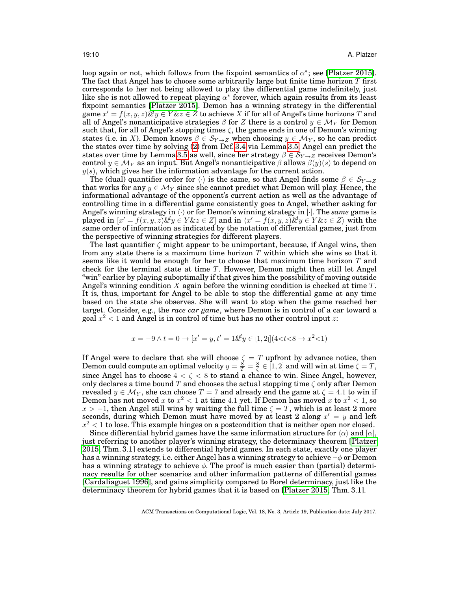loop again or not, which follows from the fixpoint semantics of  $\alpha^*$ ; see [\[Platzer 2015\]](#page-42-5). The fact that Angel has to choose some arbitrarily large but finite time horizon  $T$  first corresponds to her not being allowed to play the differential game indefinitely, just like she is not allowed to repeat playing  $\alpha^*$  forever, which again results from its least fixpoint semantics [\[Platzer 2015\]](#page-42-5). Demon has a winning strategy in the differential  $\text{game } x' = f(x, y, z) \& y \in Y \& z \in Z \text{ to achieve } X \text{ if for all of Angel's time horizons } T \text{ and }$ all of Angel's nonanticipative strategies  $\beta$  for Z there is a control  $y \in \mathcal{M}_Y$  for Demon such that, for all of Angel's stopping times  $\zeta$ , the game ends in one of Demon's winning states (i.e. in X). Demon knows  $\beta \in S_{Y\to Z}$  when choosing  $y \in \mathcal{M}_Y$ , so he can predict the states over time by solving [\(2\)](#page-6-0) from Def. [3.4](#page-6-2) via Lemma [3.5.](#page-6-1) Angel can predict the states over time by Lemma [3.5](#page-6-1) as well, since her strategy  $\beta \in S_{Y\rightarrow Z}$  receives Demon's control  $y \in \mathcal{M}_Y$  as an input. But Angel's nonanticipative  $\beta$  allows  $\beta(y)(s)$  to depend on  $y(s)$ , which gives her the information advantage for the current action.

The (dual) quantifier order for  $\langle \cdot \rangle$  is the same, so that Angel finds some  $\beta \in S_{Y\to Z}$ that works for any  $y \in \mathcal{M}_Y$  since she cannot predict what Demon will play. Hence, the informational advantage of the opponent's current action as well as the advantage of controlling time in a differential game consistently goes to Angel, whether asking for Angel's winning strategy in  $\langle \cdot \rangle$  or for Demon's winning strategy in [ $\cdot$ ]. The *same* game is played in  $[x' = f(x, y, z) \& y \in Y \& z \in Z]$  and in  $\langle x' = f(x, y, z) \& y \in Y \& z \in Z \rangle$  with the same order of information as indicated by the notation of differential games, just from the perspective of winning strategies for different players.

The last quantifier  $\zeta$  might appear to be unimportant, because, if Angel wins, then from any state there is a maximum time horizon  $T$  within which she wins so that it seems like it would be enough for her to choose that maximum time horizon  $T$  and check for the terminal state at time T. However, Demon might then still let Angel "win" earlier by playing suboptimally if that gives him the possibility of moving outside Angel's winning condition X again before the winning condition is checked at time  $T$ . It is, thus, important for Angel to be able to stop the differential game at any time based on the state she observes. She will want to stop when the game reached her target. Consider, e.g., the *race car game*, where Demon is in control of a car toward a goal  $x^2 < 1$  and Angel is in control of time but has no other control input  $z$ :

$$
x = -9 \land t = 0 \to [x' = y, t' = 1 \& y \in [1, 2]] (4 < t < 8 \to x^2 < 1)
$$

If Angel were to declare that she will choose  $\zeta = T$  upfront by advance notice, then Demon could compute an optimal velocity  $y=\frac{8}{T}=\frac{8}{\zeta}\in [1,2]$  and will win at time  $\zeta=T,$ since Angel has to choose  $4 < \zeta < 8$  to stand a chance to win. Since Angel, however, only declares a time bound T and chooses the actual stopping time  $\zeta$  only after Demon revealed  $y \in \mathcal{M}_Y$ , she can choose  $T = 7$  and already end the game at  $\zeta = 4.1$  to win if Demon has not moved  $x$  to  $x^2 < 1$  at time 4.1 yet. If Demon has moved  $x$  to  $x^2 < 1$ , so  $x > -1$ , then Angel still wins by waiting the full time  $\zeta = T$ , which is at least 2 more seconds, during which Demon must have moved by at least 2 along  $x' = y$  and left  $x^2 < 1$  to lose. This example hinges on a postcondition that is neither open nor closed.

<span id="page-9-0"></span>Since differential hybrid games have the same information structure for  $\langle \alpha \rangle$  and  $\langle \alpha \rangle$ , just referring to another player's winning strategy, the determinacy theorem [\[Platzer](#page-42-5) [2015,](#page-42-5) Thm. 3.1] extends to differential hybrid games. In each state, exactly one player has a winning strategy, i.e. either Angel has a winning strategy to achieve  $\neg \phi$  or Demon has a winning strategy to achieve  $\phi$ . The proof is much easier than (partial) determinacy results for other scenarios and other information patterns of differential games [\[Cardaliaguet 1996\]](#page-41-11), and gains simplicity compared to Borel determinacy, just like the determinacy theorem for hybrid games that it is based on [\[Platzer 2015,](#page-42-5) Thm. 3.1].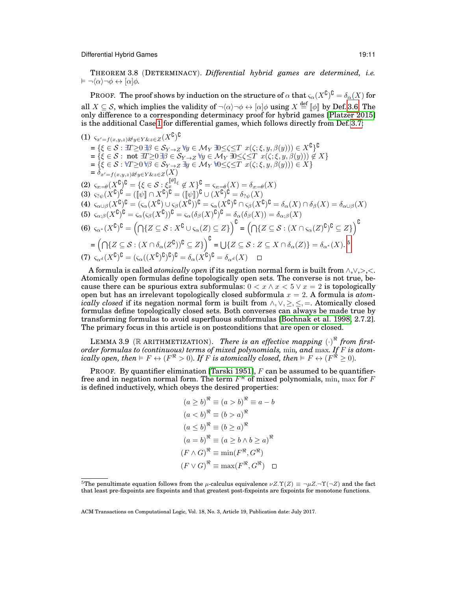THEOREM 3.8 (DETERMINACY). *Differential hybrid games are determined, i.e.*  $\vDash \neg \langle \alpha \rangle \neg \phi \leftrightarrow [\alpha] \phi$ .

<code>PROOF. The proof shows</code> by induction on the structure of  $\alpha$  that  $\varsigma_\alpha(X^\complement)^\complement = \delta_\alpha(X)$  for all  $X \subseteq S$ , which implies the validity of  $\neg \langle \alpha \rangle \neg \phi \leftrightarrow [\alpha] \phi$  using  $X \stackrel{\text{def}}{=} [\![ \phi ]\!]$  by Def. [3.6.](#page-8-0) The only difference to a corresponding determinacy proof for hybrid games [\[Platzer 2015\]](#page-42-5) is the additional Case [1](#page-10-0) for differential games, which follows directly from Def. [3.7:](#page-8-1)

<span id="page-10-0"></span> $\text{(1)}$   $\varsigma_{x'=f(x,y,z)}$ &y $\in$ Y & z $\in$  Z $(X^{\complement})^{\complement}$  $=\{\xi\in\mathcal{S}:\exists T\geq 0\,\exists\beta\in\mathcal{S}_Y\rightarrow Z\,\forall y\in\mathcal{M}_Y\,\exists 0\leq \zeta\leq T\,\,x(\zeta;\xi,y,\beta(y)))\in X^{\complement}\}^{\complement}$  $=\{\xi \in \mathcal{S} : \text{not } \exists T \geq 0 \exists \beta \in \mathcal{S}_{Y \to Z} \ \forall y \in \mathcal{M}_Y \ \exists 0 \leq \zeta \leq T \ x(\zeta; \xi, y, \beta(y)) \notin X\}$  $=\{\xi\in\mathcal{S}: \forall T\geq 0\,\forall\beta\in\mathcal{S}_{Y\to Z}\,\exists y\in\mathcal{M}_Y\,\forall 0\leq\zeta\leq T\,\,x(\zeta;\xi,y,\beta(y)))\in X\}$  $=\delta_{x'=f(x,y,z)}\&y\in Y\&z\in Z(X)$ (2)  $\varsigma_{x=\theta}(X^{\complement})^{\complement} = \{\xi \in \mathcal{S} : \xi_x^{\llbracket \theta \rrbracket_{\xi}} \notin X\}_{\Omega}^{\complement} = \varsigma_{x=\theta}(X) = \delta_{x=\theta}(X)$ (3)  $\varsigma_{? \psi}(X^{0})^{\complement} = (\llbracket \psi \rrbracket \cap X^{\complement})^{\complement} = (\llbracket \psi \rrbracket)^{\complement} \cup (X^{\complement})^{\complement} = \delta_{? \psi}(X)$ (4)  $\varsigma_{\alpha\cup\beta}(X^{\complement})^{\complement} = (\varsigma_{\alpha}(X^{\complement}) \cup \varsigma_{\beta}(X^{\complement}))^{\complement} = \varsigma_{\alpha}(X^{\complement})^{\complement} \cap \varsigma_{\beta}(X^{\complement})^{\complement} = \delta_{\alpha}(X) \cap \delta_{\beta}(X) = \delta_{\alpha\cup\beta}(X)$ (5)  $\varsigma_{\alpha;\beta}(X^{\complement})^{\complement} = \varsigma_{\alpha}(\varsigma_{\beta}(X^{\complement}))^{\complement} = \varsigma_{\alpha}(\delta_{\beta}(X)^{\complement})^{\complement} = \delta_{\alpha}(\delta_{\beta}(X)) = \delta_{\alpha;\beta}(X)$  $(6)$   $\varsigma_{\alpha^*}(X^{\complement})^{\complement} = (\bigcap\{Z\subseteq\mathcal{S}: X^{\complement}\cup\varsigma_{\alpha}(Z)\subseteq Z\}\big)^{\complement} = (\bigcap\{Z\subseteq\mathcal{S}: (X\cap\varsigma_{\alpha}(Z)^{\complement})^{\complement}\subseteq Z\}\big)^{\complement}$  $=\left(\bigcap\{Z\subseteq\mathcal{S}: (X\cap\delta_{\alpha}(Z^{\complement}))^{\complement}\subseteq Z\}\right)^{\complement}=\bigcup\{Z\subseteq\mathcal{S}: Z\subseteq X\cap\delta_{\alpha}(Z)\}=\delta_{\alpha^*}(X).$ <sup>[5](#page-10-1)</sup>  $(7)$   $\varsigma_{\alpha^d}(X^{\complement})^{\complement} = (\varsigma_{\alpha}((X^{\complement})^{\complement})^{\complement})^{\complement} = \delta_{\alpha}(X^{\complement})^{\complement} = \delta_{\alpha^d}(X)$ 

A formula is called *atomically open* if its negation normal form is built from ∧,∨,>,<. Atomically open formulas define topologically open sets. The converse is not true, because there can be spurious extra subformulas:  $0 < x \wedge x < 5 \vee x = 2$  is topologically open but has an irrelevant topologically closed subformula x = 2. A formula is *atomically closed* if its negation normal form is built from  $\land, \lor, \geq, \leq, =$ . Atomically closed formulas define topologically closed sets. Both converses can always be made true by transforming formulas to avoid superfluous subformulas [\[Bochnak et al. 1998,](#page-41-12) 2.7.2]. The primary focus in this article is on postconditions that are open or closed.

<span id="page-10-2"></span>LEMMA 3.9 (R ARITHMETIZATION). *There is an effective mapping*  $(\cdot)^{\pi}$  *from firstorder formulas to (continuous) terms of mixed polynomials,* min*, and* max*. If* F *is atomically open, then*  $\models F \leftrightarrow (F^{\Re} > 0)$ *. If F is atomically closed, then*  $\models F \leftrightarrow (F^{\Re} \geq 0)$ *.* 

PROOF. By quantifier elimination [\[Tarski 1951\]](#page-42-12),  $F$  can be assumed to be quantifierfree and in negation normal form. The term  $F^\Re$  of mixed polynomials,  $\min, \max$  for  $F$ is defined inductively, which obeys the desired properties:

$$
(a \ge b)^{\mathcal{R}} \equiv (a > b)^{\mathcal{R}} \equiv a - b
$$

$$
(a < b)^{\mathcal{R}} \equiv (b > a)^{\mathcal{R}}
$$

$$
(a \le b)^{\mathcal{R}} \equiv (b \ge a)^{\mathcal{R}}
$$

$$
(a = b)^{\mathcal{R}} \equiv (a \ge b \land b \ge a)^{\mathcal{R}}
$$

$$
(F \land G)^{\mathcal{R}} \equiv \min(F^{\mathcal{R}}, G^{\mathcal{R}})
$$

$$
(F \lor G)^{\mathcal{R}} \equiv \max(F^{\mathcal{R}}, G^{\mathcal{R}}) \square
$$

<span id="page-10-1"></span><sup>&</sup>lt;sup>5</sup>The penultimate equation follows from the  $\mu$ -calculus equivalence  $\nu Z.\Upsilon(Z) \equiv \neg \mu Z.\neg \Upsilon(\neg Z)$  and the fact that least pre-fixpoints are fixpoints and that greatest post-fixpoints are fixpoints for monotone functions.

ACM Transactions on Computational Logic, Vol. 18, No. 3, Article 19, Publication date: July 2017.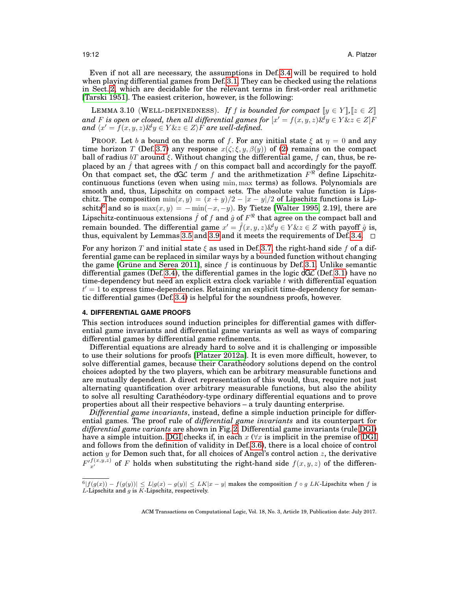Even if not all are necessary, the assumptions in Def. [3.4](#page-6-2) will be required to hold when playing differential games from Def. [3.1.](#page-3-1) They can be checked using the relations in Sect. [2,](#page-2-2) which are decidable for the relevant terms in first-order real arithmetic [\[Tarski 1951\]](#page-42-12). The easiest criterion, however, is the following:

<span id="page-11-2"></span>LEMMA 3.10 (WELL-DEFINEDNESS). *If f is bounded for compact*  $[y \in Y]$ ,  $[z \in Z]$ and *F* is open or closed, then all differential games for  $[x' = f(x, y, z) \& y \in Y \& z \in Z]F$  $and \langle x' = f(x, y, z) \& y \in Y \& z \in Z \rangle$  *F* are well-defined.

PROOF. Let b a bound on the norm of f. For any initial state  $\xi$  at  $\eta = 0$  and any time horizon T (Def. [3.7\)](#page-8-1) any response  $x(\zeta;\xi,y,\beta(y))$  of [\(2\)](#page-6-0) remains on the compact ball of radius  $bT$  around  $\xi$ . Without changing the differential game, f can, thus, be replaced by an  $\hat{f}$  that agrees with f on this compact ball and accordingly for the payoff. On that compact set, the dGL term f and the arithmetization  $F^{\mathcal{R}}$  define Lipschitzcontinuous functions (even when using min, max terms) as follows. Polynomials are smooth and, thus, Lipschitz on compact sets. The absolute value function is Lipschitz. The composition  $\min(x, y) = (x + y)/2 - |x - y|/2$  of Lipschitz functions is Lip-schitz<sup>[6](#page-11-1)</sup> and so is  $\max(x, y) = -\min(-x, -y)$ . By Tietze [\[Walter 1995,](#page-42-11) 2.19], there are Lipschitz-continuous extensions  $\hat{f}$  of  $f$  and  $\hat{g}$  of  $F^\Re$  that agree on the compact ball and remain bounded. The differential game  $x' = \hat{f}(x, y, z) \& y \in Y \& z \in Z$  with payoff  $\hat{g}$  is, thus, equivalent by Lemmas [3.5](#page-6-1) and [3.9](#page-10-2) and it meets the requirements of Def. [3.4.](#page-6-2)  $\Box$ 

For any horizon T and initial state  $\xi$  as used in Def. [3.7,](#page-8-1) the right-hand side f of a differential game can be replaced in similar ways by a bounded function without changing the game [Grüne and Serea 2011], since  $f$  is continuous by Def. [3.1.](#page-3-1) Unlike semantic differential games (Def. [3.4\)](#page-6-2), the differential games in the logic  $dG\mathcal{L}$  (Def. [3.1\)](#page-3-1) have no time-dependency but need an explicit extra clock variable  $t$  with differential equation  $t'=1$  to express time-dependencies. Retaining an explicit time-dependency for semantic differential games (Def. [3.4\)](#page-6-2) is helpful for the soundness proofs, however.

# <span id="page-11-0"></span>**4. DIFFERENTIAL GAME PROOFS**

This section introduces sound induction principles for differential games with differential game invariants and differential game variants as well as ways of comparing differential games by differential game refinements.

Differential equations are already hard to solve and it is challenging or impossible to use their solutions for proofs [\[Platzer 2012a\]](#page-42-10). It is even more difficult, however, to solve differential games, because their Caratheodory solutions depend on the control choices adopted by the two players, which can be arbitrary measurable functions and are mutually dependent. A direct representation of this would, thus, require not just alternating quantification over arbitrary measurable functions, but also the ability to solve all resulting Carathéodory-type ordinary differential equations and to prove properties about all their respective behaviors – a truly daunting enterprise.

*Differential game invariants*, instead, define a simple induction principle for differential games. The proof rule of *differential game invariants* and its counterpart for *differential game variants* are shown in Fig. [2.](#page-12-0) Differential game invariants (rule [DGI\)](#page-12-1) have a simple intuition. [DGI](#page-12-1) checks if, in each  $x \, (\forall x$  is implicit in the premise of DGI and follows from the definition of validity in Def. [3.6\)](#page-8-0), there is a local choice of control action  $y$  for Demon such that, for all choices of Angel's control action  $z$ , the derivative  $F'_{x'}^{f(x,y,z)}$  of F holds when substituting the right-hand side  $f(x, y, z)$  of the differen-

<span id="page-11-1"></span> $\frac{6|f(g(x)) - f(g(y))|}{f(g(x)) - g(y)|} \leq L|x(x) - y|$  makes the composition  $f \circ g LK$ -Lipschitz when f is  $L$ -Lipschitz and  $q$  is  $K$ -Lipschitz, respectively.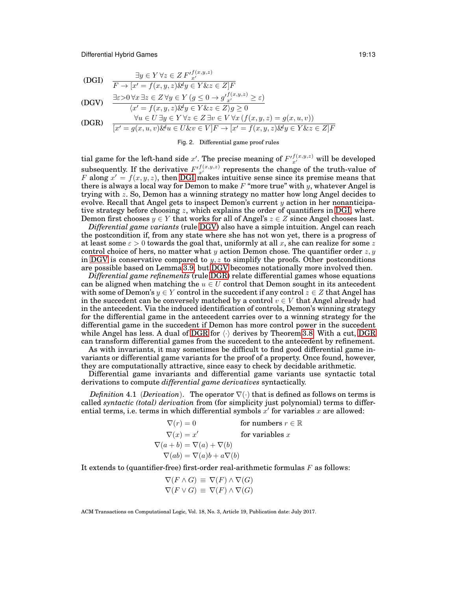$$
\text{(DGI)} \quad \frac{\exists y \in Y \,\forall z \in Z \, F'_{x'}^{f(x,y,z)}}{F \to [x' = f(x,y,z) \& y \in Y \& z \in Z]F}
$$

<span id="page-12-1"></span>
$$
1 \quad (x - j)(x, y, z) \propto y \subset 1 \text{ or } z \subset z
$$

(DGV) 
$$
\frac{\exists \varepsilon > 0 \,\forall x \,\exists z \in Z \,\forall y \in Y \,(g \leq 0 \to g' \frac{f(x, y, z)}{x'} \geq \varepsilon)}{\langle x' = f(x, y, z) \& y \in Y \& z \in Z \rangle g \geq 0}
$$

<span id="page-12-3"></span><span id="page-12-2"></span>(DGR) 
$$
\forall u \in U \exists y \in Y \forall z \in Z \exists v \in V \forall x (f(x, y, z) = g(x, u, v))
$$

$$
[x' = g(x, u, v) \& u \in U \& v \in V]F \rightarrow [x' = f(x, y, z) \& y \in Y \& z \in Z]F
$$

<span id="page-12-0"></span>Fig. 2. Differential game proof rules

tial game for the left-hand side  $x'$ . The precise meaning of  $F^{(f(x,y,z)}_{x'}$  will be developed subsequently. If the derivative  $F^{(f(x,y,z)}_{x'}$  represents the change of the truth-value of F along  $x' = f(x, y, z)$ , then [DGI](#page-12-1) makes intuitive sense since its premise means that there is always a local way for Demon to make  $F$  "more true" with y, whatever Angel is trying with z. So, Demon has a winning strategy no matter how long Angel decides to evolve. Recall that Angel gets to inspect Demon's current  $y$  action in her nonanticipa-tive strategy before choosing z, which explains the order of quantifiers in [DGI,](#page-12-1) where Demon first chooses  $y \in Y$  that works for all of Angel's  $z \in Z$  since Angel chooses last.

*Differential game variants* (rule [DGV\)](#page-12-2) also have a simple intuition. Angel can reach the postcondition if, from any state where she has not won yet, there is a progress of at least some  $\varepsilon > 0$  towards the goal that, uniformly at all x, she can realize for some z control choice of hers, no matter what y action Demon chose. The quantifier order  $z, y$ in [DGV](#page-12-2) is conservative compared to  $y, z$  to simplify the proofs. Other postconditions are possible based on Lemma [3.9,](#page-10-2) but [DGV](#page-12-2) becomes notationally more involved then.

*Differential game refinements* (rule [DGR\)](#page-12-3) relate differential games whose equations can be aligned when matching the  $u \in U$  control that Demon sought in its antecedent with some of Demon's  $y \in Y$  control in the succedent if any control  $z \in Z$  that Angel has in the succedent can be conversely matched by a control  $v \in V$  that Angel already had in the antecedent. Via the induced identification of controls, Demon's winning strategy for the differential game in the antecedent carries over to a winning strategy for the differential game in the succedent if Demon has more control power in the succedent while Angel has less. A dual of [DGR](#page-12-3) for  $\langle \cdot \rangle$  derives by Theorem [3.8.](#page-9-0) With a cut, DGR can transform differential games from the succedent to the antecedent by refinement.

As with invariants, it may sometimes be difficult to find good differential game invariants or differential game variants for the proof of a property. Once found, however, they are computationally attractive, since easy to check by decidable arithmetic.

Differential game invariants and differential game variants use syntactic total derivations to compute *differential game derivatives* syntactically.

<span id="page-12-4"></span>*Definition* 4.1 (*Derivation*). The operator  $\nabla(\cdot)$  that is defined as follows on terms is called *syntactic (total) derivation* from (for simplicity just polynomial) terms to differential terms, i.e. terms in which differential symbols  $x'$  for variables  $x$  are allowed:

| $\nabla(r)=0$                          | for numbers $r \in \mathbb{R}$ |
|----------------------------------------|--------------------------------|
| $\nabla(x) = x'$                       | for variables $x$              |
| $\nabla(a+b) = \nabla(a) + \nabla(b)$  |                                |
| $\nabla(ab) = \nabla(a)b + a\nabla(b)$ |                                |

It extends to (quantifier-free) first-order real-arithmetic formulas  $F$  as follows:

$$
\nabla(F \wedge G) \equiv \nabla(F) \wedge \nabla(G)
$$
  

$$
\nabla(F \vee G) \equiv \nabla(F) \wedge \nabla(G)
$$

ACM Transactions on Computational Logic, Vol. 18, No. 3, Article 19, Publication date: July 2017.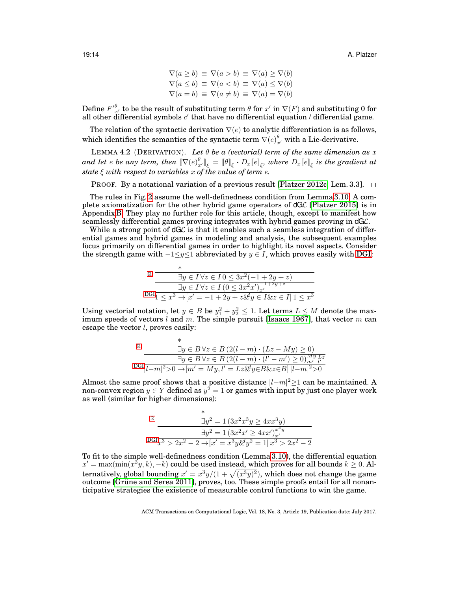<span id="page-13-0"></span>
$$
\nabla(a \ge b) \equiv \nabla(a > b) \equiv \nabla(a) \ge \nabla(b)
$$
  

$$
\nabla(a \le b) \equiv \nabla(a < b) \equiv \nabla(a) \le \nabla(b)
$$
  

$$
\nabla(a = b) \equiv \nabla(a \ne b) \equiv \nabla(a) = \nabla(b)
$$

Define  $F^{\theta}_{\tau}$  to be the result of substituting term  $\theta$  for x' in  $\nabla(F)$  and substituting 0 for all other differential symbols  $c^\prime$  that have no differential equation / differential game.

The relation of the syntactic derivation  $\nabla(e)$  to analytic differentiation is as follows, which identifies the semantics of the syntactic term  $\nabla(e)^\theta_{x'}$  with a Lie-derivative.

LEMMA 4.2 (DERIVATION). Let  $\theta$  be a (vectorial) term of the same dimension as x and let  $e$  be any term, then  $\llbracket \nabla (e)_{x'}^\theta \rrbracket_\xi = \llbracket \theta \rrbracket_\xi \cdot D_x \llbracket e \rrbracket_\xi$ , where  $D_x \llbracket e \rrbracket_\xi$  is the gradient at *state* ξ *with respect to variables* x *of the value of term* e*.*

**PROOF.** By a notational variation of a previous result [\[Platzer 2012c,](#page-42-14) Lem. 3.3].  $\Box$ 

The rules in Fig. [2](#page-12-0) assume the well-definedness condition from Lemma [3.10.](#page-11-2) A complete axiomatization for the other hybrid game operators of  $dG\mathcal{L}$  [\[Platzer 2015\]](#page-42-5) is in Appendix [B.](#page-37-0) They play no further role for this article, though, except to manifest how seamlessly differential games proving integrates with hybrid games proving in dGL.

While a strong point of  $dG\mathcal{L}$  is that it enables such a seamless integration of differential games and hybrid games in modeling and analysis, the subsequent examples focus primarily on differential games in order to highlight its novel aspects. Consider the strength game with  $-1 \leq y \leq 1$  abbreviated by  $y \in I$ , which proves easily with [DGI:](#page-12-1)

$$
\begin{array}{r}\n \mathbb{R} \quad \frac{4}{-3y \in I \,\forall z \in I \,0 \le 3x^2(-1+2y+z)} \\
 \frac{1}{-3y \in I \,\forall z \in I \,(0 \le 3x^2x')_{x'}^{-1+2y+z}} \\
 \text{DGI}_{1} \le x^3 \rightarrow [x' = -1 + 2y + z \& y \in I \& z \in I] \,1 \le x^3\n \end{array}
$$

Using vectorial notation, let  $y \in B$  be  $y_1^2 + y_2^2 \le 1$ . Let terms  $L \le M$  denote the maximum speeds of vectors  $l$  and  $m$ . The simple pursuit [\[Isaacs 1967\]](#page-41-0), that vector  $m$  can escape the vector  $l$ , proves easily:

| $\mathbb R$ |                                                                                        |
|-------------|----------------------------------------------------------------------------------------|
|             | $\exists y \in B \forall z \in B \left( 2(l-m) \cdot (Lz - My) \geq 0 \right)$         |
|             | $\exists y \in B \forall z \in B \left(2(l-m)\cdot (l'-m')\geq 0\right)_{m'}^{My} L^z$ |
|             | $DGI l-m ^{2} > 0 \rightarrow  m' = My, l' = Lz \& y \in B \& z \in B   l-m ^{2} > 0$  |

Almost the same proof shows that a positive distance  $|l-m|^2 \geq 1$  can be maintained. A non-convex region  $y \in Y$  defined as  $y^2 = 1$  or games with input by just one player work as well (similar for higher dimensions):

$$
\begin{array}{r}\n\mathbb{R} \quad \frac{\frac{2}{3}y^2 = 1 \left(3x^2x^3y \ge 4xx^3y\right)}{3y^2 = 1 \left(3x^2x' \ge 4xx'\right)x'} \\
\text{DGI}_{x^3 > 2x^2 - 2 \rightarrow [x' = x^3y \& y^2 = 1]x^3 > 2x^2 - 2\n\end{array}
$$

To fit to the simple well-definedness condition (Lemma [3.10\)](#page-11-2), the differential equation  $x' = \max(\min(x^3y, k), -k)$  could be used instead, which proves for all bounds  $k \geq 0$ . Alternatively, global bounding  $x' = x^3y/(1+\sqrt{(x^3y)^2})$ , which does not change the game outcome [Grüne and Serea 2011], proves, too. These simple proofs entail for all nonanticipative strategies the existence of measurable control functions to win the game.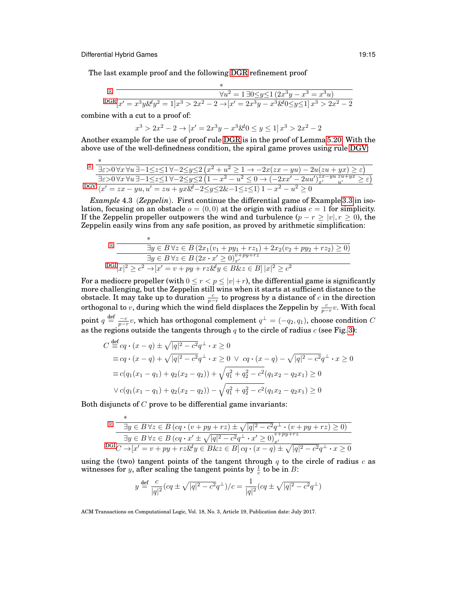∗

The last example proof and the following [DGR](#page-12-3) refinement proof

$$
\mathbb{R} \xrightarrow{\qquad \qquad \forall u^2 = 1 \exists 0 \le y \le 1 \left( 2x^3y - x^3 = x^3u \right)}
$$
\n
$$
\text{DGR} \xrightarrow{\qquad \qquad \forall u^2 = 1 \exists 0 \le y \le 1 \left( 2x^3y - x^3 = x^3u \right)}
$$
\n
$$
\text{DGR} \xrightarrow{\qquad \qquad \forall u^2 = 1 \exists 0 \le y \le 1 \left( 2x^3y - x^3 = x^3u \right)}
$$

combine with a cut to a proof of:

∗

$$
x^3 > 2x^2 - 2 \to [x' = 2x^3y - x^3 \& 0 \le y \le 1] \, x^3 > 2x^2 - 2
$$

Another example for the use of proof rule [DGR](#page-12-3) is in the proof of Lemma [5.20.](#page-27-0) With the above use of the well-definedness condition, the spiral game proves using rule [DGV:](#page-12-2)

| $\frac{\mathbb{R}}{\sqrt{2\pi}}\frac{1}{\sqrt{2\pi}}\forall u\,\exists -1\leq z\leq 1\,\forall -2\leq y\leq 2\left(x^2+u^2\geq 1\rightarrow -2x(zx-yu)-2u(zu+yx)\geq \varepsilon\right)$                              |  |
|-----------------------------------------------------------------------------------------------------------------------------------------------------------------------------------------------------------------------|--|
|                                                                                                                                                                                                                       |  |
| $\exists \varepsilon > 0 \forall x \forall u \exists -1 \leq z \leq 1 \forall -2 \leq y \leq 2 \left(1 - x^2 - u^2 \leq 0 \rightarrow \left(-2xx' - 2uu'\right)_{x'}^{zx - yu} \frac{zu}{u'} \geq \varepsilon\right)$ |  |
| DGV $\chi' = zx - yu, u' = zu + yx\& -2 \le y \le 2\& -1 \le z \le 1$ $1 - x^2 - u^2 \ge 0$                                                                                                                           |  |

*Example* 4.3 (*Zeppelin*). First continue the differential game of Example [3.3](#page-4-1) in isolation, focusing on an obstacle  $o = (0,0)$  at the origin with radius  $c = 1$  for simplicity. If the Zeppelin propeller outpowers the wind and turbulence  $(p - r \ge |v|, r \ge 0)$ , the Zeppelin easily wins from any safe position, as proved by arithmetic simplification:

$$
\mathbb{E} \frac{\exists y \in B \forall z \in B (2x_1(v_1 + py_1 + rz_1) + 2x_2(v_2 + py_2 + rz_2) \ge 0)}{\exists y \in B \forall z \in B (2x \cdot x' \ge 0)^{v+py+rz}_{x'} }
$$
  
 
$$
DGI|x|^2 \ge c^2 \rightarrow [x' = v + py + rz\&\&y \in B\&z \in B] |x|^2 \ge c^2
$$

For a mediocre propeller (with  $0 \le r < p \le |v|+r$ ), the differential game is significantly more challenging, but the Zeppelin still wins when it starts at sufficient distance to the obstacle. It may take up to duration  $\frac{c}{p-r}$  to progress by a distance of c in the direction orthogonal to v, during which the wind field displaces the Zeppelin by  $\frac{c}{p-r}v$ . With focal point  $q \stackrel{\text{def}}{=} \frac{-c}{p-r}v$ , which has orthogonal complement  $q^{\perp} = (-q_2, q_1)$ , choose condition C as the regions outside the tangents through  $q$  to the circle of radius  $c$  (see Fig. [3\)](#page-15-0):

$$
C \stackrel{\text{def}}{=} cq \cdot (x - q) \pm \sqrt{|q|^2 - c^2} q^{\perp} \cdot x \ge 0
$$
  
\n
$$
\equiv cq \cdot (x - q) + \sqrt{|q|^2 - c^2} q^{\perp} \cdot x \ge 0 \ \lor \ cq \cdot (x - q) - \sqrt{|q|^2 - c^2} q^{\perp} \cdot x \ge 0
$$
  
\n
$$
\equiv c(q_1(x_1 - q_1) + q_2(x_2 - q_2)) + \sqrt{q_1^2 + q_2^2 - c^2} (q_1 x_2 - q_2 x_1) \ge 0
$$
  
\n
$$
\lor c(q_1(x_1 - q_1) + q_2(x_2 - q_2)) - \sqrt{q_1^2 + q_2^2 - c^2} (q_1 x_2 - q_2 x_1) \ge 0
$$

Both disjuncts of  $C$  prove to be differential game invariants:

$$
\frac{\mathbb{R}}{\exists y \in B \forall z \in B \left( cq \cdot (v + py + rz) \pm \sqrt{|q|^2 - c^2} q^{\perp} \cdot (v + py + rz) \ge 0 \right)}
$$
\n
$$
\frac{\exists y \in B \forall z \in B \left( cq \cdot x' \pm \sqrt{|q|^2 - c^2} q^{\perp} \cdot x' \ge 0 \right)_{x'}^{v + py + rz}}{\text{DGIC} \rightarrow [x' = v + py + rz \& y \in B \& z \in B] \, cq \cdot (x - q) \pm \sqrt{|q|^2 - c^2} q^{\perp} \cdot x \ge 0}
$$

using the (two) tangent points of the tangent through  $q$  to the circle of radius  $c$  as witnesses for *y*, after scaling the tangent points by  $\frac{1}{c}$  to be in *B*:

$$
y \stackrel{\text{def}}{=} \frac{c}{|q|^2} (cq \pm \sqrt{|q|^2 - c^2} q^{\perp})/c = \frac{1}{|q|^2} (cq \pm \sqrt{|q|^2 - c^2} q^{\perp})
$$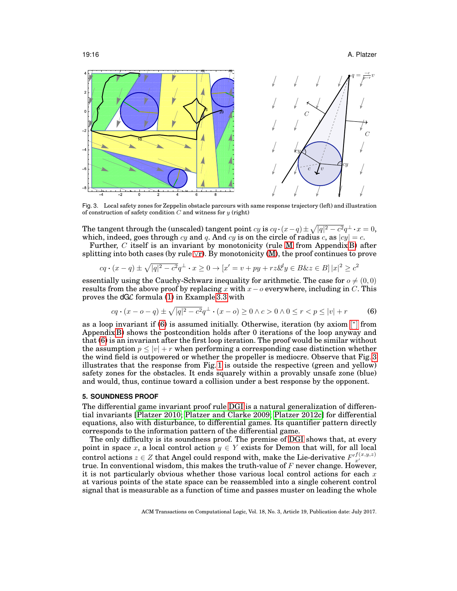#### 19:16 A. Platzer



<span id="page-15-0"></span>Fig. 3. Local safety zones for Zeppelin obstacle parcours with same response trajectory (left) and illustration of construction of safety condition  $C$  and witness for  $y$  (right)

The tangent through the (unscaled) tangent point  $cy$  is  $cq \cdot (x-q) \pm \sqrt{|q|^2-c^2}q^{\perp} \cdot x = 0$ , which, indeed, goes through cy and q. And cy is on the circle of radius c, as  $|cy| = c$ .

Further, C itself is an invariant by monotonicity (rule [M](#page-37-1) from Appendix [B\)](#page-37-0) after splitting into both cases (by rule  $\forall$ [r\)](#page-0-0). By monotonicity [\(M\)](#page-37-1), the proof continues to prove

$$
cq \cdot (x - q) \pm \sqrt{|q|^2 - c^2} q^{\perp} \cdot x \ge 0 \to [x' = v + py + rz\&y \in B\&z \in B] |x|^2 \ge c^2
$$

essentially using the Cauchy-Schwarz inequality for arithmetic. The case for  $o \neq (0, 0)$ results from the above proof by replacing x with  $x-o$  everywhere, including in C. This proves the  $dG\mathcal{L}$  formula [\(1\)](#page-5-1) in Example [3.3](#page-4-1) with

<span id="page-15-1"></span>
$$
cq \cdot (x - o - q) \pm \sqrt{|q|^2 - c^2} q^{\perp} \cdot (x - o) \ge 0 \land c > 0 \land 0 \le r < p \le |v| + r
$$
 (6)

as a loop invariant if  $(6)$  is assumed initially. Otherwise, iteration (by axiom  $\lbrack$ <sup>\*</sup>  $\rbrack$  from Appendix [B\)](#page-37-0) shows the postcondition holds after 0 iterations of the loop anyway and that [\(6\)](#page-15-1) is an invariant after the first loop iteration. The proof would be similar without the assumption  $p \leq |v| + r$  when performing a corresponding case distinction whether the wind field is outpowered or whether the propeller is mediocre. Observe that Fig. [3](#page-15-0) illustrates that the response from Fig. [1](#page-5-0) is outside the respective (green and yellow) safety zones for the obstacles. It ends squarely within a provably unsafe zone (blue) and would, thus, continue toward a collision under a best response by the opponent.

# **5. SOUNDNESS PROOF**

The differential game invariant proof rule [DGI](#page-12-1) is a natural generalization of differential invariants [\[Platzer 2010;](#page-42-15) [Platzer and Clarke 2009;](#page-42-16) [Platzer 2012c\]](#page-42-14) for differential equations, also with disturbance, to differential games. Its quantifier pattern directly corresponds to the information pattern of the differential game.

The only difficulty is its soundness proof. The premise of [DGI](#page-12-1) shows that, at every point in space x, a local control action  $y \in Y$  exists for Demon that will, for all local control actions  $z \in Z$  that Angel could respond with, make the Lie-derivative  $F^{(f(x,y,z)}_{x'}$ true. In conventional wisdom, this makes the truth-value of  $F$  never change. However, it is not particularly obvious whether those various local control actions for each  $x$ at various points of the state space can be reassembled into a single coherent control signal that is measurable as a function of time and passes muster on leading the whole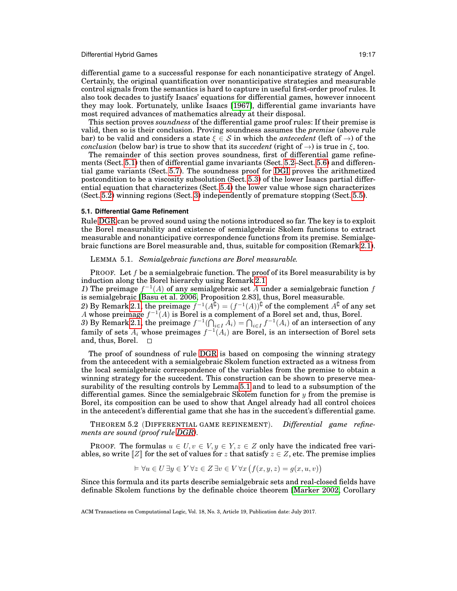differential game to a successful response for each nonanticipative strategy of Angel. Certainly, the original quantification over nonanticipative strategies and measurable control signals from the semantics is hard to capture in useful first-order proof rules. It also took decades to justify Isaacs' equations for differential games, however innocent they may look. Fortunately, unlike Isaacs [\[1967\]](#page-41-0), differential game invariants have most required advances of mathematics already at their disposal.

This section proves *soundness* of the differential game proof rules: If their premise is valid, then so is their conclusion. Proving soundness assumes the *premise* (above rule bar) to be valid and considers a state  $\xi \in S$  in which the *antecedent* (left of  $\rightarrow$ ) of the *conclusion* (below bar) is true to show that its *succedent* (right of  $\rightarrow$ ) is true in  $\xi$ , too.

The remainder of this section proves soundness, first of differential game refinements (Sect. [5.1\)](#page-16-0) then of differential game invariants (Sect. [5.2–](#page-18-0)Sect. [5.6\)](#page-28-0) and differential game variants (Sect. [5.7\)](#page-32-0). The soundness proof for [DGI](#page-12-1) proves the arithmetized postcondition to be a viscosity subsolution (Sect. [5.3\)](#page-22-0) of the lower Isaacs partial differential equation that characterizes (Sect. [5.4\)](#page-25-0) the lower value whose sign characterizes (Sect. [5.2\)](#page-18-0) winning regions (Sect. [3\)](#page-3-2) independently of premature stopping (Sect. [5.5\)](#page-26-0).

# <span id="page-16-0"></span>**5.1. Differential Game Refinement**

Rule [DGR](#page-12-3) can be proved sound using the notions introduced so far. The key is to exploit the Borel measurability and existence of semialgebraic Skolem functions to extract measurable and nonanticipative correspondence functions from its premise. Semialgebraic functions are Borel measurable and, thus, suitable for composition (Remark [2.1\)](#page-2-3).

<span id="page-16-1"></span>LEMMA 5.1. *Semialgebraic functions are Borel measurable.*

**PROOF.** Let  $f$  be a semialgebraic function. The proof of its Borel measurability is by induction along the Borel hierarchy using Remark [2.1.](#page-2-3)

1) The preimage  $f^{-1}(A)$  of any semialgebraic set A under a semialgebraic function f is semialgebraic [\[Basu et al. 2006,](#page-41-14) Proposition 2.83], thus, Borel measurable.

2) By Remark [2.1,](#page-2-3) the preimage  $f^{-1}(A^{\mathbf{C}}) = (f^{-1}(A))^{\mathbf{C}}$  of the complement  $A^{\mathbf{C}}$  of any set A whose preimage  $f^{-1}(A)$  is Borel is a complement of a Borel set and, thus, Borel.

3) By Remark [2.1,](#page-2-3) the preimage  $f^{-1}(\bigcap_{i\in I} \bar{A}_i) = \bigcap_{i\in I} f^{-1}(A_i)$  of an intersection of any family of sets  $A_i$  whose preimages  $f^{-1}(A_i)$  are Borel, is an intersection of Borel sets and, thus, Borel.  $\square$ 

The proof of soundness of rule [DGR](#page-12-3) is based on composing the winning strategy from the antecedent with a semialgebraic Skolem function extracted as a witness from the local semialgebraic correspondence of the variables from the premise to obtain a winning strategy for the succedent. This construction can be shown to preserve measurability of the resulting controls by Lemma [5.1](#page-16-1) and to lead to a subsumption of the differential games. Since the semialgebraic Skolem function for  $y$  from the premise is Borel, its composition can be used to show that Angel already had all control choices in the antecedent's differential game that she has in the succedent's differential game.

<span id="page-16-2"></span>THEOREM 5.2 (DIFFERENTIAL GAME REFINEMENT). *Differential game refinements are sound (proof rule [DGR\)](#page-12-3).*

PROOF. The formulas  $u \in U, v \in V, y \in Y, z \in Z$  only have the indicated free variables, so write  $\mathbb{Z}$  for the set of values for z that satisfy  $z \in \mathbb{Z}$ , etc. The premise implies

$$
\vDash \forall u \in U \, \exists y \in Y \, \forall z \in Z \, \exists v \in V \, \forall x \, \big( f(x, y, z) = g(x, u, v) \big)
$$

Since this formula and its parts describe semialgebraic sets and real-closed fields have definable Skolem functions by the definable choice theorem [\[Marker 2002,](#page-41-15) Corollary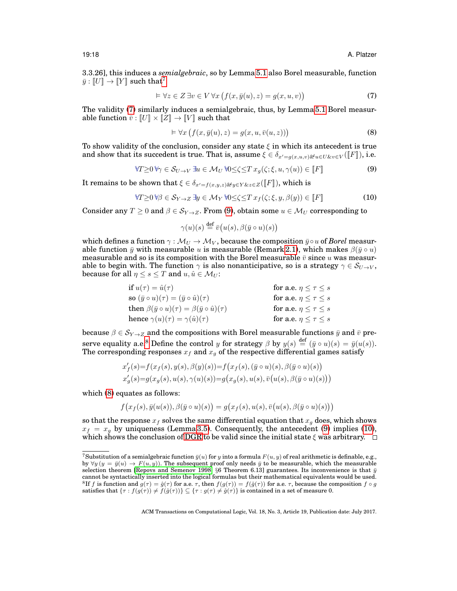3.3.26], this induces a *semialgebraic*, so by Lemma [5.1](#page-16-1) also Borel measurable, function  $\bar{y}: \llbracket U \rrbracket \to \llbracket Y \rrbracket$  such that<sup>[7](#page-17-0)</sup>

<span id="page-17-1"></span>
$$
\vDash \forall z \in Z \, \exists v \in V \, \forall x \, \big( f(x, \bar{y}(u), z) = g(x, u, v) \big) \tag{7}
$$

The validity [\(7\)](#page-17-1) similarly induces a semialgebraic, thus, by Lemma [5.1](#page-16-1) Borel measurable function  $\bar{v} : [U] \times [Z] \rightarrow [V]$  such that

<span id="page-17-4"></span>
$$
\vDash \forall x \left( f(x, \bar{y}(u), z) = g(x, u, \bar{v}(u, z)) \right)
$$
\n(8)

To show validity of the conclusion, consider any state  $\xi$  in which its antecedent is true and show that its succedent is true. That is, assume  $\xi \in \delta_{x'=g(x,u,v) \& u \in U \& v \in V} (\llbracket F \rrbracket)$ , i.e.

<span id="page-17-2"></span>
$$
\forall T \ge 0 \,\forall \gamma \in \mathcal{S}_{U \to V} \exists u \in \mathcal{M}_U \,\forall 0 \le \zeta \le T \,x_g(\zeta; \xi, u, \gamma(u)) \in [\![F]\!]
$$

It remains to be shown that  $\xi \in \delta_{x'=f(x,y,z) \& y \in Y \& z \in Z}(\llbracket F \rrbracket)$ , which is

<span id="page-17-5"></span>
$$
\forall T \geq 0 \, \forall \beta \in \mathcal{S}_{Y \to Z} \, \exists y \in \mathcal{M}_Y \, \forall 0 \leq \zeta \leq T \, x_f(\zeta; \xi, y, \beta(y)) \in [F]
$$
\n
$$
(10)
$$

Consider any  $T \geq 0$  and  $\beta \in \mathcal{S}_{Y \to Z}$ . From [\(9\)](#page-17-2), obtain some  $u \in \mathcal{M}_U$  corresponding to

$$
\gamma(u)(s) \stackrel{\text{def}}{=} \overline{v}\big(u(s), \beta(\overline{y} \circ u)(s)\big)
$$

which defines a function  $\gamma : \mathcal{M}_U \to \mathcal{M}_V$ , because the composition  $\bar{y} \circ u$  of *Borel* measurable function  $\bar{y}$  with measurable u is measurable (Remark [2.1\)](#page-2-3), which makes  $\beta(\bar{y} \circ u)$ measurable and so is its composition with the Borel measurable  $\bar{v}$  since u was measurable to begin with. The function  $\gamma$  is also nonanticipative, so is a strategy  $\gamma \in \mathcal{S}_{U\to V}$ , because for all  $\eta \leq s \leq T$  and  $u, \hat{u} \in \mathcal{M}_U$ :

$$
\begin{array}{ll}\text{if } u(\tau) = \hat{u}(\tau) & \text{for a.e. } \eta \leq \tau \leq s \\ \text{so } (\bar{y} \circ u)(\tau) = (\bar{y} \circ \hat{u})(\tau) & \text{for a.e. } \eta \leq \tau \leq s \\ \text{then } \beta(\bar{y} \circ u)(\tau) = \beta(\bar{y} \circ \hat{u})(\tau) & \text{for a.e. } \eta \leq \tau \leq s \\ \text{hence } \gamma(u)(\tau) = \gamma(\hat{u})(\tau) & \text{for a.e. } \eta \leq \tau \leq s \end{array}
$$

because  $\beta \in \mathcal{S}_{Y\to Z}$  and the compositions with Borel measurable functions  $\bar{y}$  and  $\bar{v}$  pre-serve equality a.e.<sup>[8](#page-17-3)</sup> Define the control y for strategy  $\beta$  by  $y(s) \stackrel{\text{def}}{=} (\bar{y} \circ u)(s) = \bar{y}(u(s))$ . The corresponding responses  $x_f$  and  $x_g$  of the respective differential games satisfy

$$
x'_f(s) = f(x_f(s), y(s), \beta(y)(s)) = f(x_f(s), (\bar{y} \circ u)(s), \beta(\bar{y} \circ u)(s))
$$
  

$$
x'_g(s) = g(x_g(s), u(s), \gamma(u)(s)) = g(x_g(s), u(s), \bar{v}(u(s), \beta(\bar{y} \circ u)(s)))
$$

which [\(8\)](#page-17-4) equates as follows:

$$
f(x_f(s), \bar{y}(u(s)), \beta(\bar{y} \circ u)(s)) = g(x_f(s), u(s), \bar{v}(u(s), \beta(\bar{y} \circ u)(s)))
$$

so that the response  $x_f$  solves the same differential equation that  $x_g$  does, which shows  $x_f = x_g$  by uniqueness (Lemma [3.5\)](#page-6-1). Consequently, the antecedent [\(9\)](#page-17-2) implies [\(10\)](#page-17-5), which shows the conclusion of [DGR](#page-12-3) to be valid since the initial state  $\xi$  was arbitrary.  $\square$ 

<span id="page-17-3"></span><span id="page-17-0"></span><sup>&</sup>lt;sup>7</sup>Substitution of a semialgebraic function  $\bar{y}(u)$  for  $y$  into a formula  $F(u, y)$  of real arithmetic is definable, e.g., by  $\forall y (y = \bar{y}(u) \rightarrow F(u, y))$ . The subsequent proof only needs  $\bar{y}$  to be measurable, which the measurable selection theorem [\[Repovs and Semenov 1998,](#page-42-17) §6 Theorem 6.13] guarantees. Its inconvenience is that  $\bar{y}$ cannot be syntactically inserted into the logical formulas but their mathematical equivalents would be used. <sup>8</sup>If f is function and  $g(\tau) = \hat{g}(\tau)$  for a.e.  $\tau$ , then  $f(g(\tau)) = f(\hat{g}(\tau))$  for a.e.  $\tau$ , because the composition  $f \circ g$ satisfies that  $\{\tau : f(g(\tau)) \neq \tilde{f}(g(\tau))\} \subseteq \{\tau : g(\tau) \neq \tilde{g}(\tau)\}\$ is contained in a set of measure 0.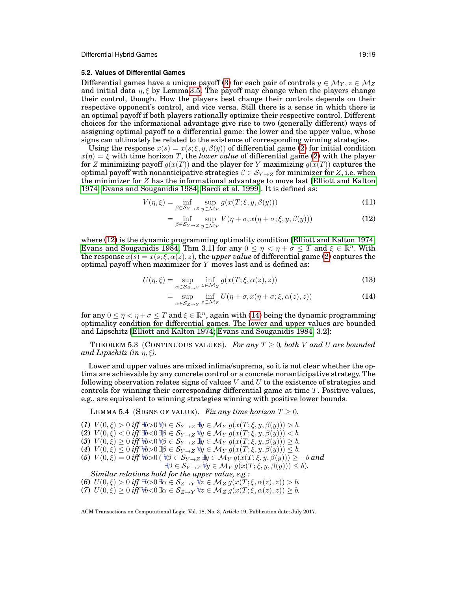# <span id="page-18-0"></span>**5.2. Values of Differential Games**

Differential games have a unique payoff [\(3\)](#page-7-2) for each pair of controls  $y \in \mathcal{M}_Y, z \in \mathcal{M}_Z$ and initial data  $\eta$ ,  $\xi$  by Lemma [3.5.](#page-6-1) The payoff may change when the players change their control, though. How the players best change their controls depends on their respective opponent's control, and vice versa. Still there is a sense in which there is an optimal payoff if both players rationally optimize their respective control. Different choices for the informational advantage give rise to two (generally different) ways of assigning optimal payoff to a differential game: the lower and the upper value, whose signs can ultimately be related to the existence of corresponding winning strategies.

Using the response  $x(s) = x(s; \xi, y, \beta(y))$  of differential game [\(2\)](#page-6-0) for initial condition  $x(\eta) = \xi$  with time horizon T, the *lower value* of differential game [\(2\)](#page-6-0) with the player for Z minimizing payoff  $g(x(T))$  and the player for Y maximizing  $g(x(T))$  captures the optimal payoff with nonanticipative strategies  $\beta \in S_{Y\rightarrow Z}$  for minimizer for Z, i.e. when the minimizer for  $Z$  has the informational advantage to move last [\[Elliott and Kalton](#page-41-4) [1974;](#page-41-4) [Evans and Souganidis 1984;](#page-41-5) [Bardi et al. 1999\]](#page-40-0). It is defined as:

$$
V(\eta, \xi) = \inf_{\beta \in \mathcal{S}_{Y \to Z}} \sup_{y \in \mathcal{M}_Y} g(x(T; \xi, y, \beta(y))) \tag{11}
$$

<span id="page-18-5"></span><span id="page-18-1"></span>
$$
= \inf_{\beta \in S_{Y \to Z}} \sup_{y \in \mathcal{M}_Y} V(\eta + \sigma, x(\eta + \sigma; \xi, y, \beta(y))) \tag{12}
$$

where [\(12\)](#page-18-1) is the dynamic programming optimality condition [\[Elliott and Kalton 1974;](#page-41-4) [Evans and Souganidis 1984,](#page-41-5) Thm 3.1] for any  $0 \le \eta \le \eta + \sigma \le T$  and  $\xi \in \mathbb{R}^n$ . With the response  $x(s) = x(s; \xi, \alpha(z), z)$ , the *upper value* of differential game [\(2\)](#page-6-0) captures the optimal payoff when maximizer for Y moves last and is defined as:

$$
U(\eta, \xi) = \sup_{\alpha \in S_{Z \to Y}} \inf_{z \in M_Z} g(x(T; \xi, \alpha(z), z))
$$
\n(13)

<span id="page-18-13"></span><span id="page-18-12"></span><span id="page-18-11"></span><span id="page-18-2"></span>
$$
= \sup_{\alpha \in \mathcal{S}_{Z \to Y}} \inf_{z \in \mathcal{M}_Z} U(\eta + \sigma, x(\eta + \sigma; \xi, \alpha(z), z)) \tag{14}
$$

for any  $0 \le \eta < \eta + \sigma \le T$  and  $\xi \in \mathbb{R}^n$ , again with [\(14\)](#page-18-2) being the dynamic programming optimality condition for differential games. The lower and upper values are bounded and Lipschitz [\[Elliott and Kalton 1974;](#page-41-4) [Evans and Souganidis 1984,](#page-41-5) 3.2]:

THEOREM 5.3 (CONTINUOUS VALUES). For any  $T \geq 0$ , both V and U are bounded *and Lipschitz (in*  $\eta, \xi$ ).

Lower and upper values are mixed infima/suprema, so it is not clear whether the optima are achievable by any concrete control or a concrete nonanticipative strategy. The following observation relates signs of values  $V$  and  $U$  to the existence of strategies and controls for winning their corresponding differential game at time T. Positive values, e.g., are equivalent to winning strategies winning with positive lower bounds.

LEMMA 5.4 (SIGNS OF VALUE). *Fix any time horizon*  $T \geq 0$ .

<span id="page-18-8"></span><span id="page-18-7"></span><span id="page-18-6"></span><span id="page-18-4"></span><span id="page-18-3"></span>(*1*)  $V(0,\xi) > 0$  *iff*  $\exists b > 0 \forall \beta \in S_{Y \to Z} \exists y \in \mathcal{M}_Y$   $g(x(T;\xi,y,\beta(y))) > b$ . (2)  $V(0,\xi) < 0$  *iff*  $\exists b < 0 \exists \beta \in S_{Y\to Z}$   $\forall y \in \mathcal{M}_Y$   $g(x(T;\xi,y,\beta(y))) < b$ .  $(3) V(0, \xi) \geq 0$  *iff*  $\forall b < 0$   $\forall \beta \in S_{Y \to Z} \exists y \in \mathcal{M}_Y$   $g(x(T; \xi, y, \beta(y))) \geq b$ .  $(4) V(0, \xi) \leq 0 \text{ iff } \forall b > 0 \exists \beta \in \mathcal{S}_{Y \to Z} \forall y \in \mathcal{M}_Y g(x(T; \xi, y, \beta(y))) \leq b.$ (5)  $V(0,\xi) = 0$  *iff*  $\forall b > 0$  (  $\forall \beta \in S_{Y\to Z} \exists y \in \mathcal{M}_Y$   $g(x(T;\xi,y,\beta(y))) \geq -b$  and  $\exists \beta \in \mathcal{S}_{Y \to Z} \ \forall y \in \mathcal{M}_Y \ g(x(T; \xi, y, \beta(y))) \leq b.$ *Similar relations hold for the upper value, e.g.:* (*6*)  $U(0, \xi) > 0$  *iff*  $\exists b > 0$   $\exists \alpha \in S_{Z \to Y}$   $\forall z \in M_Z g(x(T; \xi, \alpha(z), z)) > b$ .

<span id="page-18-10"></span><span id="page-18-9"></span>(*7*)  $U(0,\xi) \geq 0$  *iff*  $\forall b < 0 \ \exists \alpha \in S_{Z \to Y} \ \forall z \in M_Z \ g(x(T;\xi,\alpha(z),z)) \geq b$ .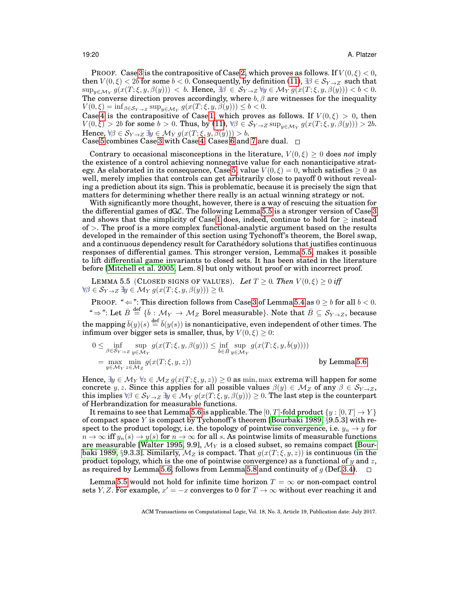PROOF. Case [3](#page-18-3) is the contrapositive of Case [2,](#page-18-4) which proves as follows. If  $V(0,\xi) < 0$ , then  $V(0,\xi) < 2b$  for some  $b < 0$ . Consequently, by definition [\(11\)](#page-18-5),  $\exists \beta \in S_{Y\to Z}$  such that  $\sup_{y\in \mathcal{M}_Y} g(x(T;\xi,y,\beta(y))) < b.$  Hence,  $\exists \beta \in \mathcal{S}_{Y\rightarrow Z} \forall y \in \mathcal{M}_Y g(x(T;\xi,y,\beta(y))) < b < 0.$ The converse direction proves accordingly, where  $b, \beta$  are witnesses for the inequality  $V(0,\xi) = \inf_{\beta \in \mathcal{S}_{Y \to Z}} \sup_{y \in \mathcal{M}_Y} g(x(T;\xi,y,\beta(y))) \le b < 0.$ 

Case [4](#page-18-6) is the contrapositive of Case [1,](#page-18-7) which proves as follows. If  $V(0,\xi) > 0$ , then  $V(0,\xi) > 2b$  for some  $b > 0$ . Thus, by [\(11\)](#page-18-5),  $\forall \beta \in S_{Y\rightarrow Z}$  sup<sub>y∈My</sub>  $g(x(T;\xi,y,\beta(y))) > 2b$ . Hence,  $\forall \beta \in S_{Y \to Z} \exists y \in \mathcal{M}_Y g(x(T; \xi, y, \beta(y))) > b.$ 

Case [5](#page-18-8) combines Case [3](#page-18-3) with Case [4.](#page-18-6) Cases [6](#page-18-9) and [7](#page-18-10) are dual.  $\square$ 

Contrary to occasional misconceptions in the literature,  $V(0,\xi) \geq 0$  does *not* imply the existence of a control achieving nonnegative value for each nonanticipative strat-egy. As elaborated in its consequence, Case [5,](#page-18-8) value  $V(0, \xi) = 0$ , which satisfies  $\geq 0$  as well, merely implies that controls can get arbitrarily close to payoff 0 without revealing a prediction about its sign. This is problematic, because it is precisely the sign that matters for determining whether there really is an actual winning strategy or not.

With significantly more thought, however, there is a way of rescuing the situation for the differential games of dGL. The following Lemma [5.5](#page-19-0) is a stronger version of Case [3](#page-18-3) and shows that the simplicity of Case [1](#page-18-7) does, indeed, continue to hold for  $\geq$  instead  $of$  >. The proof is a more complex functional-analytic argument based on the results developed in the remainder of this section using Tychonoff's theorem, the Borel swap, and a continuous dependency result for Carathedory solutions that justifies continuous ´ responses of differential games. This stronger version, Lemma [5.5,](#page-19-0) makes it possible to lift differential game invariants to closed sets. It has been stated in the literature before [\[Mitchell et al. 2005,](#page-42-8) Lem. 8] but only without proof or with incorrect proof.

<span id="page-19-0"></span>LEMMA 5.5 (CLOSED SIGNS OF VALUES). Let  $T \geq 0$ . Then  $V(0,\xi) \geq 0$  iff  $\forall \beta \in \mathcal{S}_{Y \to Z} \exists y \in \mathcal{M}_Y g(x(T;\xi,y,\beta(y))) \geq 0.$ 

PROOF. "  $\Leftarrow$ ": This direction follows from Case [3](#page-18-3) of Lemma [5.4](#page-18-11) as  $0 \ge b$  for all  $b < 0$ .  $\hat{\phi}^* \Rightarrow$  ": Let  $\bar{B} \stackrel{\rm def}{=} \{\bar{b} : \mathcal{M}_Y \to \mathcal{M}_Z \text{ Borel measurable}\}.$  Note that  $\bar{B} \subseteq \mathcal{S}_{Y \to Z},$  because the mapping  $\bar{b}(y)(s) \stackrel{\text{def}}{=} \bar{b}(y(s))$  is nonanticipative, even independent of other times. The infimum over bigger sets is smaller, thus, by  $V(0,\xi) \geq 0$ :

$$
0 \le \inf_{\beta \in \mathcal{S}_{Y \to Z}} \sup_{y \in \mathcal{M}_{Y}} g(x(T;\xi,y,\beta(y))) \le \inf_{\bar{b} \in \bar{B}} \sup_{y \in \mathcal{M}_{Y}} g(x(T;\xi,y,\bar{b}(y))))
$$
  
=  $\max_{y \in \mathcal{M}_{Y}} \min_{z \in \mathcal{M}_{Z}} g(x(T;\xi,y,z))$  by Lemma 5.6

Hence,  $\exists y \in \mathcal{M}_Y \forall z \in \mathcal{M}_Z g(x(T;\xi,y,z)) \geq 0$  as min, max extrema will happen for some concrete y, z. Since this applies for all possible values  $\beta(y) \in M_Z$  of any  $\beta \in S_{Y\rightarrow Z}$ , this implies  $\forall \beta \in S_{Y\to Z} \exists y \in \mathcal{M}_Y g(x(T;\xi, y, \beta(y))) \geq 0$ . The last step is the counterpart of Herbrandization for measurable functions.

It remains to see that Lemma [5.6](#page-20-0) is applicable. The [0, T]-fold product  $\{y : [0, T] \rightarrow Y\}$ of compact space Y is compact by Tychonoff's theorem [\[Bourbaki 1989,](#page-41-16) §9.5.3] with respect to the product topology, i.e. the topology of pointwise convergence, i.e.  $y_n \to y$  for  $n \to \infty$  iff  $y_n(s) \to y(s)$  for  $n \to \infty$  for all s. As pointwise limits of measurable functions are measurable [\[Walter 1995,](#page-42-11) 9.9],  $\mathcal{M}_Y$  is a closed subset, so remains compact [\[Bour](#page-41-16)[baki 1989,](#page-41-16) §9.3.3]. Similarly,  $\mathcal{M}_Z$  is compact. That  $g(x(T;\xi,y,z))$  is continuous (in the product topology, which is the one of pointwise convergence) as a functional of y and z, as required by Lemma [5.6,](#page-20-0) follows from Lemma [5.8](#page-21-0) and continuity of  $g$  (Def. [3.4\)](#page-6-2).  $\Box$ 

Lemma [5.5](#page-19-0) would not hold for infinite time horizon  $T = \infty$  or non-compact control sets Y, Z. For example,  $x' = -x$  converges to 0 for  $T \to \infty$  without ever reaching it and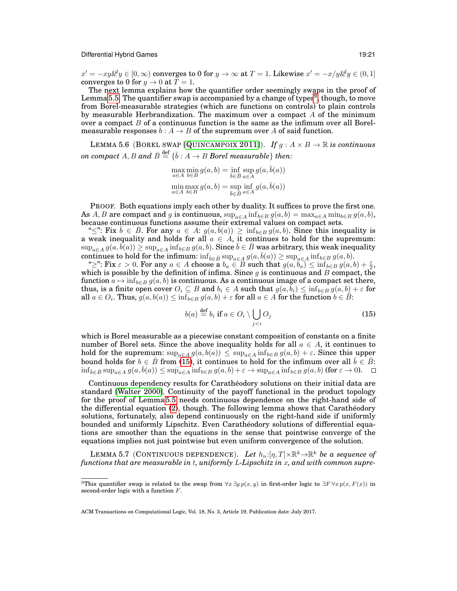$x' = -xy\&y \in [0, \infty)$  converges to 0 for  $y \to \infty$  at  $T = 1$ . Likewise  $x' = -x/y\&y \in (0, 1]$ converges to 0 for  $y \to 0$  at  $\overline{T} = 1$ .

The next lemma explains how the quantifier order seemingly swaps in the proof of Lemma [5.5.](#page-19-0) The quantifier swap is accompanied by a change of types<sup>[9](#page-20-1)</sup>, though, to move from Borel-measurable strategies (which are functions on controls) to plain controls by measurable Herbrandization. The maximum over a compact  $A$  of the minimum over a compact  $B$  of a continuous function is the same as the infimum over all Borelmeasurable responses  $b : A \rightarrow B$  of the supremum over A of said function.

<span id="page-20-0"></span>LEMMA 5.6 (BOREL SWAP [Q[UINCAMPOIX](#page-42-18) 2011]). *If*  $g : A \times B \to \mathbb{R}$  *is continuous*  $on \ compact \ A, B \ and \ \bar B \stackrel{\rm def}{=} \{ \bar b : A \to B \ Borel \ measurable \} \ then:$ 

$$
\max_{a \in A} \min_{b \in B} g(a, b) = \inf_{\bar{b} \in \bar{B}} \sup_{a \in A} g(a, \bar{b}(a))
$$
  

$$
\min_{a \in A} \max_{b \in B} g(a, b) = \sup_{\bar{b} \in \bar{B}} \inf_{a \in A} g(a, \bar{b}(a))
$$

PROOF. Both equations imply each other by duality. It suffices to prove the first one. As A, B are compact and g is continuous,  $\sup_{a \in A} \inf_{b \in B} g(a, b) = \max_{a \in A} \min_{b \in B} g(a, b)$ , because continuous functions assume their extremal values on compact sets.

" $\leq$ ": Fix  $\bar{b} \in \bar{B}$ . For any  $a \in A$ :  $g(a, \bar{b}(a)) \geq \inf_{b \in B} g(a, b)$ . Since this inequality is a weak inequality and holds for all  $a \in A$ , it continues to hold for the supremum:  $\sup_{a\in A} g(a, b(a)) \geq \sup_{a\in A} \inf_{b\in B} g(a, b)$ . Since  $\overline{b} \in \overline{B}$  was arbitrary, this weak inequality continues to hold for the infimum:  $\inf_{\bar{b}\in\bar{B}}\sup_{a\in A}g(a,\bar{b}(a)) \geq \sup_{a\in A}\inf_{b\in B}g(a,b).$ 

" $\geq$ ": Fix  $\varepsilon > 0$ . For any  $a \in A$  choose a  $b_a \in B$  such that  $g(a, b_a) \leq \inf_{b \in B} g(a, b) + \frac{\varepsilon}{2}$ , which is possible by the definition of infima. Since g is continuous and B compact, the function  $a \mapsto \inf_{b \in B} g(a, b)$  is continuous. As a continuous image of a compact set there, thus, is a finite open cover  $O_i \subseteq B$  and  $b_i \in A$  such that  $g(a, b_i) \leq \inf_{b \in B} g(a, b) + \varepsilon$  for all  $a \in O_i$ . Thus,  $g(a, b(a)) \leq \inf_{b \in B} g(a, b) + \varepsilon$  for all  $a \in A$  for the function  $b \in \overline{B}$ :

<span id="page-20-3"></span><span id="page-20-2"></span>
$$
b(a) \stackrel{\text{def}}{=} b_i \text{ if } a \in O_i \setminus \bigcup_{j < i} O_j \tag{15}
$$

which is Borel measurable as a piecewise constant composition of constants on a finite number of Borel sets. Since the above inequality holds for all  $a \in A$ , it continues to hold for the supremum:  $\sup_{a \in A} g(a, b(a)) \leq \sup_{a \in A} \inf_{b \in B} g(a, b) + \varepsilon$ . Since this upper bound holds for  $b \in \overline{B}$  from [\(15\)](#page-20-2), it continues to hold for the infimum over all  $\overline{b} \in \overline{B}$ :  $\inf_{\bar{b}\in\bar{B}}\sup_{a\in A} g(a,\bar{b}(a)) \leq \sup_{a\in A} \inf_{b\in B} g(a,b) + \varepsilon \to \sup_{a\in A} \inf_{b\in B} g(a,b)$  (for  $\varepsilon \to 0$ ).

Continuous dependency results for Caratheodory solutions on their initial data are ´ standard [\[Walter 2000\]](#page-42-13). Continuity of the payoff functional in the product topology for the proof of Lemma [5.5](#page-19-0) needs continuous dependence on the right-hand side of the differential equation [\(2\)](#page-6-0), though. The following lemma shows that Caratheodory ´ solutions, fortunately, also depend continuously on the right-hand side if uniformly bounded and uniformly Lipschitz. Even Caratheodory solutions of differential equa- ´ tions are smoother than the equations in the sense that pointwise converge of the equations implies not just pointwise but even uniform convergence of the solution.

LEMMA 5.7 (CONTINUOUS DEPENDENCE). Let  $h_n:[\eta,T]\times\mathbb{R}^k\to\mathbb{R}^k$  be a sequence of *functions that are measurable in* t*, uniformly* L*-Lipschitz in* x*, and with common supre-*

<span id="page-20-1"></span><sup>&</sup>lt;sup>9</sup>This quantifier swap is related to the swap from  $\forall x \exists y p(x, y)$  in first-order logic to  $\exists F \forall x p(x, F(x))$  in second-order logic with a function  $F$ .

ACM Transactions on Computational Logic, Vol. 18, No. 3, Article 19, Publication date: July 2017.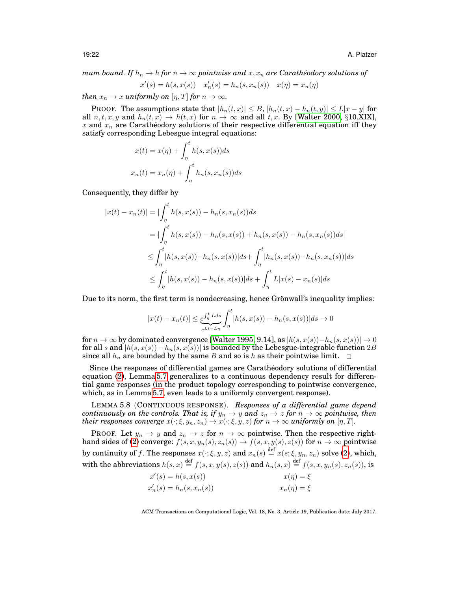*mum bound. If*  $h_n \to h$  *for*  $n \to \infty$  *pointwise and*  $x, x_n$  *are Carathéodory solutions of* 

$$
x'(s) = h(s, x(s)) \quad x'_n(s) = h_n(s, x_n(s)) \quad x(\eta) = x_n(\eta)
$$

*then*  $x_n \to x$  *uniformly on*  $[\eta, T]$  *for*  $n \to \infty$ *.* 

**PROOF.** The assumptions state that  $|h_n(t, x)| \leq B$ ,  $|h_n(t, x) - h_n(t, y)| \leq L|x - y|$  for all  $n, t, x, y$  and  $h_n(t, x) \rightarrow h(t, x)$  for  $n \rightarrow \infty$  and all t, x. By [\[Walter 2000,](#page-42-13) §10.XIX], x and  $x_n$  are Caratheodory solutions of their respective differential equation iff they satisfy corresponding Lebesgue integral equations:

$$
x(t) = x(\eta) + \int_{\eta}^{t} h(s, x(s))ds
$$

$$
x_n(t) = x_n(\eta) + \int_{\eta}^{t} h_n(s, x_n(s))ds
$$

Consequently, they differ by

$$
|x(t) - x_n(t)| = |\int_{\eta}^{t} h(s, x(s)) - h_n(s, x_n(s))ds|
$$
  
\n
$$
= |\int_{\eta}^{t} h(s, x(s)) - h_n(s, x(s)) + h_n(s, x(s)) - h_n(s, x_n(s))ds|
$$
  
\n
$$
\leq \int_{\eta}^{t} |h(s, x(s)) - h_n(s, x(s))|ds + \int_{\eta}^{t} |h_n(s, x(s)) - h_n(s, x_n(s))|ds
$$
  
\n
$$
\leq \int_{\eta}^{t} |h(s, x(s)) - h_n(s, x(s))|ds + \int_{\eta}^{t} L|x(s) - x_n(s)|ds
$$

Due to its norm, the first term is nondecreasing, hence Grönwall's inequality implies:

$$
|x(t) - x_n(t)| \le \underbrace{e^{\int_{\eta}^{t} L ds}}_{e^{Lt - L\eta}} \int_{\eta}^{t} |h(s, x(s)) - h_n(s, x(s))| ds \to 0
$$

for  $n \to \infty$  by dominated convergence [\[Walter 1995,](#page-42-11) 9.14], as  $|h(s, x(s)) - h_n(s, x(s))| \to 0$ for all s and  $|h(s, x(s)) - h_n(s, x(s))|$  is bounded by the Lebesgue-integrable function 2B since all  $h_n$  are bounded by the same B and so is h as their pointwise limit.  $\Box$ 

Since the responses of differential games are Caratheodory solutions of differential ´ equation [\(2\)](#page-6-0), Lemma [5.7](#page-20-3) generalizes to a continuous dependency result for differential game responses (in the product topology corresponding to pointwise convergence, which, as in Lemma [5.7,](#page-20-3) even leads to a uniformly convergent response).

<span id="page-21-0"></span>LEMMA 5.8 (CONTINUOUS RESPONSE). *Responses of a differential game depend continuously on the controls. That is, if*  $y_n \to y$  and  $z_n \to z$  for  $n \to \infty$  pointwise, then *their responses converge*  $x(\cdot; \xi, y_n, z_n) \to x(\cdot; \xi, y, z)$  *for*  $n \to \infty$  *uniformly on*  $[\eta, T]$ *.* 

PROOF. Let  $y_n \to y$  and  $z_n \to z$  for  $n \to \infty$  pointwise. Then the respective right-hand sides of [\(2\)](#page-6-0) converge:  $f(s, x, y_n(s), z_n(s)) \rightarrow f(s, x, y(s), z(s))$  for  $n \rightarrow \infty$  pointwise by continuity of f. The responses  $x(\cdot;\xi,y,z)$  and  $x_n(s) \stackrel{\text{def}}{=} x(s;\xi,y_n,z_n)$  solve [\(2\)](#page-6-0), which, with the abbreviations  $h(s, x) \stackrel{\text{def}}{=} f(s, x, y(s), z(s))$  and  $h_n(s, x) \stackrel{\text{def}}{=} f(s, x, y_n(s), z_n(s))$ , is

| $x'(s) = h(s, x(s))$       | $x(\eta) = \xi$   |
|----------------------------|-------------------|
| $x'_n(s) = h_n(s, x_n(s))$ | $x_n(\eta) = \xi$ |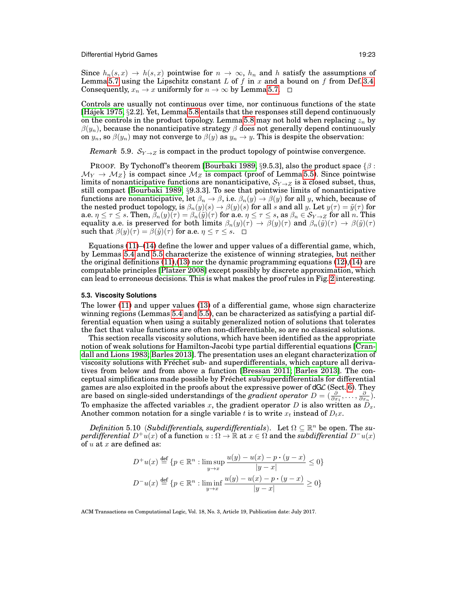Since  $h_n(s, x) \to h(s, x)$  pointwise for  $n \to \infty$ ,  $h_n$  and h satisfy the assumptions of Lemma [5.7](#page-20-3) using the Lipschitz constant  $L$  of  $f$  in  $x$  and a bound on  $f$  from Def. [3.4.](#page-6-2) Consequently,  $x_n \to x$  uniformly for  $n \to \infty$  by Lemma [5.7.](#page-20-3)  $\Box$ 

Controls are usually not continuous over time, nor continuous functions of the state [\[Hajek 1975,](#page-41-2) §2.2]. Yet, Lemma [5.8](#page-21-0) entails that the responses still depend continuously on the controls in the product topology. Lemma [5.8](#page-21-0) may not hold when replacing  $z_n$  by  $\beta(y_n)$ , because the nonanticipative strategy  $\beta$  does not generally depend continuously on  $y_n$ , so  $\beta(y_n)$  may not converge to  $\beta(y)$  as  $y_n \to y$ . This is despite the observation:

*Remark* 5.9.  $S_{Y\rightarrow Z}$  is compact in the product topology of pointwise convergence.

PROOF. By Tychonoff's theorem [\[Bourbaki 1989,](#page-41-16) §9.5.3], also the product space  $\{\beta :$  $\mathcal{M}_Y \to \mathcal{M}_Z$  is compact since  $\mathcal{M}_Z$  is compact (proof of Lemma [5.5\)](#page-19-0). Since pointwise limits of nonanticipative functions are nonanticipative,  $S_{Y\rightarrow Z}$  is a closed subset, thus, still compact [\[Bourbaki 1989,](#page-41-16) §9.3.3]. To see that pointwise limits of nonanticipative functions are nonanticipative, let  $\beta_n \to \beta$ , i.e.  $\beta_n(y) \to \beta(y)$  for all y, which, because of the nested product topology, is  $\beta_n(y)(s) \to \beta(y)(s)$  for all s and all y. Let  $y(\tau) = \tilde{y}(\tau)$  for a.e.  $\eta \leq \tau \leq s$ . Then,  $\beta_n(y)(\tau) = \beta_n(\tilde{y})(\tau)$  for a.e.  $\eta \leq \tau \leq s$ , as  $\beta_n \in \mathcal{S}_{Y \to Z}$  for all n. This equality a.e. is preserved for both limits  $\beta_n(y)(\tau) \to \beta(y)(\tau)$  and  $\beta_n(\tilde{y})(\tau) \to \beta(\tilde{y})(\tau)$ such that  $\beta(y)(\tau) = \beta(\tilde{y})(\tau)$  for a.e.  $\eta \leq \tau \leq s$ .  $\Box$ 

Equations  $(11)$ – $(14)$  define the lower and upper values of a differential game, which, by Lemmas [5.4](#page-18-11) and [5.5](#page-19-0) characterize the existence of winning strategies, but neither the original definitions [\(11\)](#page-18-5),[\(13\)](#page-18-12) nor the dynamic programming equations [\(12\)](#page-18-1),[\(14\)](#page-18-2) are computable principles [\[Platzer 2008\]](#page-42-9) except possibly by discrete approximation, which can lead to erroneous decisions. This is what makes the proof rules in Fig. [2](#page-12-0) interesting.

# <span id="page-22-0"></span>**5.3. Viscosity Solutions**

The lower [\(11\)](#page-18-5) and upper values [\(13\)](#page-18-12) of a differential game, whose sign characterize winning regions (Lemmas [5.4](#page-18-11) and [5.5\)](#page-19-0), can be characterized as satisfying a partial differential equation when using a suitably generalized notion of solutions that tolerates the fact that value functions are often non-differentiable, so are no classical solutions.

This section recalls viscosity solutions, which have been identified as the appropriate notion of weak solutions for Hamilton-Jacobi type partial differential equations [\[Cran](#page-41-17)[dall and Lions 1983;](#page-41-17) [Barles 2013\]](#page-40-1). The presentation uses an elegant characterization of viscosity solutions with Frechet sub- and superdifferentials, which capture all deriva- ´ tives from below and from above a function [\[Bressan 2011;](#page-41-18) [Barles 2013\]](#page-40-1). The conceptual simplifications made possible by Frechet sub/superdifferentials for differential ´ games are also exploited in the proofs about the expressive power of  $dGC$  (Sect. [6\)](#page-33-0). They are based on single-sided understandings of the *gradient operator*  $D=(\frac{\partial}{\partial x_1},\ldots,\frac{\partial}{\partial x_n}).$ To emphasize the affected variables x, the gradient operator D is also written as  $D_x$ . Another common notation for a single variable t is to write  $x_t$  instead of  $D_t x$ .

 $Definition 5.10 (Subdifferentials, superdifferentials).$  Let  $\Omega \subseteq \mathbb{R}^n$  be open. The *superdifferential*  $D^+u(x)$  of a function  $u : \Omega \to \mathbb{R}$  at  $x \in \Omega$  and the *subdifferential*  $D^-u(x)$ of  $u$  at  $x$  are defined as:

<span id="page-22-1"></span>
$$
D^{+}u(x) \stackrel{\text{def}}{=} \{p \in \mathbb{R}^{n} : \limsup_{y \to x} \frac{u(y) - u(x) - p \cdot (y - x)}{|y - x|} \le 0\}
$$
  

$$
D^{-}u(x) \stackrel{\text{def}}{=} \{p \in \mathbb{R}^{n} : \liminf_{y \to x} \frac{u(y) - u(x) - p \cdot (y - x)}{|y - x|} \ge 0\}
$$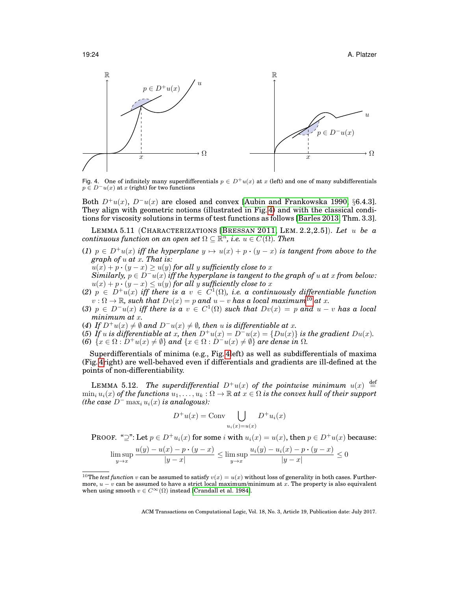19:24 A. Platzer



<span id="page-23-0"></span>Fig. 4. One of infinitely many superdifferentials  $p \in D^+u(x)$  at x (left) and one of many subdifferentials  $p \in D^{-}u(x)$  at x (right) for two functions

Both  $D^+u(x)$ ,  $D^-u(x)$  are closed and convex [\[Aubin and Frankowska 1990,](#page-40-2) §6.4.3]. They align with geometric notions (illustrated in Fig. [4\)](#page-23-0) and with the classical conditions for viscosity solutions in terms of test functions as follows [\[Barles 2013,](#page-40-1) Thm. 3.3].

<span id="page-23-2"></span>LEMMA 5.11 (CHARACTERIZATIONS [B[RESSAN](#page-41-18) 2011, LEM. 2.2,2.5]). *Let* u *be a*  ${\it continuous\ function\ on\ an\ open\ set}\ \Omega\subseteq \mathbb{R}^n,$  *i.e.*  $u\in C(\Omega).$  Then

(1)  $p \in D^+u(x)$  *iff the hyperplane*  $y \mapsto u(x) + p \cdot (y - x)$  *is tangent from above to the graph of* u *at* x*. That is:*

 $u(x) + p \cdot (y - x) \ge u(y)$  for all y sufficiently close to x

*Similarly,*  $p \in D^{-}u(x)$  *iff the hyperplane is tangent to the graph of*  $u$  *at*  $x$  *from below:*  $u(x) + p \cdot (y - x) \le u(y)$  for all y sufficiently close to x

- (2)  $p \in D^+u(x)$  iff there is a  $v \in C^1(\Omega)$ , i.e. a continuously differentiable function  $v : \Omega \to \mathbb{R}$ , such that  $Dv(x) = p$  and  $u - v$  has a local maximum<sup>[10](#page-23-1)</sup> at x.
- (3)  $p \in D^{-}u(x)$  *iff there is a*  $v \in C^{1}(\Omega)$  *such that*  $Dv(x) = p$  *and*  $u v$  *has a local minimum at* x*.*
- (4) If  $D^+u(x) \neq \emptyset$  and  $D^-u(x) \neq \emptyset$ , then u is differentiable at x.
- (5) If u is differentiable at x, then  $D^+u(x) = D^-u(x) = \{Du(x)\}\$  is the gradient  $Du(x)$ . (6)  $\{x \in \Omega : D^+u(x) \neq \emptyset\}$  *and*  $\{x \in \Omega : D^-u(x) \neq \emptyset\}$  *are dense in*  $\Omega$ *.*

Superdifferentials of minima (e.g., Fig. [4l](#page-23-0)eft) as well as subdifferentials of maxima (Fig. [4r](#page-23-0)ight) are well-behaved even if differentials and gradients are ill-defined at the points of non-differentiability.

LEMMA 5.12. *The superdifferential*  $D^+u(x)$  *of the pointwise minimum*  $u(x)$  $\overline{\text{det}}$  $\min_i u_i(x)$  *of the functions*  $u_1, \ldots, u_k : \Omega \to \mathbb{R}$  *at*  $x \in \Omega$  *is the convex hull of their support (the case*  $D^{-}$  max<sub>i</sub>  $u_i(x)$  *is analogous):* 

<span id="page-23-3"></span>
$$
D^+u(x) = \text{Conv} \bigcup_{u_i(x)=u(x)} D^+u_i(x)
$$

PROOF. " $\supset$ ": Let  $p \in D^+u_i(x)$  for some i with  $u_i(x) = u(x)$ , then  $p \in D^+u(x)$  because:

$$
\limsup_{y \to x} \frac{u(y) - u(x) - p \cdot (y - x)}{|y - x|} \le \limsup_{y \to x} \frac{u_i(y) - u_i(x) - p \cdot (y - x)}{|y - x|} \le 0
$$

<span id="page-23-1"></span><sup>&</sup>lt;sup>10</sup>The *test function* v can be assumed to satisfy  $v(x) = u(x)$  without loss of generality in both cases. Furthermore,  $u - v$  can be assumed to have a strict local maximum/minimum at x. The property is also equivalent when using smooth  $v \in C^{\infty}(\Omega)$  instead [\[Crandall et al. 1984\]](#page-41-19).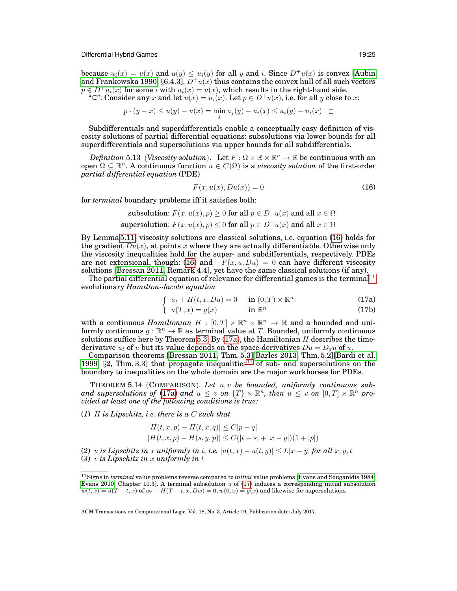because  $u_i(x) = u(x)$  and  $u(y) \leq u_i(y)$  for all y and i. Since  $D^+u(x)$  is convex [\[Aubin](#page-40-2) [and Frankowska 1990,](#page-40-2) §6.4.3],  $D^+u(x)$  thus contains the convex hull of all such vectors  $p \in D^+u_i(x)$  for some i with  $u_i(x) = u(x)$ , which results in the right-hand side.

" $\subseteq$ ": Consider any x and let  $u(x) = u_i(x)$ . Let  $p \in D^+u(x)$ , i.e. for all y close to x:

$$
p \cdot (y - x) \le u(y) - u(x) = \min_j u_j(y) - u_i(x) \le u_i(y) - u_i(x) \quad \Box
$$

Subdifferentials and superdifferentials enable a conceptually easy definition of viscosity solutions of partial differential equations: subsolutions via lower bounds for all superdifferentials and supersolutions via upper bounds for all subdifferentials.

*Definition* 5.13 (*Viscosity solution*). Let  $F : \Omega \times \mathbb{R} \times \mathbb{R}^n \to \mathbb{R}$  be continuous with an open  $\Omega \subseteq \mathbb{R}^n$ . A continuous function  $u \in C(\Omega)$  is a *viscosity solution* of the first-order *partial differential equation* (PDE)

<span id="page-24-0"></span>
$$
F(x, u(x), Du(x)) = 0 \tag{16}
$$

for *terminal* boundary problems iff it satisfies both:

subsolution: 
$$
F(x, u(x), p) \ge 0
$$
 for all  $p \in D^+u(x)$  and all  $x \in \Omega$   
supersolution:  $F(x, u(x), p) \le 0$  for all  $p \in D^-u(x)$  and all  $x \in \Omega$ 

By Lemma [5.11,](#page-23-2) viscosity solutions are classical solutions, i.e. equation [\(16\)](#page-24-0) holds for the gradient  $Du(x)$ , at points x where they are actually differentiable. Otherwise only the viscosity inequalities hold for the super- and subdifferentials, respectively. PDEs are not extensional, though: [\(16\)](#page-24-0) and  $-F(x, u, Du) = 0$  can have different viscosity solutions [\[Bressan 2011,](#page-41-18) Remark 4.4], yet have the same classical solutions (if any).

The partial differential equation of relevance for differential games is the terminal<sup>[11](#page-24-1)</sup> evolutionary *Hamilton-Jacobi equation*

$$
\int u_t + H(t, x, Du) = 0 \quad \text{in } (0, T) \times \mathbb{R}^n \tag{17a}
$$

$$
\begin{cases} u(T,x) = g(x) & \text{in } \mathbb{R}^n \end{cases} \tag{17b}
$$

<span id="page-24-2"></span>with a continuous *Hamiltonian*  $H : [0, T] \times \mathbb{R}^n \times \mathbb{R}^n \to \mathbb{R}$  and a bounded and uniformly continuous  $g : \mathbb{R}^n \to \mathbb{R}$  as terminal value at T. Bounded, uniformly continuous solutions suffice here by Theorem [5.3.](#page-18-13) By  $(17a)$ , the Hamiltonian H describes the timederivative  $u_t$  of u but its value depends on the space-derivatives  $Du = D_x u$  of u.

Comparison theorems [\[Bressan 2011,](#page-41-18) Thm. 5.3][\[Barles 2013,](#page-40-1) Thm. 5.2][\[Bardi et al.](#page-40-0) [1999,](#page-40-0)  $\S$ 2, Thm. 3.3] that propagate inequalities<sup>[11](#page-24-1)</sup> of sub- and supersolutions on the boundary to inequalities on the whole domain are the major workhorses for PDEs.

<span id="page-24-3"></span>THEOREM 5.14 (COMPARISON). *Let* u, v *be bounded, uniformly continuous suband supersolutions of* [\(17a\)](#page-24-2) *and*  $u \leq v$  *on*  $\{T\} \times \mathbb{R}^n$ , *then*  $u \leq v$  *on*  $[0, T] \times \mathbb{R}^n$  pro*vided at least one of the following conditions is true:*

(*1*) H *is Lipschitz, i.e. there is a* C *such that*

$$
|H(t, x, p) - H(t, x, q)| \le C|p - q|
$$
  

$$
|H(t, x, p) - H(s, y, p)| \le C(|t - s| + |x - y|)(1 + |p|)
$$

(2) u is Lipschitz in x uniformly in t, i.e.  $|u(t,x) - u(t,y)| \le L|x-y|$  for all  $x, y, t$ (*3*) v *is Lipschitz in* x *uniformly in* t

<span id="page-24-1"></span><sup>11</sup>Signs in *terminal* value problems reverse compared to *initial* value problems [\[Evans and Souganidis 1984;](#page-41-5) [Evans 2010,](#page-41-20) Chapter 10.3]. A terminal subsolution  $u$  of [\(17\)](#page-24-0) induces a corresponding initial subsolution  $w(t, x) = u(T - t, x)$  of  $w_t - H(T - t, x, Dw) = 0$ ,  $w(0, x) = q(x)$  and likewise for supersolutions.

ACM Transactions on Computational Logic, Vol. 18, No. 3, Article 19, Publication date: July 2017.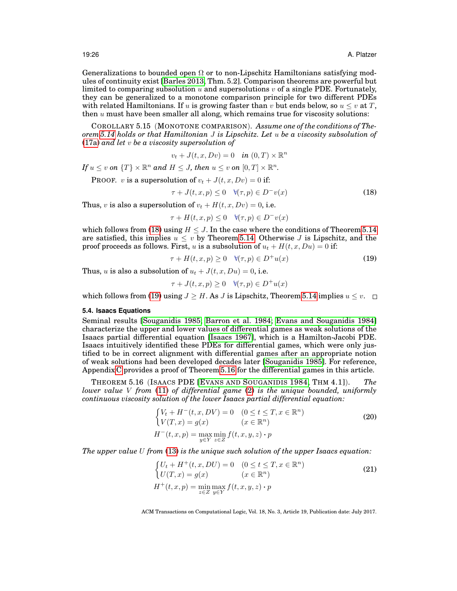Generalizations to bounded open  $\Omega$  or to non-Lipschitz Hamiltonians satisfying modules of continuity exist [\[Barles 2013,](#page-40-1) Thm. 5.2]. Comparison theorems are powerful but limited to comparing subsolution  $u$  and supersolutions  $v$  of a single PDE. Fortunately, they can be generalized to a monotone comparison principle for two different PDEs with related Hamiltonians. If u is growing faster than v but ends below, so  $u \leq v$  at T, then  $u$  must have been smaller all along, which remains true for viscosity solutions:

COROLLARY 5.15 (MONOTONE COMPARISON). *Assume one of the conditions of Theorem [5.14](#page-24-3) holds or that Hamiltonian* J *is Lipschitz. Let* u *be a viscosity subsolution of* [\(17a\)](#page-24-2) *and let* v *be a viscosity supersolution of*

<span id="page-25-6"></span>
$$
v_t + J(t, x, Dv) = 0 \quad \text{in } (0, T) \times \mathbb{R}^n
$$

If  $u \leq v$  on  $\{T\} \times \mathbb{R}^n$  and  $H \leq J$ , then  $u \leq v$  on  $[0, T] \times \mathbb{R}^n$ .

PROOF. v is a supersolution of  $v_t + J(t, x, Dv) = 0$  if:

<span id="page-25-1"></span>
$$
\tau + J(t, x, p) \le 0 \quad \forall (\tau, p) \in D^{-}v(x) \tag{18}
$$

Thus, v is also a supersolution of  $v_t + H(t, x, Dv) = 0$ , i.e.

$$
\tau + H(t, x, p) \le 0 \quad \forall (\tau, p) \in D^{-}v(x)
$$

which follows from [\(18\)](#page-25-1) using  $H \leq J$ . In the case where the conditions of Theorem [5.14](#page-24-3) are satisfied, this implies  $u < v$  by Theorem [5.14.](#page-24-3) Otherwise J is Lipschitz, and the proof proceeds as follows. First, u is a subsolution of  $u_t + H(t, x, Du) = 0$  if:

<span id="page-25-2"></span>
$$
\tau + H(t, x, p) \ge 0 \quad \forall (\tau, p) \in D^{+}u(x) \tag{19}
$$

Thus, u is also a subsolution of  $u_t + J(t, x, Du) = 0$ , i.e.

$$
\tau + J(t, x, p) \ge 0 \quad \forall (\tau, p) \in D^{+}u(x)
$$

which follows from [\(19\)](#page-25-2) using  $J \geq H$ . As J is Lipschitz, Theorem [5.14](#page-24-3) implies  $u \leq v$ .  $\Box$ 

# <span id="page-25-0"></span>**5.4. Isaacs Equations**

Seminal results [\[Souganidis 1985;](#page-42-1) [Barron et al. 1984;](#page-40-3) [Evans and Souganidis 1984\]](#page-41-5) characterize the upper and lower values of differential games as weak solutions of the Isaacs partial differential equation [\[Isaacs 1967\]](#page-41-0), which is a Hamilton-Jacobi PDE. Isaacs intuitively identified these PDEs for differential games, which were only justified to be in correct alignment with differential games after an appropriate notion of weak solutions had been developed decades later [\[Souganidis 1985\]](#page-42-1). For reference, Appendix [C](#page-37-3) provides a proof of Theorem [5.16](#page-25-3) for the differential games in this article.

<span id="page-25-3"></span>THEOREM 5.16 (ISAACS PDE [EVANS AND S[OUGANIDIS](#page-41-5) 1984, THM 4.1]). *The lower value* V *from* [\(11\)](#page-18-5) *of differential game* [\(2\)](#page-6-0) *is the unique bounded, uniformly continuous viscosity solution of the lower Isaacs partial differential equation:*

<span id="page-25-4"></span>
$$
\begin{cases}\nV_t + H^-(t, x, DV) = 0 & (0 \le t \le T, x \in \mathbb{R}^n) \\
V(T, x) = g(x) & (x \in \mathbb{R}^n) \\
H^-(t, x, p) = \max_{y \in Y} \min_{z \in Z} f(t, x, y, z) \cdot p\n\end{cases}
$$
\n(20)

*The upper value* U *from* [\(13\)](#page-18-12) *is the unique such solution of the upper Isaacs equation:*

<span id="page-25-5"></span>
$$
\begin{cases}\nU_t + H^+(t, x, DU) = 0 & (0 \le t \le T, x \in \mathbb{R}^n) \\
U(T, x) = g(x) & (x \in \mathbb{R}^n) \\
H^+(t, x, p) = \min_{z \in Z} \max_{y \in Y} f(t, x, y, z) \cdot p\n\end{cases}
$$
\n(21)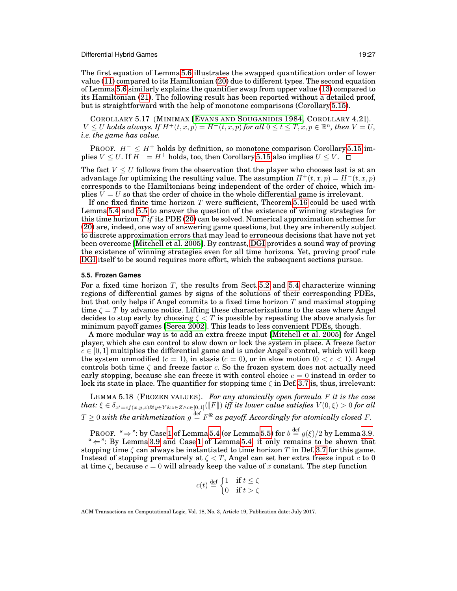The first equation of Lemma [5.6](#page-20-0) illustrates the swapped quantification order of lower value [\(11\)](#page-18-5) compared to its Hamiltonian [\(20\)](#page-25-4) due to different types. The second equation of Lemma [5.6](#page-20-0) similarly explains the quantifier swap from upper value [\(13\)](#page-18-12) compared to its Hamiltonian [\(21\)](#page-25-5). The following result has been reported without a detailed proof, but is straightforward with the help of monotone comparisons (Corollary [5.15\)](#page-25-6).

COROLLARY 5.17 (MINIMAX [EVANS AND S[OUGANIDIS](#page-41-5) 1984, COROLLARY 4.2]).  $V \leq U$  holds always. If  $H^+(t,x,p) = H^-(t,x,p)$  for all  $0 \leq t \leq T, x, p \in \mathbb{R}^n$ , then  $V = U$ , *i.e. the game has value.*

PROOF.  $H^- \leq H^+$  holds by definition, so monotone comparison Corollary [5.15](#page-25-6) implies  $V \leq U$ . If  $H^- = H^+$  holds, too, then Corollary [5.15](#page-25-6) also implies  $U \leq V$ .

The fact  $V \leq U$  follows from the observation that the player who chooses last is at an advantage for optimizing the resulting value. The assumption  $H^+(t, x, p) = H^-(t, x, p)$ corresponds to the Hamiltonians being independent of the order of choice, which implies  $V = U$  so that the order of choice in the whole differential game is irrelevant.

If one fixed finite time horizon T were sufficient, Theorem [5.16](#page-25-3) could be used with Lemma [5.4](#page-18-11) and [5.5](#page-19-0) to answer the question of the existence of winning strategies for this time horizon T *if* its PDE [\(20\)](#page-25-4) can be solved. Numerical approximation schemes for [\(20\)](#page-25-4) are, indeed, one way of answering game questions, but they are inherently subject to discrete approximation errors that may lead to erroneous decisions that have not yet been overcome [\[Mitchell et al. 2005\]](#page-42-8). By contrast, [DGI](#page-12-1) provides a sound way of proving the existence of winning strategies even for all time horizons. Yet, proving proof rule [DGI](#page-12-1) itself to be sound requires more effort, which the subsequent sections pursue.

# <span id="page-26-0"></span>**5.5. Frozen Games**

For a fixed time horizon T, the results from Sect.  $5.2$  and  $5.4$  characterize winning regions of differential games by signs of the solutions of their corresponding PDEs, but that only helps if Angel commits to a fixed time horizon  $T$  and maximal stopping time  $\zeta = T$  by advance notice. Lifting these characterizations to the case where Angel decides to stop early by choosing  $\zeta < T$  is possible by repeating the above analysis for minimum payoff games [\[Serea 2002\]](#page-42-19). This leads to less convenient PDEs, though.

A more modular way is to add an extra freeze input [\[Mitchell et al. 2005\]](#page-42-8) for Angel player, which she can control to slow down or lock the system in place. A freeze factor  $c \in [0, 1]$  multiplies the differential game and is under Angel's control, which will keep the system unmodified  $(c = 1)$ , in stasis  $(c = 0)$ , or in slow motion  $(0 < c < 1)$ . Angel controls both time  $\zeta$  and freeze factor c. So the frozen system does not actually need early stopping, because she can freeze it with control choice  $c = 0$  instead in order to lock its state in place. The quantifier for stopping time  $\zeta$  in Def. [3.7](#page-8-1) is, thus, irrelevant:

<span id="page-26-1"></span>LEMMA 5.18 (FROZEN VALUES). *For any atomically open formula* F *it is the case*  $that:\xi\in \delta_{x'=cf(x,y,z)}$ &y $\in$ Y &z $\in$ Z∧c $\in$ [0,1] $(\llbracket F\rrbracket)$  *iff its lower value satisfies*  $V(0,\xi)>0$  *for all*  $T\geq 0$  with the arithmetization  $g\stackrel{{\mathrm {def}}}{=}F^\Re$  as payoff. Accordingly for atomically closed  $F.$ 

PROOF. " $\Rightarrow$ ": by Case [1](#page-18-7) of Lemma [5.4](#page-18-11) (or Lemma [5.5\)](#page-19-0) for  $b \stackrel{\text{def}}{=} g(\xi)/2$  by Lemma [3.9.](#page-10-2) " $\Leftarrow$ ": By Lemma [3.9](#page-10-2) and Case [1](#page-18-7) of Lemma [5.4,](#page-18-11) it only remains to be shown that stopping time  $\zeta$  can always be instantiated to time horizon T in Def. [3.7](#page-8-1) for this game. Instead of stopping prematurely at  $\zeta \langle T \rangle$ , Angel can set her extra freeze input c to 0 at time  $\zeta$ , because  $c = 0$  will already keep the value of x constant. The step function

$$
c(t) \stackrel{\text{def}}{=} \begin{cases} 1 & \text{if } t \le \zeta \\ 0 & \text{if } t > \zeta \end{cases}
$$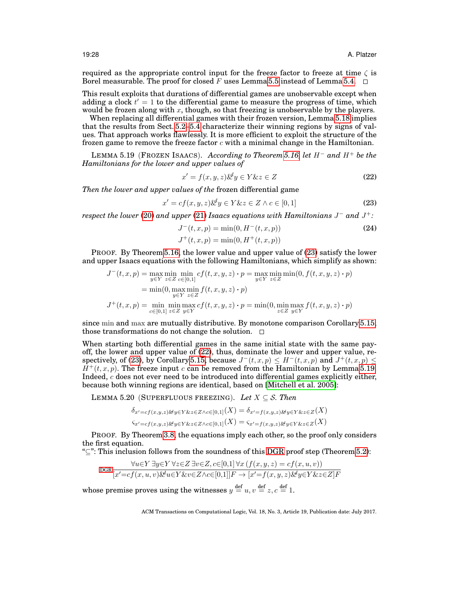required as the appropriate control input for the freeze factor to freeze at time  $\zeta$  is Borel measurable. The proof for closed F uses Lemma [5.5](#page-19-0) instead of Lemma [5.4.](#page-18-11)  $\Box$ 

This result exploits that durations of differential games are unobservable except when adding a clock  $t'=1$  to the differential game to measure the progress of time, which would be frozen along with x, though, so that freezing is unobservable by the players.

When replacing all differential games with their frozen version, Lemma [5.18](#page-26-1) implies that the results from Sect. [5.2](#page-18-0)[–5.4](#page-25-0) characterize their winning regions by signs of values. That approach works flawlessly. It is more efficient to exploit the structure of the frozen game to remove the freeze factor  $c$  with a minimal change in the Hamiltonian.

<span id="page-27-3"></span>LEMMA 5.19 (FROZEN ISAACS). *According to Theorem [5.16,](#page-25-3) let* H<sup>−</sup> *and* H<sup>+</sup> *be the Hamiltonians for the lower and upper values of*

<span id="page-27-2"></span>
$$
x' = f(x, y, z) \mathcal{L}^{\prime} y \in Y \mathcal{L} z \in Z \tag{22}
$$

*Then the lower and upper values of the* frozen differential game

<span id="page-27-1"></span>
$$
x' = cf(x, y, z) \mathcal{L}^d y \in Y \mathcal{L} z \in Z \land c \in [0, 1]
$$
\n(23)

*respect the lower* [\(20\)](#page-25-4) *and upper* [\(21\)](#page-25-5) *Isaacs equations with Hamiltonians* J <sup>−</sup> *and* J +*:*

<span id="page-27-4"></span>
$$
J^{-}(t, x, p) = \min(0, H^{-}(t, x, p))
$$
\n(24)

$$
J^+(t, x, p) = \min(0, H^+(t, x, p))
$$

PROOF. By Theorem [5.16,](#page-25-3) the lower value and upper value of [\(23\)](#page-27-1) satisfy the lower and upper Isaacs equations with the following Hamiltonians, which simplify as shown:

$$
J^{-}(t, x, p) = \max_{y \in Y} \min_{z \in Z} \min_{c \in [0, 1]} cf(t, x, y, z) \cdot p = \max_{y \in Y} \min_{z \in Z} \min(0, f(t, x, y, z) \cdot p)
$$
  
=  $\min(0, \max_{y \in Y} \min_{z \in Z} f(t, x, y, z) \cdot p)$   

$$
J^{+}(t, x, p) = \min_{c \in [0, 1]} \min_{z \in Z} \max_{y \in Y} cf(t, x, y, z) \cdot p = \min(0, \min_{z \in Z} \max_{y \in Y} f(t, x, y, z) \cdot p)
$$

since min and max are mutually distributive. By monotone comparison Corollary [5.15,](#page-25-6) those transformations do not change the solution.  $\Box$ 

When starting both differential games in the same initial state with the same payoff, the lower and upper value of [\(22\)](#page-27-2), thus, dominate the lower and upper value, re-spectively, of [\(23\)](#page-27-1), by Corollary [5.15,](#page-25-6) because  $J^-(t, x, p) \leq H^-(t, x, p)$  and  $J^+(t, x, p) \leq$  $H^+(t, x, p)$ . The freeze input c can be removed from the Hamiltonian by Lemma [5.19.](#page-27-3) Indeed,  $c$  does not ever need to be introduced into differential games explicitly either, because both winning regions are identical, based on [\[Mitchell et al. 2005\]](#page-42-8):

<span id="page-27-0"></span>LEMMA 5.20 (SUPERFLUOUS FREEZING). Let  $X \subseteq S$ . Then

$$
\delta_{x'=cf(x,y,z)}\mathcal{L}_{y\in Y\&z\in Z\wedge c\in [0,1]}(X) = \delta_{x'=f(x,y,z)\&y\in Y\&z\in Z}(X)
$$
  

$$
\varsigma_{x'=cf(x,y,z)\&y\in Y\&z\in Z\wedge c\in [0,1]}(X) = \varsigma_{x'=f(x,y,z)\&y\in Y\&z\in Z}(X)
$$

PROOF. By Theorem [3.8,](#page-9-0) the equations imply each other, so the proof only considers the first equation.

"⊆": This inclusion follows from the soundness of this [DGR](#page-12-3) proof step (Theorem [5.2\)](#page-16-2):

$$
\operatorname{DGR}\frac{\forall u \in Y \exists y \in Y \forall z \in Z \exists v \in Z, c \in [0,1] \forall x (f(x, y, z) = cf(x, u, v))}{[x'=cf(x, u, v) \& u \in Y \& v \in Z \land c \in [0,1]]F \to [x'=f(x, y, z) \& y \in Y \& z \in Z]F}
$$

whose premise proves using the witnesses  $y \stackrel{\text{def}}{=} u, v \stackrel{\text{def}}{=} z, c \stackrel{\text{def}}{=} 1$ .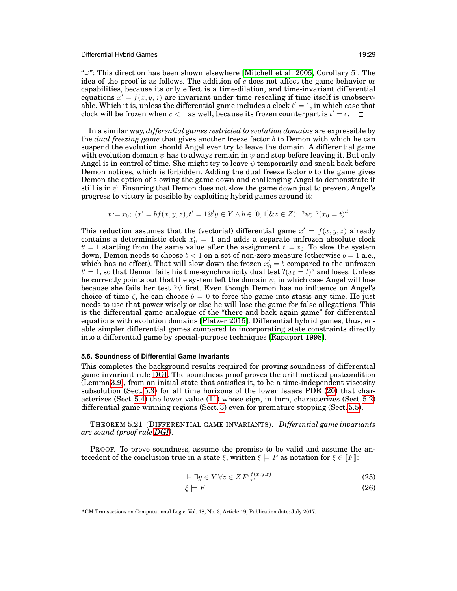"⊇": This direction has been shown elsewhere [\[Mitchell et al. 2005,](#page-42-8) Corollary 5]. The idea of the proof is as follows. The addition of  $c$  does not affect the game behavior or capabilities, because its only effect is a time-dilation, and time-invariant differential equations  $x' = f(x, y, z)$  are invariant under time rescaling if time itself is unobservable. Which it is, unless the differential game includes a clock  $t^\prime=1,$  in which case that clock will be frozen when  $c < 1$  as well, because its frozen counterpart is  $t^\prime = c.$ 

In a similar way, *differential games restricted to evolution domains* are expressible by the *dual freezing game* that gives another freeze factor b to Demon with which he can suspend the evolution should Angel ever try to leave the domain. A differential game with evolution domain  $\psi$  has to always remain in  $\psi$  and stop before leaving it. But only Angel is in control of time. She might try to leave  $\psi$  temporarily and sneak back before Demon notices, which is forbidden. Adding the dual freeze factor  $b$  to the game gives Demon the option of slowing the game down and challenging Angel to demonstrate it still is in  $\psi$ . Ensuring that Demon does not slow the game down just to prevent Angel's progress to victory is possible by exploiting hybrid games around it:

$$
t := x_0; \ (x' = bf(x, y, z), t' = 1 \& y \in Y \land b \in [0, 1] \& z \in Z); \ ?\psi; \ ?(x_0 = t)^d
$$

This reduction assumes that the (vectorial) differential game  $x' = f(x, y, z)$  already contains a deterministic clock  $x_0' = 1$  and adds a separate unfrozen absolute clock  $t' = 1$  starting from the same value after the assignment  $t := x_0$ . To slow the system down, Demon needs to choose  $b < 1$  on a set of non-zero measure (otherwise  $b = 1$  a.e., which has no effect). That will slow down the frozen  $x'_0 = b$  compared to the unfrozen  $t'=1,$  so that Demon fails his time-synchronicity dual test  $?(x_0=t)^d$  and loses. Unless he correctly points out that the system left the domain  $\psi$ , in which case Angel will lose because she fails her test ? $\psi$  first. Even though Demon has no influence on Angel's choice of time  $\zeta$ , he can choose  $b = 0$  to force the game into stasis any time. He just needs to use that power wisely or else he will lose the game for false allegations. This is the differential game analogue of the "there and back again game" for differential equations with evolution domains [\[Platzer 2015\]](#page-42-5). Differential hybrid games, thus, enable simpler differential games compared to incorporating state constraints directly into a differential game by special-purpose techniques [\[Rapaport 1998\]](#page-42-20).

# <span id="page-28-0"></span>**5.6. Soundness of Differential Game Invariants**

This completes the background results required for proving soundness of differential game invariant rule [DGI.](#page-12-1) The soundness proof proves the arithmetized postcondition (Lemma [3.9\)](#page-10-2), from an initial state that satisfies it, to be a time-independent viscosity subsolution (Sect. [5.3\)](#page-22-0) for all time horizons of the lower Isaacs PDE [\(20\)](#page-25-4) that characterizes (Sect. [5.4\)](#page-25-0) the lower value [\(11\)](#page-18-5) whose sign, in turn, characterizes (Sect. [5.2\)](#page-18-0) differential game winning regions (Sect. [3\)](#page-3-2) even for premature stopping (Sect. [5.5\)](#page-26-0).

<span id="page-28-3"></span>THEOREM 5.21 (DIFFERENTIAL GAME INVARIANTS). *Differential game invariants are sound (proof rule [DGI\)](#page-12-1).*

PROOF. To prove soundness, assume the premise to be valid and assume the antecedent of the conclusion true in a state  $\xi$ , written  $\xi \models F$  as notation for  $\xi \in [F]$ :

<span id="page-28-2"></span><span id="page-28-1"></span>
$$
\vDash \exists y \in Y \,\forall z \in Z \, F'_{x'}^{f(x,y,z)} \tag{25}
$$

$$
\xi \models F \tag{26}
$$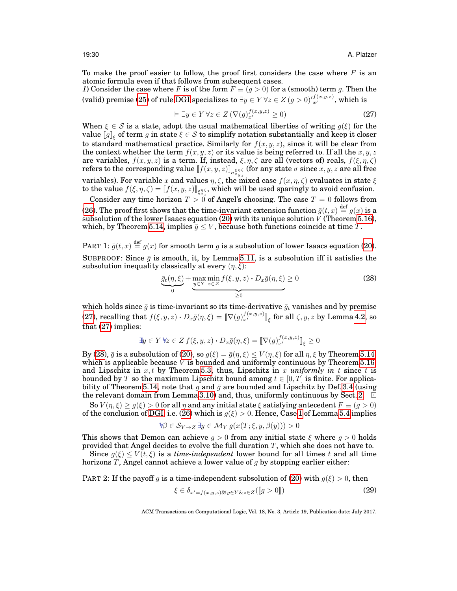To make the proof easier to follow, the proof first considers the case where  $F$  is an atomic formula even if that follows from subsequent cases.

<span id="page-29-4"></span>*1*) Consider the case where F is of the form  $F \equiv (g > 0)$  for a (smooth) term g. Then the (valid) premise [\(25\)](#page-28-1) of rule [DGI](#page-12-1) specializes to  $\exists y\in Y\,\forall z\in Z$   $(g>0)^{\prime}\!\frac{f(x,y,z)}{x^{\prime}}$ , which is

<span id="page-29-0"></span>
$$
\vDash \exists y \in Y \,\forall z \in Z \, (\nabla (g)_{x'}^{f(x,y,z)} \ge 0)
$$
\n
$$
(27)
$$

When  $\xi \in S$  is a state, adopt the usual mathematical liberties of writing  $g(\xi)$  for the value  $[\![g]\!]_\xi$  of term  $g$  in state  $\xi\in\mathcal{S}$  to simplify notation substantially and keep it closer to standard mathematical practice. Similarly for  $f(x, y, z)$ , since it will be clear from the context whether the term  $f(x, y, z)$  or its value is being referred to. If all the  $x, y, z$ are variables,  $f(x, y, z)$  is a term. If, instead,  $\xi, \eta, \zeta$  are all (vectors of) reals,  $f(\xi, \eta, \zeta)$ refers to the corresponding value  $[\![f(x,y,z)]\!]_{\sigma^{\xi\eta\zeta}_{x,y}}$  (for any state  $\sigma$  since  $x,y,z$  are all free variables). For variable x and values  $\eta$ ,  $\zeta$ , the mixed case  $f(x, \eta, \zeta)$  evaluates in state  $\xi$ to the value  $f(\xi, \eta, \zeta) = \llbracket f(x, y, z) \rrbracket_{\xi_y^{\eta_\zeta}}$ , which will be used sparingly to avoid confusion.

Consider any time horizon  $T > 0$  of Angel's choosing. The case  $T = 0$  follows from [\(26\)](#page-28-2). The proof first shows that the time-invariant extension function  $\bar{g}(t, x) \stackrel{\text{def}}{=} g(x)$  is a subsolution of the lower Isaacs equation [\(20\)](#page-25-4) with its unique solution  $\dot{V}$  (Theorem [5.16\)](#page-25-3), which, by Theorem [5.14,](#page-24-3) implies  $\bar{g} \leq V$ , because both functions coincide at time T.

<span id="page-29-5"></span>PART 1:  $\bar{g}(t, x) \stackrel{\text{def}}{=} g(x)$  for smooth term g is a subsolution of lower Isaacs equation [\(20\)](#page-25-4). SUBPROOF: Since  $\bar{g}$  is smooth, it, by Lemma [5.11,](#page-23-2) is a subsolution iff it satisfies the subsolution inequality classically at every  $(\eta, \xi)$ :

<span id="page-29-1"></span>
$$
\underbrace{\bar{g}_t(\eta,\xi)}_{0} + \underbrace{\max_{y \in Y} \min_{z \in Z} f(\xi,y,z) \cdot D_x \bar{g}(\eta,\xi)}_{\geq 0} \geq 0
$$
\n(28)

which holds since  $\bar{g}$  is time-invariant so its time-derivative  $\bar{g}_t$  vanishes and by premise [\(27\)](#page-29-0), recalling that  $f(\xi, y, z) \cdot D_x \bar{g}(\eta, \xi) = [\![\nabla (g)^{f(x,y,z)}_{x'}]\!]_{\xi}$  for all  $\zeta, y, z$  by Lemma [4.2,](#page-13-0) so that [\(27\)](#page-29-0) implies:

$$
\exists y \in Y \ \forall z \in Z \ f(\xi, y, z) \cdot D_x \bar{g}(\eta, \xi) = \llbracket \nabla(g)_{x'}^{f(x, y, z)} \rrbracket_{\xi} \ge 0
$$

By [\(28\)](#page-29-1),  $\bar{g}$  is a subsolution of [\(20\)](#page-25-4), so  $g(\xi) = \bar{g}(\eta, \xi) \le V(\eta, \xi)$  for all  $\eta, \xi$  by Theorem [5.14,](#page-24-3) which is applicable because  $V$  is bounded and uniformly continuous by Theorem [5.16,](#page-25-3) and Lipschitz in  $x, t$  by Theorem [5.3,](#page-18-13) thus, Lipschitz in  $x$  *uniformly in*  $t$  since  $t$  is bounded by T so the maximum Lipschitz bound among  $t \in [0, T]$  is finite. For applica-bility of Theorem [5.14,](#page-24-3) note that q and  $\bar{q}$  are bounded and Lipschitz by Def. [3.4](#page-6-2) (using the relevant domain from Lemma [3.10\)](#page-11-2) and, thus, uniformly continuous by Sect. [2.](#page-2-2)  $\Box$ 

So  $V(\eta, \xi) \ge g(\xi) > 0$  for all  $\eta$  and any initial state  $\xi$  satisfying antecedent  $F \equiv (g > 0)$ of the conclusion of [DGI,](#page-12-1) i.e. [\(26\)](#page-28-2) which is  $g(\xi) > 0$ . Hence, Case [1](#page-18-7) of Lemma [5.4](#page-18-11) implies

$$
\forall \beta \in \mathcal{S}_{Y \to Z} \ \exists y \in \mathcal{M}_Y \ g(x(T;\xi,y,\beta(y))) > 0
$$

This shows that Demon can achieve  $g > 0$  from any initial state  $\xi$  where  $g > 0$  holds provided that Angel decides to evolve the full duration  $T$ , which she does not have to. Since  $g(\xi) \le V(t,\xi)$  is a *time-independent* lower bound for all times t and all time

horizons T, Angel cannot achieve a lower value of g by stopping earlier either:

<span id="page-29-3"></span>PART 2: If the payoff g is a time-independent subsolution of [\(20\)](#page-25-4) with  $g(\xi) > 0$ , then

<span id="page-29-2"></span>
$$
\xi \in \delta_{x'=f(x,y,z)\&y \in Y\&z \in Z}(\llbracket g > 0 \rrbracket)
$$
\n(29)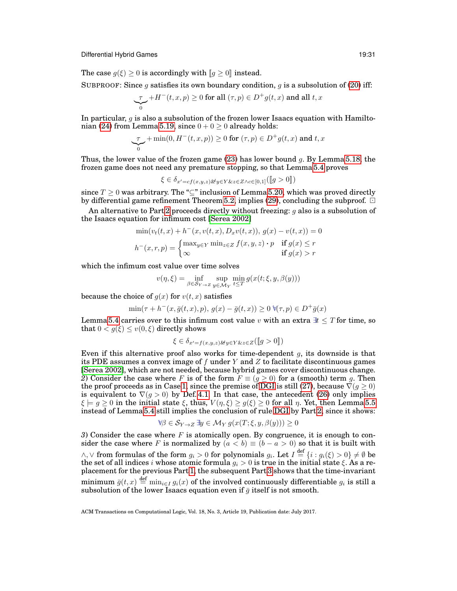The case  $g(\xi) \geq 0$  is accordingly with  $[g \geq 0]$  instead.

SUBPROOF: Since g satisfies its own boundary condition, g is a subsolution of [\(20\)](#page-25-4) iff:

$$
\underbrace{\tau}_0 + H^-(t,x,p) \geq 0
$$
 for all  $(\tau,p) \in D^+g(t,x)$  and all  $t,x$ 

In particular,  $q$  is also a subsolution of the frozen lower Isaacs equation with Hamilto-nian [\(24\)](#page-27-4) from Lemma [5.19,](#page-27-3) since  $0 + 0 > 0$  already holds:

$$
\underbrace{\tau}_{0} + \min(0, H^-(t, x, p)) \ge 0 \text{ for } (\tau, p) \in D^+ g(t, x) \text{ and } t, x
$$

Thus, the lower value of the frozen game  $(23)$  has lower bound q. By Lemma [5.18,](#page-26-1) the frozen game does not need any premature stopping, so that Lemma [5.4](#page-18-11) proves

$$
\xi \in \delta_{x'=cf(x,y,z)} \&y \in Y \&z \in Z \land c \in [0,1] \big(\llbracket g > 0 \rrbracket\big)
$$

since  $T \geq 0$  was arbitrary. The " $\subseteq$ " inclusion of Lemma [5.20,](#page-27-0) which was proved directly by differential game refinement Theorem [5.2,](#page-16-2) implies [\(29\)](#page-29-2), concluding the subproof.  $\Box$ 

An alternative to Part [2](#page-29-3) proceeds directly without freezing:  $q$  also is a subsolution of the Isaacs equation for infimum cost [\[Serea 2002\]](#page-42-19)

$$
\min(v_t(t, x) + h^-(x, v(t, x), D_x v(t, x)), g(x) - v(t, x)) = 0
$$

$$
h^-(x, r, p) = \begin{cases} \max_{y \in Y} \min_{z \in Z} f(x, y, z) \cdot p & \text{if } g(x) \le r\\ \infty & \text{if } g(x) > r \end{cases}
$$

which the infimum cost value over time solves

$$
v(\eta, \xi) = \inf_{\beta \in S_{Y \to Z}} \sup_{y \in \mathcal{M}_Y} \min_{t \leq T} g(x(t; \xi, y, \beta(y)))
$$

because the choice of  $q(x)$  for  $v(t, x)$  satisfies

$$
\min(\tau + h^-(x, \bar{g}(t, x), p), g(x) - \bar{g}(t, x)) \ge 0 \,\forall (\tau, p) \in D^+ \bar{g}(x)
$$

Lemma [5.4](#page-18-11) carries over to this infimum cost value v with an extra  $\mathcal{H} \leq T$  for time, so that  $0 < g(\xi) \le v(0,\xi)$  directly shows

$$
\xi \in \delta_{x'=f(x,y,z)\&y\in Y\&z\in Z}(\llbracket g>0\rrbracket)
$$

<span id="page-30-1"></span>Even if this alternative proof also works for time-dependent  $q$ , its downside is that its PDE assumes a convex image of f under  $Y$  and  $Z$  to facilitate discontinuous games [\[Serea 2002\]](#page-42-19), which are not needed, because hybrid games cover discontinuous change. *2*) Consider the case where F is of the form  $F \equiv (g \ge 0)$  for a (smooth) term g. Then the proof proceeds as in Case [1,](#page-29-4) since the premise of [DGI](#page-12-1) is still [\(27\)](#page-29-0), because  $\nabla(g \geq 0)$ is equivalent to  $\nabla(g>0)$  by Def. [4.1.](#page-12-4) In that case, the antecedent [\(26\)](#page-28-2) only implies  $\xi \models g \geq 0$  in the initial state  $\xi$ , thus,  $V(\eta, \xi) \geq g(\xi) \geq 0$  for all  $\eta$ . Yet, then Lemma [5.5](#page-19-0) instead of Lemma [5.4](#page-18-11) still implies the conclusion of rule [DGI](#page-12-1) by Part [2,](#page-29-3) since it shows:

$$
\forall \beta \in \mathcal{S}_{Y \to Z} \exists y \in \mathcal{M}_Y \ g(x(T; \xi, y, \beta(y))) \ge 0
$$

<span id="page-30-0"></span>*3*) Consider the case where F is atomically open. By congruence, it is enough to consider the case where F is normalized by  $(a < b) \equiv (b - a > 0)$  so that it is built with  $\wedge, \vee$  from formulas of the form  $g_i > 0$  for polynomials  $g_i$ . Let  $I \stackrel{\text{def}}{=} \{i : g_i(\xi) > 0\} \neq \emptyset$  be the set of all indices  $i$  whose atomic formula  $g_i > 0$  is true in the initial state ξ. As a replacement for the previous Part [1,](#page-29-5) the subsequent Part [3](#page-31-0) shows that the time-invariant minimum  $\bar{g}(t, x) \stackrel{\text{def}}{=} \min_{i \in I} g_i(x)$  of the involved continuously differentiable  $g_i$  is still a subsolution of the lower Isaacs equation even if  $\bar{q}$  itself is not smooth.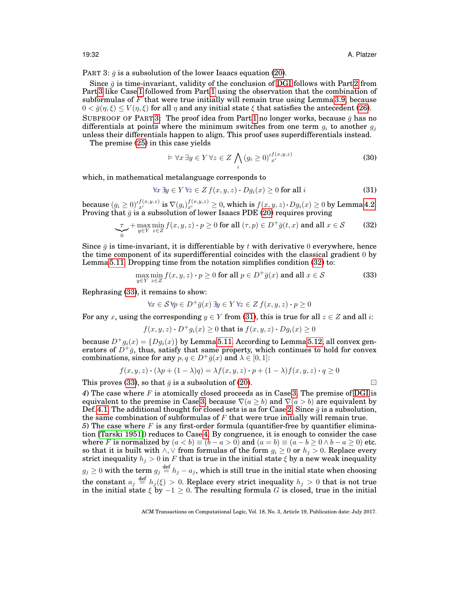<span id="page-31-0"></span>PART 3:  $\bar{q}$  is a subsolution of the lower Isaacs equation [\(20\)](#page-25-4).

Since  $\bar{g}$  is time-invariant, validity of the conclusion of [DGI](#page-12-1) follows with Part [2](#page-29-3) from Part [3](#page-31-0) like Case [1](#page-29-4) followed from Part [1](#page-29-5) using the observation that the combination of subformulas of  $F$  that were true initially will remain true using Lemma [3.9,](#page-10-2) because  $0 < \bar{g}(\eta, \xi) \le V(\eta, \xi)$  for all  $\eta$  and any initial state  $\xi$  that satisfies the antecedent [\(26\)](#page-28-2). SUBPROOF OF PART [3:](#page-31-0) The proof idea from Part [1](#page-29-5) no longer works, because  $\bar{g}$  has no differentials at points where the minimum switches from one term  $g_i$  to another  $g_i$ unless their differentials happen to align. This proof uses superdifferentials instead.

The premise [\(25\)](#page-28-1) in this case yields

$$
\models \forall x \, \exists y \in Y \, \forall z \in Z \bigwedge_i (g_i \ge 0)^{\prime f(x, y, z)}_{x'} \tag{30}
$$

which, in mathematical metalanguage corresponds to

<span id="page-31-3"></span>
$$
\forall x \, \exists y \in Y \, \forall z \in Z \, f(x, y, z) \cdot Dg_i(x) \ge 0 \text{ for all } i \tag{31}
$$

because  $(g_i \geq 0)_{x'}^{f(x,y,z)}$  is  $\nabla (g_i)_{x'}^{f(x,y,z)} \geq 0$ , which is  $f(x,y,z) \cdot Dg_i(x) \geq 0$  by Lemma [4.2.](#page-13-0)<br>Proving that  $\bar{g}$  is a subsolution of lower Isaacs PDE [\(20\)](#page-25-4) requires proving

<span id="page-31-1"></span>
$$
\underbrace{\tau}_{0} + \max_{y \in Y} \min_{z \in Z} f(x, y, z) \cdot p \ge 0 \text{ for all } (\tau, p) \in D^{+}\bar{g}(t, x) \text{ and all } x \in S \tag{32}
$$

Since  $\bar{q}$  is time-invariant, it is differentiable by t with derivative 0 everywhere, hence the time component of its superdifferential coincides with the classical gradient 0 by Lemma [5.11.](#page-23-2) Dropping time from the notation simplifies condition [\(32\)](#page-31-1) to:

<span id="page-31-2"></span>
$$
\max_{y \in Y} \min_{z \in Z} f(x, y, z) \cdot p \ge 0 \text{ for all } p \in D^+ \bar{g}(x) \text{ and all } x \in \mathcal{S}
$$
\n(33)

Rephrasing [\(33\)](#page-31-2), it remains to show:

$$
\forall x \in \mathcal{S} \,\forall p \in D^+\bar{g}(x) \,\exists y \in Y \,\forall z \in Z \,f(x, y, z) \cdot p \ge 0
$$

For any x, using the corresponding  $y \in Y$  from [\(31\)](#page-31-3), this is true for all  $z \in Z$  and all i:

$$
f(x, y, z) \cdot D^{+}g_{i}(x) \ge 0 \text{ that is } f(x, y, z) \cdot Dg_{i}(x) \ge 0
$$

because  $D^+g_i(x) = \{Dg_i(x)\}\$  by Lemma [5.11.](#page-23-2) According to Lemma [5.12,](#page-23-3) all convex generators of  $\vec{D}^+\vec{g}$ , thus, satisfy that same property, which continues to hold for convex combinations, since for any  $p, q \in D^+ \overline{q}(x)$  and  $\lambda \in [0, 1]$ :

$$
f(x, y, z) \cdot (\lambda p + (1 - \lambda)q) = \lambda f(x, y, z) \cdot p + (1 - \lambda)f(x, y, z) \cdot q \ge 0
$$

This proves [\(33\)](#page-31-2), so that  $\bar{q}$  is a subsolution of [\(20\)](#page-25-4).

<span id="page-31-4"></span>*4*) The case where F is atomically closed proceeds as in Case [3.](#page-30-0) The premise of [DGI](#page-12-1) is equivalent to the premise in Case [3,](#page-30-0) because  $\nabla(a \ge b)$  and  $\nabla(a > b)$  are equivalent by Def. [4.1.](#page-12-4) The additional thought for closed sets is as for Case [2.](#page-30-1) Since  $\bar{g}$  is a subsolution, the same combination of subformulas of  $F$  that were true initially will remain true.

 $5)$  The case where  $F$  is any first-order formula (quantifier-free by quantifier elimination [\[Tarski 1951\]](#page-42-12)) reduces to Case [4.](#page-31-4) By congruence, it is enough to consider the case where F is normalized by  $(a < b) \equiv (b - a > 0)$  and  $(a = b) \equiv (a - b \ge 0 \land b - a \ge 0)$  etc. so that it is built with  $\wedge$ ,  $\vee$  from formulas of the form  $g_i \geq 0$  or  $h_i > 0$ . Replace every strict inequality  $h_i > 0$  in F that is true in the initial state  $\xi$  by a new weak inequality  $g_j \geq 0$  with the term  $g_j \stackrel{\text{def}}{=} h_j - a_j$ , which is still true in the initial state when choosing the constant  $a_j \stackrel{\text{def}}{=} h_j(\xi) > 0$ . Replace every strict inequality  $h_j > 0$  that is not true in the initial state  $\xi$  by  $-1 \geq 0$ . The resulting formula G is closed, true in the initial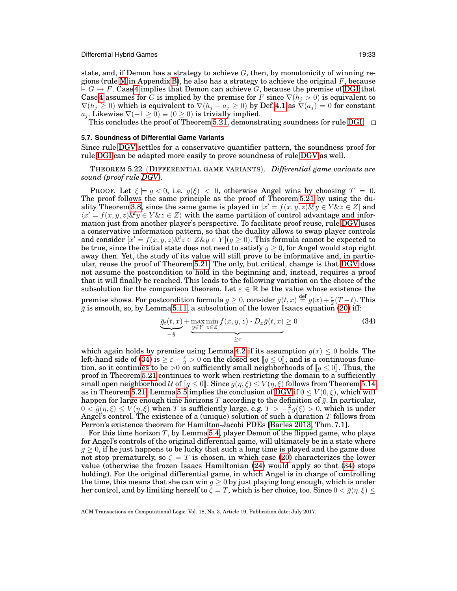state, and, if Demon has a strategy to achieve  $G$ , then, by monotonicity of winning re-gions (rule [M](#page-37-1) in Appendix [B\)](#page-37-0), he also has a strategy to achieve the original  $F$ , because  $\vdash G \rightarrow F$ . Case [4](#page-31-4) implies that Demon can achieve G, because the premise of [DGI](#page-12-1) that Case [4](#page-31-4) assumes for G is implied by the premise for F since  $\nabla(h_i > 0)$  is equivalent to  $\nabla(h_j \geq 0)$  which is equivalent to  $\nabla(h_j - a_j \geq 0)$  by Def. [4.1](#page-12-4) as  $\nabla(a_j) = 0$  for constant  $a_j$ . Likewise  $\nabla(-1 \ge 0) \equiv (0 \ge 0)$  is trivially implied.<br>This concludes the proof of Theorem [5.21,](#page-28-3) demonstrating soundness for rule [DGI.](#page-12-1)

#### <span id="page-32-0"></span>**5.7. Soundness of Differential Game Variants**

Since rule [DGV](#page-12-2) settles for a conservative quantifier pattern, the soundness proof for rule [DGI](#page-12-1) can be adapted more easily to prove soundness of rule [DGV](#page-12-2) as well.

THEOREM 5.22 (DIFFERENTIAL GAME VARIANTS). *Differential game variants are sound (proof rule [DGV\)](#page-12-2).*

**PROOF.** Let  $\xi \models g \leq 0$ , i.e.  $g(\xi) \leq 0$ , otherwise Angel wins by choosing  $T = 0$ . The proof follows the same principle as the proof of Theorem [5.21](#page-28-3) by using the du-ality Theorem [3.8,](#page-9-0) since the same game is played in  $[x' = f(x, y, z) \& y \in Y \& z \in Z]$  and  $\langle x' = f(x, y, z) \& y \in Y \& z \in Z \rangle$  with the same partition of control advantage and information just from another player's perspective. To facilitate proof reuse, rule [DGV](#page-12-2) uses a conservative information pattern, so that the duality allows to swap player controls and consider  $[x' = f(x, y, z)\&z \in Z\&y \in Y \mid (g \ge 0)$ . This formula cannot be expected to be true, since the initial state does not need to satisfy  $q \geq 0$ , for Angel would stop right away then. Yet, the study of its value will still prove to be informative and, in particular, reuse the proof of Theorem [5.21.](#page-28-3) The only, but critical, change is that [DGV](#page-12-2) does not assume the postcondition to hold in the beginning and, instead, requires a proof that it will finally be reached. This leads to the following variation on the choice of the subsolution for the comparison theorem. Let  $\varepsilon \in \mathbb{R}$  be the value whose existence the premise shows. For postcondition formula  $g \geq 0$ , consider  $\bar{g}(t, x) \stackrel{\text{def}}{=} g(x) + \frac{\varepsilon}{2}(T-t)$ . This  $\bar{g}$  is smooth, so, by Lemma [5.11,](#page-23-2) a subsolution of the lower Isaacs equation [\(20\)](#page-25-4) iff:

<span id="page-32-1"></span>
$$
\underbrace{\bar{g}_t(t,x)}_{-\frac{\varepsilon}{2}} + \underbrace{\max_{y \in Y} \min_{z \in Z} f(x,y,z) \cdot D_x \bar{g}(t,x)}_{\geq \varepsilon} \geq 0 \tag{34}
$$

which again holds by premise using Lemma [4.2](#page-13-0) if its assumption  $g(x) \leq 0$  holds. The left-hand side of [\(34\)](#page-32-1) is  $\geq \varepsilon - \frac{\varepsilon}{2} > 0$  on the closed set  $[ g \leq 0 ]$ , and is a continuous function, so it continues to be  $>0$  on sufficiently small neighborhoods of  $\llbracket g \leq 0 \rrbracket$ . Thus, the proof in Theorem [5.21](#page-28-3) continues to work when restricting the domain to a sufficiently small open neighborhood U of  $[q \leq 0]$ . Since  $\bar{q}(\eta, \xi) \leq V(\eta, \xi)$  follows from Theorem [5.14](#page-24-3) as in Theorem [5.21,](#page-28-3) Lemma [5.5](#page-19-0) implies the conclusion of [DGV](#page-12-2) if  $0 \le V(0,\xi)$ , which will happen for large enough time horizons T according to the definition of  $\bar{g}$ . In particular,  $0 < \bar{g}(\eta, \xi) \le V(\eta, \xi)$  when T is sufficiently large, e.g.  $T > -\frac{2}{\varepsilon} g(\xi) > 0$ , which is under Angel's control. The existence of a (unique) solution of such a duration T follows from Perron's existence theorem for Hamilton-Jacobi PDEs [\[Barles 2013,](#page-40-1) Thm. 7.1].

For this time horizon  $T$ , by Lemma [5.4,](#page-18-11) player Demon of the flipped game, who plays for Angel's controls of the original differential game, will ultimately be in a state where  $g \geq 0$ , if he just happens to be lucky that such a long time is played and the game does not stop prematurely, so  $\zeta = T$  is chosen, in which case [\(20\)](#page-25-4) characterizes the lower value (otherwise the frozen Isaacs Hamiltonian [\(24\)](#page-27-4) would apply so that [\(34\)](#page-32-1) stops holding). For the original differential game, in which Angel is in charge of controlling the time, this means that she can win  $q > 0$  by just playing long enough, which is under her control, and by limiting herself to  $\zeta = T$ , which is her choice, too. Since  $0 < \bar{g}(\eta, \xi) \leq$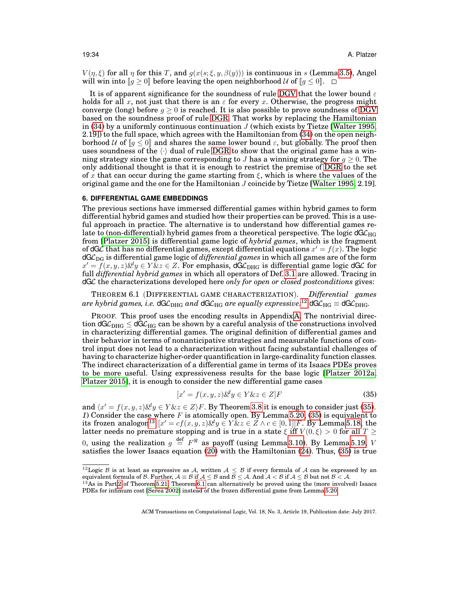$V(\eta, \xi)$  for all  $\eta$  for this T, and  $g(x(s; \xi, y, \beta(y)))$  is continuous in s (Lemma [3.5\)](#page-6-1), Angel will win into  $[g \ge 0]$  before leaving the open neighborhood  $\mathcal U$  of  $[g \le 0]$ .  $\Box$ 

It is of apparent significance for the soundness of rule [DGV](#page-12-2) that the lower bound  $\varepsilon$ holds for all x, not just that there is an  $\varepsilon$  for every x. Otherwise, the progress might converge (long) before  $q > 0$  is reached. It is also possible to prove soundness of [DGV](#page-12-2) based on the soundness proof of rule [DGR.](#page-12-3) That works by replacing the Hamiltonian in  $(34)$  by a uniformly continuous continuation J (which exists by Tietze [\[Walter 1995,](#page-42-11) 2.19]) to the full space, which agrees with the Hamiltonian from [\(34\)](#page-32-1) on the open neighborhood U of  $[q \leq 0]$  and shares the same lower bound  $\varepsilon$ , but globally. The proof then uses soundness of the  $\langle \cdot \rangle$  dual of rule [DGR](#page-12-3) to show that the original game has a winning strategy since the game corresponding to J has a winning strategy for  $q \geq 0$ . The only additional thought is that it is enough to restrict the premise of [DGR](#page-12-3) to the set of x that can occur during the game starting from  $\xi$ , which is where the values of the original game and the one for the Hamiltonian J coincide by Tietze [\[Walter 1995,](#page-42-11) 2.19].

# <span id="page-33-0"></span>**6. DIFFERENTIAL GAME EMBEDDINGS**

The previous sections have immersed differential games within hybrid games to form differential hybrid games and studied how their properties can be proved. This is a useful approach in practice. The alternative is to understand how differential games relate to (non-differential) hybrid games from a theoretical perspective. The logic  $dG_{HG}$ from [\[Platzer 2015\]](#page-42-5) is differential game logic of *hybrid games*, which is the fragment of dGC that has no differential games, except differential equations  $x' = f(x)$ . The logic  $dG_{\text{DG}}$  is differential game logic of *differential games* in which all games are of the form  $x' = f(x, y, z) \&y \in Y \&z \in Z$ . For emphasis,  $d\tilde{G} \mathcal{L}_{DHG}$  is differential game logic  $dG \mathcal{L}$  for full *differential hybrid games* in which all operators of Def. [3.1](#page-3-1) are allowed. Tracing in dGL the characterizations developed here *only for open or closed postconditions* gives:

<span id="page-33-4"></span>THEOREM 6.1 (DIFFERENTIAL GAME CHARACTERIZATION). *Differential games*  $a$ re hybrid games, i.e. dG ${\cal L}_{\rm DHG}$  and dG ${\cal L}_{\rm HG}$  are equally expressive: $^{12}$  $^{12}$  $^{12}$  dG ${\cal L}_{\rm HG}$   $\equiv$  dG ${\cal L}_{\rm DHG}$ .

PROOF. This proof uses the encoding results in Appendix [A.](#page-36-0) The nontrivial direction  $dG\mathcal{L}_{\text{DHG}} \leq dG\mathcal{L}_{\text{HG}}$  can be shown by a careful analysis of the constructions involved in characterizing differential games. The original definition of differential games and their behavior in terms of nonanticipative strategies and measurable functions of control input does not lead to a characterization without facing substantial challenges of having to characterize higher-order quantification in large-cardinality function classes. The indirect characterization of a differential game in terms of its Isaacs PDEs proves to be more useful. Using expressiveness results for the base logic [\[Platzer 2012a;](#page-42-10) [Platzer 2015\]](#page-42-5), it is enough to consider the new differential game cases

<span id="page-33-2"></span>
$$
[x' = f(x, y, z) \mathcal{L}^{\prime} y \in Y \mathcal{L} z \in Z]F
$$
\n(35)

and  $\langle x' = f(x, y, z) \& y \in Y \& z \in Z \rangle F$ . By Theorem [3.8](#page-9-0) it is enough to consider just [\(35\)](#page-33-2).<br>*1*) Consider the case where *F* is atomically open. By Lemma [5.20,](#page-27-0) (35) is equivalent to its frozen analogon<sup>[13](#page-33-3)</sup>  $[x' = cf(x, y, z) \& y \in Y \& z \in Z \land c \in [0, 1]]F$ . By Lemma [5.18,](#page-26-1) the latter needs no premature stopping and is true in a state  $\xi$  iff  $V(0,\xi) > 0$  for all  $T \geq 0$ 0, using the realization  $g \stackrel{\text{def}}{=} F^{\Re}$  as payoff (using Lemma [3.10\)](#page-11-2). By Lemma [5.19,](#page-27-3) V satisfies the lower Isaacs equation  $(20)$  with the Hamiltonian  $(24)$ . Thus,  $(35)$  is true

<span id="page-33-1"></span><sup>&</sup>lt;sup>12</sup>Logic B is at least as expressive as A, written  $A \leq B$  if every formula of A can be expressed by an equivalent formula of B. Further,  $\mathcal{A} \equiv \mathcal{B}$  if  $\mathcal{A} \leq \mathcal{B}$  and  $\mathcal{B} \leq \mathcal{A}$ . And  $\mathcal{A} < \mathcal{B}$  if  $\mathcal{A} \leq \mathcal{B}$  but not  $\mathcal{B} < \mathcal{A}$ .  $^{13}$ As in Part [2](#page-29-3) of Theorem [5.21,](#page-28-3) Theorem [6.1](#page-33-4) can alternat

<span id="page-33-3"></span>PDEs for infimum cost [\[Serea 2002\]](#page-42-19) instead of the frozen differential game from Lemma [5.20.](#page-27-0)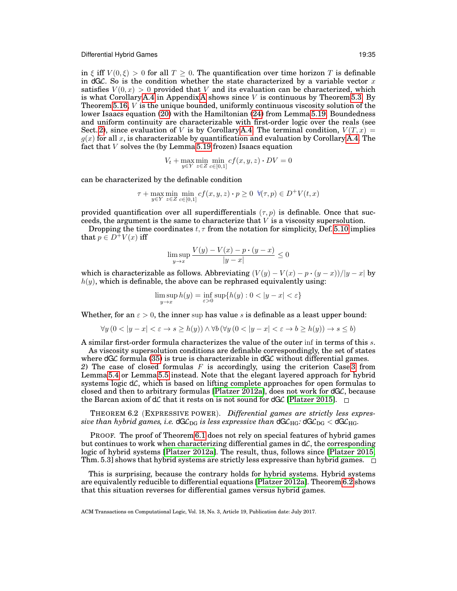in  $\xi$  iff  $V(0,\xi) > 0$  for all  $T \geq 0$ . The quantification over time horizon T is definable in dGC. So is the condition whether the state characterized by a variable vector  $x$ satisfies  $V(0, x) > 0$  provided that V and its evaluation can be characterized, which is what Corollary [A.4](#page-36-1) in [A](#page-36-0)ppendix A shows since  $V$  is continuous by Theorem [5.3.](#page-18-13) By Theorem [5.16,](#page-25-3)  $V$  is the unique bounded, uniformly continuous viscosity solution of the lower Isaacs equation [\(20\)](#page-25-4) with the Hamiltonian [\(24\)](#page-27-4) from Lemma [5.19.](#page-27-3) Boundedness and uniform continuity are characterizable with first-order logic over the reals (see Sect. [2\)](#page-2-2), since evaluation of V is by Corollary [A.4.](#page-36-1) The terminal condition,  $V(T, x) =$  $g(x)$  for all x, is characterizable by quantification and evaluation by Corollary [A.4.](#page-36-1) The fact that V solves the (by Lemma [5.19](#page-27-3) frozen) Isaacs equation

$$
V_t + \max_{y \in Y} \min_{z \in Z} \min_{c \in [0,1]} cf(x, y, z) \cdot DV = 0
$$

can be characterized by the definable condition

$$
\tau + \max_{y \in Y} \min_{z \in Z} \min_{c \in [0,1]} cf(x, y, z) \cdot p \ge 0 \quad \forall (\tau, p) \in D^+V(t, x)
$$

provided quantification over all superdifferentials  $(\tau, p)$  is definable. Once that succeeds, the argument is the same to characterize that  $V$  is a viscosity supersolution.

Dropping the time coordinates  $t, \tau$  from the notation for simplicity, Def. [5.10](#page-22-1) implies that  $p \in D^+V(x)$  iff

$$
\limsup_{y \to x} \frac{V(y) - V(x) - p \cdot (y - x)}{|y - x|} \le 0
$$

which is characterizable as follows. Abbreviating  $(V(y) - V(x) - p \cdot (y - x))/|y - x|$  by  $h(y)$ , which is definable, the above can be rephrased equivalently using:

$$
\limsup_{y \to x} h(y) = \inf_{\varepsilon > 0} \sup \{ h(y) : 0 < |y - x| < \varepsilon \}
$$

Whether, for an  $\varepsilon > 0$ , the inner sup has value s is definable as a least upper bound:

$$
\forall y\ (0 < |y - x| < \varepsilon \to s \ge h(y)) \land \forall b\ (\forall y\ (0 < |y - x| < \varepsilon \to b \ge h(y)) \to s \le b)
$$

A similar first-order formula characterizes the value of the outer inf in terms of this s. As viscosity supersolution conditions are definable correspondingly, the set of states

where  $dG\mathcal{L}$  formula [\(35\)](#page-33-2) is true is characterizable in  $dG\mathcal{L}$  without differential games. 2) The case of closed formulas  $F$  is accordingly, using the criterion Case [3](#page-18-3) from Lemma [5.4](#page-18-11) or Lemma [5.5](#page-19-0) instead. Note that the elegant layered approach for hybrid systems logic  $d\mathcal{L}$ , which is based on lifting complete approaches for open formulas to closed and then to arbitrary formulas [\[Platzer 2012a\]](#page-42-10), does not work for  $dG\mathcal{L}$ , because the Barcan axiom of  $d\mathcal{L}$  that it rests on is not sound for  $dG\mathcal{L}$  [\[Platzer 2015\]](#page-42-5).  $\Box$ 

<span id="page-34-0"></span>THEOREM 6.2 (EXPRESSIVE POWER). *Differential games are strictly less expressive than hybrid games, i.e.*  $dG\mathcal{L}_{DG}$  *is less expressive than*  $dG\mathcal{L}_{HG}$ *:*  $dG\mathcal{L}_{DG}$  <  $dG\mathcal{L}_{HG}$ *.* 

PROOF. The proof of Theorem [6.1](#page-33-4) does not rely on special features of hybrid games but continues to work when characterizing differential games in  $d\mathcal{L}$ , the corresponding logic of hybrid systems [\[Platzer 2012a\]](#page-42-10). The result, thus, follows since [\[Platzer 2015,](#page-42-5) Thm. 5.3] shows that hybrid systems are strictly less expressive than hybrid games.  $\square$ 

This is surprising, because the contrary holds for hybrid systems. Hybrid systems are equivalently reducible to differential equations [\[Platzer 2012a\]](#page-42-10). Theorem [6.2](#page-34-0) shows that this situation reverses for differential games versus hybrid games.

ACM Transactions on Computational Logic, Vol. 18, No. 3, Article 19, Publication date: July 2017.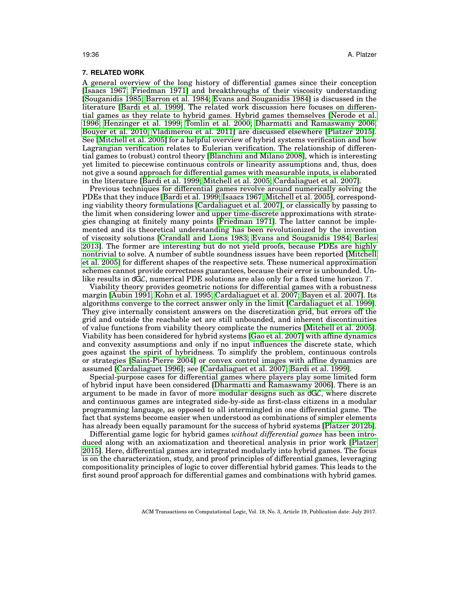# **7. RELATED WORK**

A general overview of the long history of differential games since their conception [\[Isaacs 1967;](#page-41-0) [Friedman 1971\]](#page-41-1) and breakthroughs of their viscosity understanding [\[Souganidis 1985;](#page-42-1) [Barron et al. 1984;](#page-40-3) [Evans and Souganidis 1984\]](#page-41-5) is discussed in the literature [\[Bardi et al. 1999\]](#page-40-0). The related work discussion here focuses on differential games as they relate to hybrid games. Hybrid games themselves [\[Nerode et al.](#page-42-2) [1996;](#page-42-2) [Henzinger et al. 1999;](#page-41-7) [Tomlin et al. 2000;](#page-42-3) [Dharmatti and Ramaswamy 2006;](#page-41-8) [Bouyer et al. 2010;](#page-41-9) [Vladimerou et al. 2011\]](#page-42-4) are discussed elsewhere [\[Platzer 2015\]](#page-42-5). See [\[Mitchell et al. 2005\]](#page-42-8) for a helpful overview of hybrid systems verification and how Lagrangian verification relates to Eulerian verification. The relationship of differential games to (robust) control theory [\[Blanchini and Milano 2008\]](#page-41-21), which is interesting yet limited to piecewise continuous controls or linearity assumptions and, thus, does not give a sound approach for differential games with measurable inputs, is elaborated in the literature [\[Bardi et al. 1999;](#page-40-0) [Mitchell et al. 2005;](#page-42-8) [Cardaliaguet et al. 2007\]](#page-41-10).

Previous techniques for differential games revolve around numerically solving the PDEs that they induce [\[Bardi et al. 1999;](#page-40-0) [Isaacs 1967;](#page-41-0) [Mitchell et al. 2005\]](#page-42-8), corresponding viability theory formulations [\[Cardaliaguet et al. 2007\]](#page-41-10), or classically by passing to the limit when considering lower and upper time-discrete approximations with strategies changing at finitely many points [\[Friedman 1971\]](#page-41-1). The latter cannot be implemented and its theoretical understanding has been revolutionized by the invention of viscosity solutions [\[Crandall and Lions 1983;](#page-41-17) [Evans and Souganidis 1984;](#page-41-5) [Barles](#page-40-1) [2013\]](#page-40-1). The former are interesting but do not yield proofs, because PDEs are highly nontrivial to solve. A number of subtle soundness issues have been reported [\[Mitchell](#page-42-8) [et al. 2005\]](#page-42-8) for different shapes of the respective sets. These numerical approximation schemes cannot provide correctness guarantees, because their error is unbounded. Unlike results in  $dG\mathcal{L}$ , numerical PDE solutions are also only for a fixed time horizon  $T$ .

Viability theory provides geometric notions for differential games with a robustness margin [\[Aubin 1991;](#page-40-4) [Kohn et al. 1995;](#page-41-22) [Cardaliaguet et al. 2007;](#page-41-10) [Bayen et al. 2007\]](#page-41-23). Its algorithms converge to the correct answer only in the limit [\[Cardaliaguet et al. 1999\]](#page-41-24). They give internally consistent answers on the discretization grid, but errors off the grid and outside the reachable set are still unbounded, and inherent discontinuities of value functions from viability theory complicate the numerics [\[Mitchell et al. 2005\]](#page-42-8). Viability has been considered for hybrid systems [\[Gao et al. 2007\]](#page-41-25) with affine dynamics and convexity assumptions and only if no input influences the discrete state, which goes against the spirit of hybridness. To simplify the problem, continuous controls or strategies [\[Saint-Pierre 2004\]](#page-42-21) or convex control images with affine dynamics are assumed [\[Cardaliaguet 1996\]](#page-41-11); see [\[Cardaliaguet et al. 2007;](#page-41-10) [Bardi et al. 1999\]](#page-40-0).

Special-purpose cases for differential games where players play some limited form of hybrid input have been considered [\[Dharmatti and Ramaswamy 2006\]](#page-41-8). There is an argument to be made in favor of more modular designs such as  $dG\mathcal{L}$ , where discrete and continuous games are integrated side-by-side as first-class citizens in a modular programming language, as opposed to all intermingled in one differential game. The fact that systems become easier when understood as combinations of simpler elements has already been equally paramount for the success of hybrid systems [\[Platzer 2012b\]](#page-42-7).

Differential game logic for hybrid games *without differential games* has been introduced along with an axiomatization and theoretical analysis in prior work [\[Platzer](#page-42-5) [2015\]](#page-42-5). Here, differential games are integrated modularly into hybrid games. The focus is on the characterization, study, and proof principles of differential games, leveraging compositionality principles of logic to cover differential hybrid games. This leads to the first sound proof approach for differential games and combinations with hybrid games.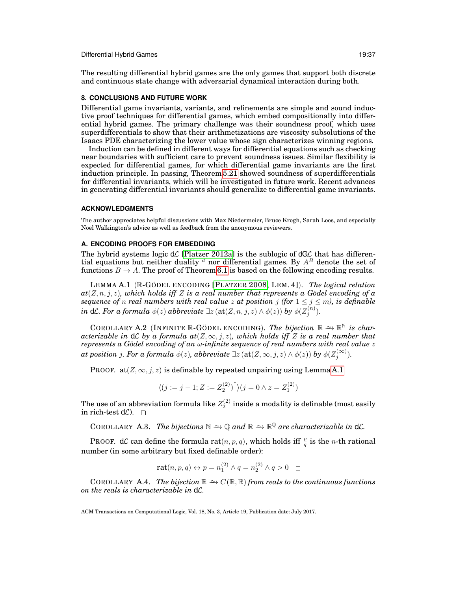The resulting differential hybrid games are the only games that support both discrete and continuous state change with adversarial dynamical interaction during both.

# **8. CONCLUSIONS AND FUTURE WORK**

Differential game invariants, variants, and refinements are simple and sound inductive proof techniques for differential games, which embed compositionally into differential hybrid games. The primary challenge was their soundness proof, which uses superdifferentials to show that their arithmetizations are viscosity subsolutions of the Isaacs PDE characterizing the lower value whose sign characterizes winning regions.

Induction can be defined in different ways for differential equations such as checking near boundaries with sufficient care to prevent soundness issues. Similar flexibility is expected for differential games, for which differential game invariants are the first induction principle. In passing, Theorem [5.21](#page-28-3) showed soundness of superdifferentials for differential invariants, which will be investigated in future work. Recent advances in generating differential invariants should generalize to differential game invariants.

# **ACKNOWLEDGMENTS**

The author appreciates helpful discussions with Max Niedermeier, Bruce Krogh, Sarah Loos, and especially Noel Walkington's advice as well as feedback from the anonymous reviewers.

# <span id="page-36-0"></span>**A. ENCODING PROOFS FOR EMBEDDING**

The hybrid systems logic  $d\mathcal{L}$  [\[Platzer 2012a\]](#page-42-10) is the sublogic of  $dG\mathcal{L}$  that has differential equations but neither duality  $^d$  nor differential games. By  $A^B$  denote the set of functions  $B \to A$ . The proof of Theorem [6.1](#page-33-4) is based on the following encoding results.

<span id="page-36-2"></span>LEMMA A.1 (R-GÖDEL ENCODING [P[LATZER](#page-42-9) 2008, LEM. 4]). *The logical relation*  $at(Z, n, j, z)$ *, which holds iff* Z *is a real number that represents a Godel encoding of a sequence of n real numbers with real value* z at position *j* (for  $1 \le j \le m$ ), is definable  $i$ n d ${\cal L}$ *. For a formula*  $\phi(z)$  *abbreviate*  $\exists z \left(\texttt{at}(Z,n,j,z) \wedge \phi(z)\right)$  *by*  $\phi(Z_j^{(n)}).$ 

COROLLARY A.2 (INFINITE R-GÖDEL ENCODING). *The bijection*  $\mathbb{R} \cong \mathbb{R}^{\mathbb{N}}$  is char*acterizable in*  $d\mathcal{L}$  *by a formula at*( $Z, \infty, j, z$ )*, which holds iff*  $Z$  *is a real number that* represents a Gödel encoding of an ω-infinite sequence of real numbers with real value *z*  $a$ *t position*  $j$ *. For a formula*  $\phi(z)$ *, abbreviate*  $\exists z \left(\texttt{at}(Z,\infty,j,z) \wedge \phi(z)\right)$  *by*  $\phi(Z_j^{(\infty)})$ *.* 

PROOF. at  $(Z, \infty, j, z)$  is definable by repeated unpairing using Lemma [A.1](#page-36-2)

$$
\langle (j := j - 1; Z := Z_2^{(2)})^* \rangle (j = 0 \land z = Z_1^{(2)})
$$

The use of an abbreviation formula like  $Z_{2}^{\left( 2\right) }$  inside a modality is definable (most easily in rich-test  $d\mathcal{L}$ ).  $\square$ 

<span id="page-36-3"></span>COROLLARY A.3. *The bijections*  $\mathbb{N} \to \mathbb{Q}$  and  $\mathbb{R} \to \mathbb{R}^{\mathbb{Q}}$  are characterizable in  $d\mathcal{L}$ .

PROOF. d $\mathcal L$  can define the formula  $\text{rat}(n, p, q)$ , which holds iff  $\frac{p}{q}$  is the *n*-th rational number (in some arbitrary but fixed definable order):

$$
\mathbf{rat}(n, p, q) \leftrightarrow p = n_1^{(2)} \land q = n_2^{(2)} \land q > 0 \quad \Box
$$

<span id="page-36-1"></span>COROLLARY A.4. *The bijection*  $\mathbb{R} \rightarrow C(\mathbb{R}, \mathbb{R})$  *from reals to the continuous functions on the reals is characterizable in* dL*.*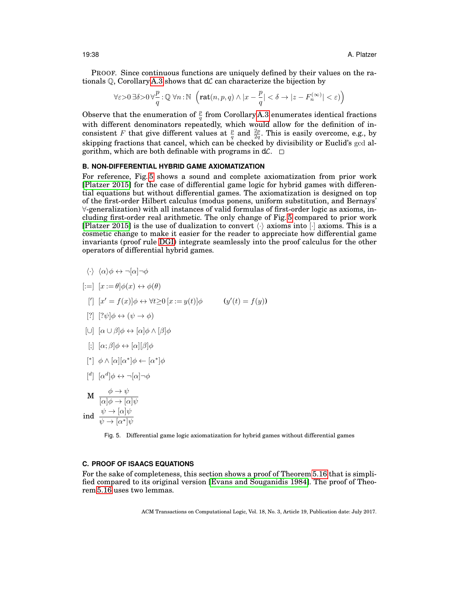PROOF. Since continuous functions are uniquely defined by their values on the rationals  $\mathbb{Q}$ , Corollary [A.3](#page-36-3) shows that  $d\mathcal{L}$  can characterize the bijection by

$$
\forall \varepsilon{>}0\ \exists \delta{>}0\ \forall \frac{p}{q}:\mathbb{Q}\ \forall n: \mathbb{N}\ \left(\mathrm{rat}(n,p,q) \wedge |x-\frac{p}{q}| <\delta \rightarrow |z-F_n^{(\infty)}| <\varepsilon)\right)
$$

Observe that the enumeration of  $\frac{p}{q}$  from Corollary [A.3](#page-36-3) enumerates identical fractions with different denominators repeatedly, which would allow for the definition of inconsistent F that give different values at  $\frac{p}{q}$  and  $\frac{2p}{2q}$ . This is easily overcome, e.g., by skipping fractions that cancel, which can be checked by divisibility or Euclid's gcd algorithm, which are both definable with programs in  $d\mathcal{L}$ .  $\square$ 

# <span id="page-37-0"></span>**B. NON-DIFFERENTIAL HYBRID GAME AXIOMATIZATION**

For reference, Fig. [5](#page-37-4) shows a sound and complete axiomatization from prior work [\[Platzer 2015\]](#page-42-5) for the case of differential game logic for hybrid games with differential equations but without differential games. The axiomatization is designed on top of the first-order Hilbert calculus (modus ponens, uniform substitution, and Bernays' ∀-generalization) with all instances of valid formulas of first-order logic as axioms, including first-order real arithmetic. The only change of Fig. [5](#page-37-4) compared to prior work [\[Platzer 2015\]](#page-42-5) is the use of dualization to convert  $\langle \cdot \rangle$  axioms into [·] axioms. This is a cosmetic change to make it easier for the reader to appreciate how differential game invariants (proof rule [DGI\)](#page-12-1) integrate seamlessly into the proof calculus for the other operators of differential hybrid games.

$$
\langle \cdot \rangle \ \langle \alpha \rangle \phi \leftrightarrow \neg[\alpha] \neg \phi
$$

$$
[:=] [x := \theta] \phi(x) \leftrightarrow \phi(\theta)
$$

- [']  $[x' = f(x)]\phi \leftrightarrow \forall t \ge 0 \ [x := y(t)]\phi$  (y'(t) = f(y))
- [?]  $[? \psi] \phi \leftrightarrow (\psi \rightarrow \phi)$
- $[\cup] [\alpha \cup \beta] \phi \leftrightarrow [\alpha] \phi \wedge [\beta] \phi$
- $\lbrack$ ;  $\lbrack \alpha;\beta\lbrack \phi\leftrightarrow\lbrack \alpha\rbrack\lbrack \beta\rbrack\phi$
- <span id="page-37-2"></span> $[$ <sup>\*</sup> $]$   $\phi \wedge [\alpha][\alpha^*] \phi \leftarrow [\alpha^*] \phi$
- $\left[\begin{smallmatrix}d\end{smallmatrix}\right]\left[\alpha^d\right]\phi\leftrightarrow\neg[\alpha]\neg\phi$
- <span id="page-37-1"></span> $\begin{array}{c} \mathbf{M} \rightarrow \psi \\ \hline \end{array}$  $[\alpha]\phi \rightarrow [\alpha]\psi$ ind  $\frac{\psi \to [\alpha]\psi}{\psi}$  $\psi \rightarrow [\alpha^*]\psi$

<span id="page-37-4"></span>Fig. 5. Differential game logic axiomatization for hybrid games without differential games

# <span id="page-37-3"></span>**C. PROOF OF ISAACS EQUATIONS**

<span id="page-37-5"></span>For the sake of completeness, this section shows a proof of Theorem [5.16](#page-25-3) that is simplified compared to its original version [\[Evans and Souganidis 1984\]](#page-41-5). The proof of Theorem [5.16](#page-25-3) uses two lemmas.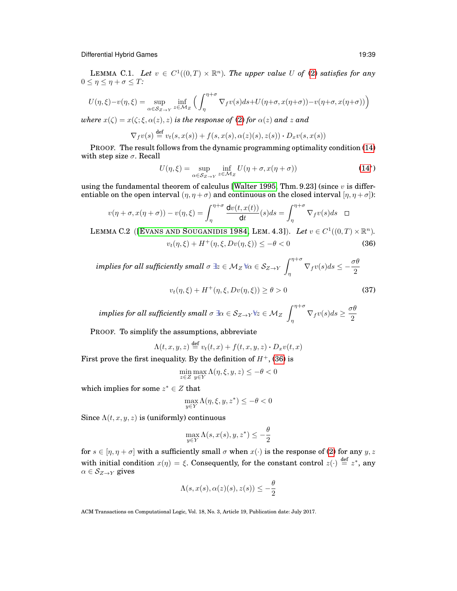LEMMA C.1. Let  $v \in C^1((0,T) \times \mathbb{R}^n)$ . The upper value U of [\(2\)](#page-6-0) satisfies for any  $0 \leq \eta \leq \eta + \sigma \leq T$ :

$$
U(\eta,\xi)-v(\eta,\xi)=\sup_{\alpha\in S_{Z\to Y}}\inf_{z\in\mathcal{M}_Z}\Big(\int_{\eta}^{\eta+\sigma}\nabla_f v(s)ds+U(\eta+\sigma,x(\eta+\sigma))-v(\eta+\sigma,x(\eta+\sigma))\Big)
$$

*where*  $x(\zeta) = x(\zeta; \xi, \alpha(z), z)$  *is the response of* [\(2\)](#page-6-0) *for*  $\alpha(z)$  *and* z and

$$
\nabla_f v(s) \stackrel{\text{def}}{=} v_t(s, x(s)) + f(s, x(s), \alpha(z)(s), z(s)) \cdot D_x v(s, x(s))
$$

PROOF. The result follows from the dynamic programming optimality condition [\(14\)](#page-18-2) with step size  $\sigma$ . Recall

<span id="page-38-0"></span>
$$
U(\eta,\xi) = \sup_{\alpha \in \mathcal{S}_{Z \to Y}} \inf_{z \in \mathcal{M}_Z} U(\eta + \sigma, x(\eta + \sigma))
$$
(14\*)

using the fundamental theorem of calculus [\[Walter 1995,](#page-42-11) Thm. 9.23] (since  $v$  is differentiable on the open interval  $(\eta, \eta + \sigma)$  and continuous on the closed interval  $[\eta, \eta + \sigma]$ :

$$
v(\eta + \sigma, x(\eta + \sigma)) - v(\eta, \xi) = \int_{\eta}^{\eta + \sigma} \frac{\mathrm{d}v(t, x(t))}{\mathrm{d}t}(s) ds = \int_{\eta}^{\eta + \sigma} \nabla_f v(s) ds \quad \Box
$$

<span id="page-38-2"></span>LEMMA C.2 ([EVANS AND S[OUGANIDIS](#page-41-5) 1984, LEM. 4.3]). *Let*  $v \in C^1((0,T) \times \mathbb{R}^n)$ .

$$
v_t(\eta, \xi) + H^+(\eta, \xi, Dv(\eta, \xi)) \le -\theta < 0 \tag{36}
$$

 $\it{implies}$  for all sufficiently small  $\sigma \:\exists z \in \mathcal{M}_Z \:\forall \alpha \in \mathcal{S}_{Z \to Y}$  $\int^{\eta+\sigma}$  $\int_{\eta}^{\eta+\sigma} \nabla_f v(s) ds \leq -\frac{\sigma \theta}{2}$ 2

<span id="page-38-1"></span>
$$
v_t(\eta,\xi) + H^+(\eta,\xi,Dv(\eta,\xi)) \ge \theta > 0
$$
\n(37)

 $\it{implies}$  for all sufficiently small  $\sigma$   $\exists \alpha \in \mathcal{S}_{Z \to Y} \forall z \in \mathcal{M}_Z$  $\int^{\eta+\sigma}$  $\int_{\eta}^{\eta+\sigma} \nabla_f v(s) ds \geq \frac{\sigma \theta}{2}$ 2

PROOF. To simplify the assumptions, abbreviate

$$
\Lambda(t, x, y, z) \stackrel{\text{def}}{=} v_t(t, x) + f(t, x, y, z) \cdot D_x v(t, x)
$$

First prove the first inequality. By the definition of  $H^+$ , [\(36\)](#page-38-0) is

$$
\min_{z \in Z} \max_{y \in Y} \Lambda(\eta, \xi, y, z) \le -\theta < 0
$$

which implies for some  $z^* \in Z$  that

$$
\max_{y \in Y} \Lambda(\eta, \xi, y, z^*) \le -\theta < 0
$$

Since  $\Lambda(t, x, y, z)$  is (uniformly) continuous

$$
\max_{y \in Y} \Lambda(s, x(s), y, z^*) \le -\frac{\theta}{2}
$$

for  $s \in [\eta, \eta + \sigma]$  with a sufficiently small  $\sigma$  when  $x(\cdot)$  is the response of [\(2\)](#page-6-0) for any  $y, z$ with initial condition  $x(\eta) = \xi$ . Consequently, for the constant control  $z(\cdot) \stackrel{\text{def}}{=} z^*$ , any  $\alpha \in \mathcal{S}_{Z\rightarrow Y}$  gives

$$
\Lambda(s, x(s), \alpha(z)(s), z(s)) \leq -\frac{\theta}{2}
$$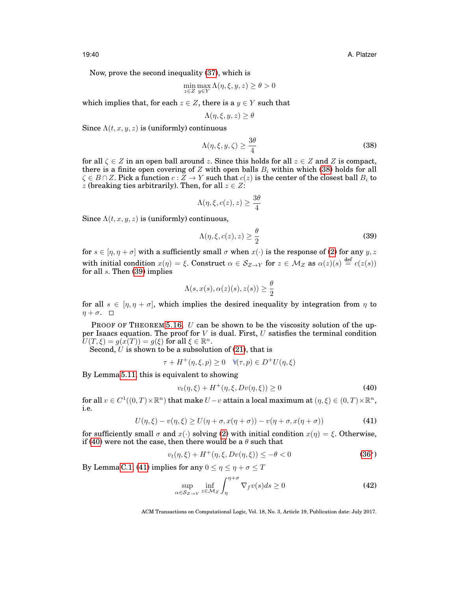19:40 A. Platzer

Now, prove the second inequality [\(37\)](#page-38-1), which is

$$
\min_{z \in Z} \max_{y \in Y} \Lambda(\eta, \xi, y, z) \ge \theta > 0
$$

which implies that, for each  $z \in Z$ , there is a  $y \in Y$  such that

$$
\Lambda(\eta,\xi,y,z) \geq \theta
$$

Since  $\Lambda(t, x, y, z)$  is (uniformly) continuous

<span id="page-39-0"></span>
$$
\Lambda(\eta,\xi,y,\zeta) \ge \frac{3\theta}{4} \tag{38}
$$

for all  $\zeta \in Z$  in an open ball around z. Since this holds for all  $z \in Z$  and Z is compact, there is a finite open covering of Z with open balls  $B_i$  within which [\(38\)](#page-39-0) holds for all  $\zeta \in B \cap Z$ . Pick a function  $c: \overline{Z} \to Y$  such that  $c(z)$  is the center of the closest ball  $B_i$  to z (breaking ties arbitrarily). Then, for all  $z \in Z$ :

$$
\Lambda(\eta,\xi,c(z),z) \ge \frac{3\theta}{4}
$$

Since  $\Lambda(t, x, y, z)$  is (uniformly) continuous,

<span id="page-39-1"></span>
$$
\Lambda(\eta,\xi,c(z),z) \ge \frac{\theta}{2} \tag{39}
$$

for  $s \in [n, n + \sigma]$  with a sufficiently small  $\sigma$  when  $x(\cdot)$  is the response of [\(2\)](#page-6-0) for any  $y, z$ with initial condition  $x(\eta) = \xi$ . Construct  $\alpha \in S_{Z \to Y}$  for  $z \in M_Z$  as  $\alpha(z)(s) \stackrel{\text{def}}{=} c(z(s))$ for all  $s$ . Then  $(39)$  implies

$$
\Lambda(s, x(s), \alpha(z)(s), z(s)) \ge \frac{\theta}{2}
$$

for all  $s \in [\eta, \eta + \sigma]$ , which implies the desired inequality by integration from  $\eta$  to  $\eta + \sigma$ .  $\square$ 

PROOF OF THEOREM [5.16.](#page-25-3) U can be shown to be the viscosity solution of the upper Isaacs equation. The proof for  $V$  is dual. First,  $U$  satisfies the terminal condition  $U(T,\xi)=g(x(T))=g(\xi) \text{ for all } \xi\in\mathbb{R}^n.$ 

Second,  $U$  is shown to be a subsolution of [\(21\)](#page-25-5), that is

$$
\tau + H^+(\eta, \xi, p) \ge 0 \quad \forall (\tau, p) \in D^+U(\eta, \xi)
$$

By Lemma [5.11,](#page-23-2) this is equivalent to showing

<span id="page-39-2"></span>
$$
v_t(\eta, \xi) + H^+(\eta, \xi, Dv(\eta, \xi)) \ge 0
$$
 (40)

for all  $v \in C^1((0,T)\times \mathbb{R}^n)$  that make  $U-v$  attain a local maximum at  $(\eta,\xi) \in (0,T)\times \mathbb{R}^n,$ i.e.

<span id="page-39-3"></span>
$$
U(\eta,\xi) - v(\eta,\xi) \ge U(\eta + \sigma, x(\eta + \sigma)) - v(\eta + \sigma, x(\eta + \sigma))
$$
\n(41)

for sufficiently small  $\sigma$  and  $x(\cdot)$  solving [\(2\)](#page-6-0) with initial condition  $x(\eta) = \xi$ . Otherwise, if [\(40\)](#page-39-2) were not the case, then there would be a  $\theta$  such that

<span id="page-39-4"></span>
$$
v_t(\eta, \xi) + H^+(\eta, \xi, Dv(\eta, \xi)) \le -\theta < 0 \tag{36*}
$$

By Lemma [C.1,](#page-37-5) [\(41\)](#page-39-3) implies for any  $0 \le \eta \le \eta + \sigma \le T$ 

$$
\sup_{\alpha \in S_{Z \to Y}} \inf_{z \in M_Z} \int_{\eta}^{\eta + \sigma} \nabla_f v(s) ds \ge 0
$$
\n(42)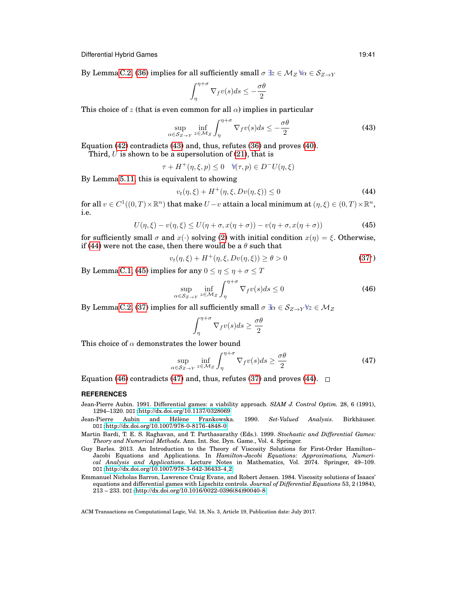By Lemma [C.2,](#page-38-2) [\(36\)](#page-38-0) implies for all sufficiently small  $\sigma \mathbb{B} \in \mathcal{M}_Z \mathbb{W} \in \mathcal{S}_{Z \to Y}$ 

$$
\int_{\eta}^{\eta+\sigma} \nabla_f v(s) ds \le -\frac{\sigma \theta}{2}
$$

This choice of z (that is even common for all  $\alpha$ ) implies in particular

<span id="page-40-5"></span>
$$
\sup_{\alpha \in S_{Z \to Y}} \inf_{z \in M_Z} \int_{\eta}^{\eta + \sigma} \nabla_f v(s) ds \le -\frac{\sigma \theta}{2}
$$
\n(43)

Equation [\(42\)](#page-39-4) contradicts [\(43\)](#page-40-5) and, thus, refutes [\(36\)](#page-38-0) and proves [\(40\)](#page-39-2).

Third,  $U$  is shown to be a supersolution of [\(21\)](#page-25-5), that is

 $\tau + H^+(\eta, \xi, p) \leq 0 \quad \forall (\tau, p) \in D^-U(\eta, \xi)$ 

By Lemma [5.11,](#page-23-2) this is equivalent to showing

<span id="page-40-6"></span>
$$
v_t(\eta,\xi) + H^+(\eta,\xi,Dv(\eta,\xi)) \le 0
$$
\n(44)

for all  $v \in C^1((0,T)\times \mathbb{R}^n)$  that make  $U - v$  attain a local minimum at  $(\eta,\xi) \in (0,T)\times \mathbb{R}^n,$ i.e.

<span id="page-40-7"></span>
$$
U(\eta,\xi) - v(\eta,\xi) \le U(\eta + \sigma, x(\eta + \sigma)) - v(\eta + \sigma, x(\eta + \sigma))
$$
\n(45)

for sufficiently small  $\sigma$  and  $x(\cdot)$  solving [\(2\)](#page-6-0) with initial condition  $x(\eta) = \xi$ . Otherwise, if [\(44\)](#page-40-6) were not the case, then there would be a  $\theta$  such that

<span id="page-40-8"></span>
$$
v_t(\eta, \xi) + H^+(\eta, \xi, Dv(\eta, \xi)) \ge \theta > 0
$$
\n(37\*)

By Lemma [C.1,](#page-37-5) [\(45\)](#page-40-7) implies for any  $0 \le \eta \le \eta + \sigma \le T$ 

$$
\sup_{\alpha \in S_{Z \to Y}} \inf_{z \in M_Z} \int_{\eta}^{\eta + \sigma} \nabla_f v(s) ds \le 0
$$
\n(46)

By Lemma [C.2,](#page-38-2) [\(37\)](#page-38-1) implies for all sufficiently small  $\sigma \exists \alpha \in S_{Z\rightarrow Y} \forall z \in M_Z$ 

$$
\int_{\eta}^{\eta+\sigma} \nabla_f v(s) ds \ge \frac{\sigma \theta}{2}
$$

This choice of  $\alpha$  demonstrates the lower bound

<span id="page-40-9"></span>
$$
\sup_{\alpha \in S_{Z \to Y}} \inf_{z \in \mathcal{M}_Z} \int_{\eta}^{\eta + \sigma} \nabla_f v(s) ds \ge \frac{\sigma \theta}{2}
$$
 (47)

Equation [\(46\)](#page-40-8) contradicts [\(47\)](#page-40-9) and, thus, refutes [\(37\)](#page-38-1) and proves [\(44\)](#page-40-6).  $\Box$ 

## **REFERENCES**

- <span id="page-40-4"></span>Jean-Pierre Aubin. 1991. Differential games: a viability approach. *SIAM J. Control Optim.* 28, 6 (1991), 1294–1320. DOI:<http://dx.doi.org/10.1137/0328069>
- <span id="page-40-2"></span>Jean-Pierre Aubin and Hélène Frankowska. 1990. Set-Valued Analysis. Birkhäuser. DOI:<http://dx.doi.org/10.1007/978-0-8176-4848-0>
- <span id="page-40-0"></span>Martin Bardi, T. E. S. Raghavan, and T. Parthasarathy (Eds.). 1999. *Stochastic and Differential Games: Theory and Numerical Methods*. Ann. Int. Soc. Dyn. Game., Vol. 4. Springer.
- <span id="page-40-1"></span>Guy Barles. 2013. An Introduction to the Theory of Viscosity Solutions for First-Order Hamilton– Jacobi Equations and Applications. In *Hamilton-Jacobi Equations: Approximations, Numerical Analysis and Applications*. Lecture Notes in Mathematics, Vol. 2074. Springer, 49–109. DOI:[http://dx.doi.org/10.1007/978-3-642-36433-4](http://dx.doi.org/10.1007/978-3-642-36433-4_2) 2
- <span id="page-40-3"></span>Emmanuel Nicholas Barron, Lawrence Craig Evans, and Robert Jensen. 1984. Viscosity solutions of Isaacs' equations and differential games with Lipschitz controls. *Journal of Differential Equations* 53, 2 (1984),  $213 - 233$ . DOI: [http://dx.doi.org/10.1016/0022-0396\(84\)90040-8](http://dx.doi.org/10.1016/0022-0396(84)90040-8)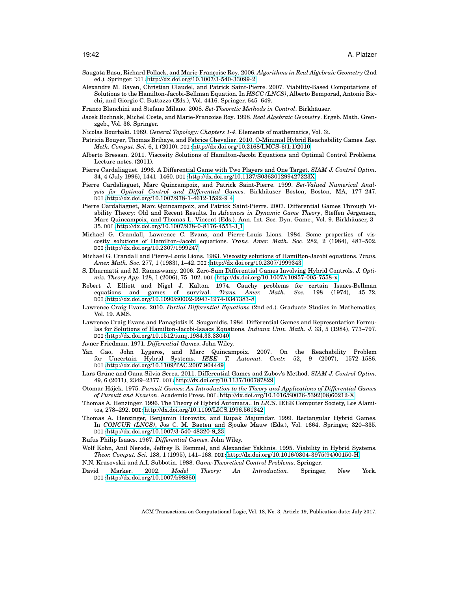- <span id="page-41-14"></span>Saugata Basu, Richard Pollack, and Marie-Françoise Roy. 2006. *Algorithms in Real Algebraic Geometry* (2nd ed.). Springer. DOI:<http://dx.doi.org/10.1007/3-540-33099-2>
- <span id="page-41-23"></span>Alexandre M. Bayen, Christian Claudel, and Patrick Saint-Pierre. 2007. Viability-Based Computations of Solutions to the Hamilton-Jacobi-Bellman Equation. In *HSCC (LNCS)*, Alberto Bemporad, Antonio Bicchi, and Giorgio C. Buttazzo (Eds.), Vol. 4416. Springer, 645–649.

<span id="page-41-21"></span>Franco Blanchini and Stefano Milano. 2008. *Set-Theoretic Methods in Control*. Birkhauser. ¨

<span id="page-41-12"></span>Jacek Bochnak, Michel Coste, and Marie-Francoise Roy. 1998. *Real Algebraic Geometry*. Ergeb. Math. Grenzgeb., Vol. 36. Springer.

<span id="page-41-16"></span>Nicolas Bourbaki. 1989. *General Topology: Chapters 1-4*. Elements of mathematics, Vol. 3i.

- <span id="page-41-9"></span>Patricia Bouyer, Thomas Brihaye, and Fabrice Chevalier. 2010. O-Minimal Hybrid Reachability Games. *Log. Meth. Comput. Sci.* 6, 1 (2010). DOI:[http://dx.doi.org/10.2168/LMCS-6\(1:1\)2010](http://dx.doi.org/10.2168/LMCS-6(1:1)2010)
- <span id="page-41-18"></span>Alberto Bressan. 2011. Viscosity Solutions of Hamilton-Jacobi Equations and Optimal Control Problems. Lecture notes. (2011).
- <span id="page-41-11"></span>Pierre Cardaliaguet. 1996. A Differential Game with Two Players and One Target. *SIAM J. Control Optim.* 34, 4 (July 1996), 1441–1460. DOI:<http://dx.doi.org/10.1137/S036301299427223X>
- <span id="page-41-24"></span>Pierre Cardaliaguet, Marc Quincampoix, and Patrick Saint-Pierre. 1999. *Set-Valued Numerical Analysis for Optimal Control and Differential Games*. Birkhauser Boston, Boston, MA, 177–247. ¨ DOI:[http://dx.doi.org/10.1007/978-1-4612-1592-9](http://dx.doi.org/10.1007/978-1-4612-1592-9_4) 4
- <span id="page-41-10"></span>Pierre Cardaliaguet, Marc Quincampoix, and Patrick Saint-Pierre. 2007. Differential Games Through Viability Theory: Old and Recent Results. In *Advances in Dynamic Game Theory*, Steffen Jørgensen, Marc Quincampoix, and Thomas L. Vincent (Eds.). Ann. Int. Soc. Dyn. Game., Vol. 9. Birkhäuser, 3– 35. DOI:[http://dx.doi.org/10.1007/978-0-8176-4553-3](http://dx.doi.org/10.1007/978-0-8176-4553-3_1) 1
- <span id="page-41-19"></span>Michael G. Crandall, Lawrence C. Evans, and Pierre-Louis Lions. 1984. Some properties of viscosity solutions of Hamilton-Jacobi equations. *Trans. Amer. Math. Soc.* 282, 2 (1984), 487–502. DOI:<http://dx.doi.org/10.2307/1999247>
- <span id="page-41-17"></span>Michael G. Crandall and Pierre-Louis Lions. 1983. Viscosity solutions of Hamilton-Jacobi equations. *Trans. Amer. Math. Soc.* 277, 1 (1983), 1–42. DOI:<http://dx.doi.org/10.2307/1999343>
- <span id="page-41-8"></span>S. Dharmatti and M. Ramaswamy. 2006. Zero-Sum Differential Games Involving Hybrid Controls. *J. Optimiz. Theory App.* 128, 1 (2006), 75–102. DOI:<http://dx.doi.org/10.1007/s10957-005-7558-x>
- <span id="page-41-4"></span>Robert J. Elliott and Nigel J. Kalton. 1974. Cauchy problems for certain Isaacs-Bellman equations and games of survival. *Trans. Amer. Math. Soc.* 198 (1974), 45–72. DOI:<http://dx.doi.org/10.1090/S0002-9947-1974-0347383-8>
- <span id="page-41-20"></span>Lawrence Craig Evans. 2010. *Partial Differential Equations* (2nd ed.). Graduate Studies in Mathematics, Vol. 19. AMS.
- <span id="page-41-5"></span>Lawrence Craig Evans and Panagiotis E. Souganidis. 1984. Differential Games and Representation Formulas for Solutions of Hamilton-Jacobi-Isaacs Equations. *Indiana Univ. Math. J.* 33, 5 (1984), 773–797. DOI:<http://dx.doi.org/10.1512/iumj.1984.33.33040>

<span id="page-41-1"></span>Avner Friedman. 1971. *Differential Games*. John Wiley.

- <span id="page-41-25"></span>Yan Gao, John Lygeros, and Marc Quincampoix. 2007. On the Reachability Problem for Uncertain Hybrid Systems. *IEEE T. Automat. Contr.* 52, 9 (2007), 1572–1586. DOI:<http://dx.doi.org/10.1109/TAC.2007.904449>
- <span id="page-41-13"></span>Lars Grüne and Oana Silvia Serea. 2011. Differential Games and Zubov's Method. SIAM J. Control Optim. 49, 6 (2011), 2349–2377. DOI:<http://dx.doi.org/10.1137/100787829>
- <span id="page-41-2"></span>Otomar Hájek. 1975. Pursuit Games: An Introduction to the Theory and Applications of Differential Games *of Pursuit and Evasion*. Academic Press. DOI:[http://dx.doi.org/10.1016/S0076-5392\(08\)60212-X](http://dx.doi.org/10.1016/S0076-5392(08)60212-X)
- <span id="page-41-6"></span>Thomas A. Henzinger. 1996. The Theory of Hybrid Automata.. In *LICS*. IEEE Computer Society, Los Alamitos, 278–292. DOI:<http://dx.doi.org/10.1109/LICS.1996.561342>
- <span id="page-41-7"></span>Thomas A. Henzinger, Benjamin Horowitz, and Rupak Majumdar. 1999. Rectangular Hybrid Games. In *CONCUR (LNCS)*, Jos C. M. Baeten and Sjouke Mauw (Eds.), Vol. 1664. Springer, 320–335. DOI:[http://dx.doi.org/10.1007/3-540-48320-9](http://dx.doi.org/10.1007/3-540-48320-9_23) 23

<span id="page-41-0"></span>Rufus Philip Isaacs. 1967. *Differential Games*. John Wiley.

- <span id="page-41-22"></span>Wolf Kohn, Anil Nerode, Jeffrey B. Remmel, and Alexander Yakhnis. 1995. Viability in Hybrid Systems. *Theor. Comput. Sci.* 138, 1 (1995), 141–168. DOI:[http://dx.doi.org/10.1016/0304-3975\(94\)00150-H](http://dx.doi.org/10.1016/0304-3975(94)00150-H)
- <span id="page-41-3"></span>N.N. Krasovskii and A.I. Subbotin. 1988. *Game-Theoretical Control Problems*. Springer.
- <span id="page-41-15"></span>David Marker. 2002. *Model Theory: An Introduction*. Springer, New York. DOI:<http://dx.doi.org/10.1007/b98860>